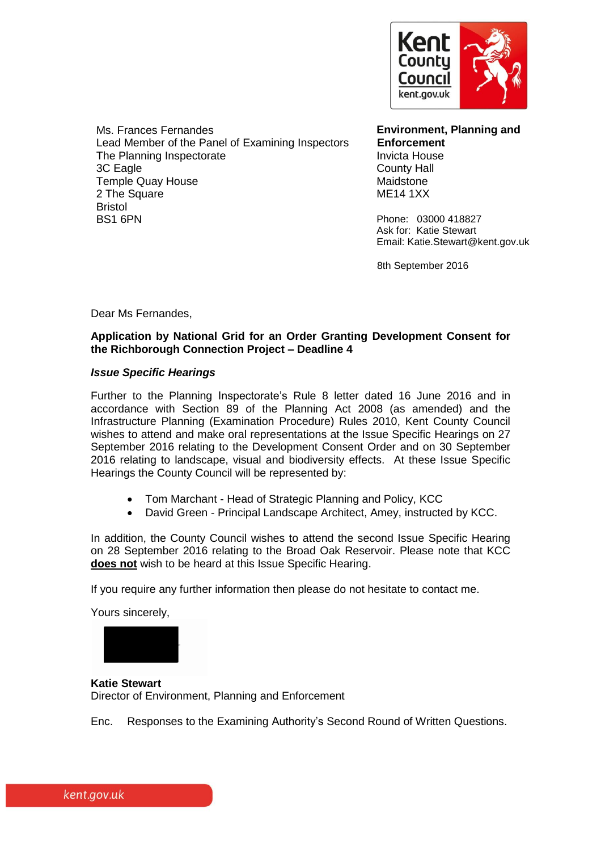

Ms. Frances Fernandes Lead Member of the Panel of Examining Inspectors The Planning Inspectorate 3C Eagle Temple Quay House 2 The Square Bristol BS1 6PN

**Environment, Planning and Enforcement** Invicta House County Hall Maidstone ME14 1XX

Phone: 03000 418827 Ask for: Katie Stewart Email: Katie.Stewart@kent.gov.uk

8th September 2016

Dear Ms Fernandes,

#### **Application by National Grid for an Order Granting Development Consent for the Richborough Connection Project – Deadline 4**

#### *Issue Specific Hearings*

Further to the Planning Inspectorate's Rule 8 letter dated 16 June 2016 and in accordance with Section 89 of the Planning Act 2008 (as amended) and the Infrastructure Planning (Examination Procedure) Rules 2010, Kent County Council wishes to attend and make oral representations at the Issue Specific Hearings on 27 September 2016 relating to the Development Consent Order and on 30 September 2016 relating to landscape, visual and biodiversity effects. At these Issue Specific Hearings the County Council will be represented by:

- Tom Marchant Head of Strategic Planning and Policy, KCC
- David Green Principal Landscape Architect, Amey, instructed by KCC.

In addition, the County Council wishes to attend the second Issue Specific Hearing on 28 September 2016 relating to the Broad Oak Reservoir. Please note that KCC **does not** wish to be heard at this Issue Specific Hearing.

If you require any further information then please do not hesitate to contact me.

Yours sincerely,



**Katie Stewart**  Director of Environment, Planning and Enforcement

Enc. Responses to the Examining Authority's Second Round of Written Questions.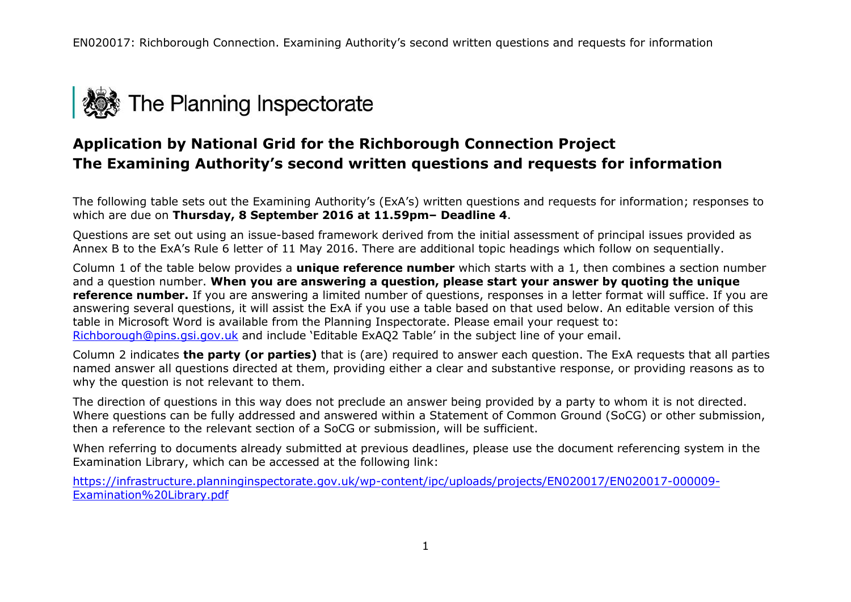

# **Application by National Grid for the Richborough Connection Project The Examining Authority's second written questions and requests for information**

The following table sets out the Examining Authority's (ExA's) written questions and requests for information; responses to which are due on **Thursday, 8 September 2016 at 11.59pm– Deadline 4**.

Questions are set out using an issue-based framework derived from the initial assessment of principal issues provided as Annex B to the ExA's Rule 6 letter of 11 May 2016. There are additional topic headings which follow on sequentially.

Column 1 of the table below provides a **unique reference number** which starts with a 1, then combines a section number and a question number. **When you are answering a question, please start your answer by quoting the unique reference number.** If you are answering a limited number of questions, responses in a letter format will suffice. If you are answering several questions, it will assist the ExA if you use a table based on that used below. An editable version of this table in Microsoft Word is available from the Planning Inspectorate. Please email your request to: [Richborough@pins.gsi.gov.uk](mailto:Richborough@pins.gsi.gov.uk) and include 'Editable ExAQ2 Table' in the subject line of your email.

Column 2 indicates **the party (or parties)** that is (are) required to answer each question. The ExA requests that all parties named answer all questions directed at them, providing either a clear and substantive response, or providing reasons as to why the question is not relevant to them.

The direction of questions in this way does not preclude an answer being provided by a party to whom it is not directed. Where questions can be fully addressed and answered within a Statement of Common Ground (SoCG) or other submission, then a reference to the relevant section of a SoCG or submission, will be sufficient.

When referring to documents already submitted at previous deadlines, please use the document referencing system in the Examination Library, which can be accessed at the following link:

[https://infrastructure.planninginspectorate.gov.uk/wp-content/ipc/uploads/projects/EN020017/EN020017-000009-](https://infrastructure.planninginspectorate.gov.uk/wp-content/ipc/uploads/projects/EN020017/EN020017-000009-Examination%20Library.pdf) [Examination%20Library.pdf](https://infrastructure.planninginspectorate.gov.uk/wp-content/ipc/uploads/projects/EN020017/EN020017-000009-Examination%20Library.pdf)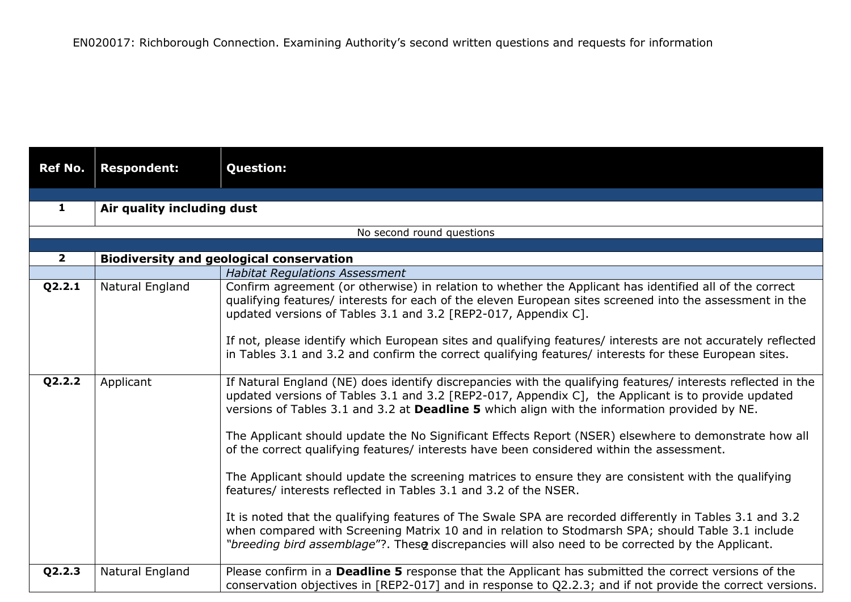| <b>Ref No.</b> | <b>Respondent:</b>         | <b>Question:</b>                                                                                                                                                                                                                                                                                                                                                                                                                                                                                                                                                                                                                                                                                      |
|----------------|----------------------------|-------------------------------------------------------------------------------------------------------------------------------------------------------------------------------------------------------------------------------------------------------------------------------------------------------------------------------------------------------------------------------------------------------------------------------------------------------------------------------------------------------------------------------------------------------------------------------------------------------------------------------------------------------------------------------------------------------|
|                |                            |                                                                                                                                                                                                                                                                                                                                                                                                                                                                                                                                                                                                                                                                                                       |
| 1              | Air quality including dust |                                                                                                                                                                                                                                                                                                                                                                                                                                                                                                                                                                                                                                                                                                       |
|                |                            |                                                                                                                                                                                                                                                                                                                                                                                                                                                                                                                                                                                                                                                                                                       |
|                |                            | No second round questions                                                                                                                                                                                                                                                                                                                                                                                                                                                                                                                                                                                                                                                                             |
| $\overline{2}$ |                            | <b>Biodiversity and geological conservation</b>                                                                                                                                                                                                                                                                                                                                                                                                                                                                                                                                                                                                                                                       |
|                |                            | <b>Habitat Regulations Assessment</b>                                                                                                                                                                                                                                                                                                                                                                                                                                                                                                                                                                                                                                                                 |
| Q2.2.1         | Natural England            | Confirm agreement (or otherwise) in relation to whether the Applicant has identified all of the correct<br>qualifying features/ interests for each of the eleven European sites screened into the assessment in the<br>updated versions of Tables 3.1 and 3.2 [REP2-017, Appendix C].                                                                                                                                                                                                                                                                                                                                                                                                                 |
|                |                            | If not, please identify which European sites and qualifying features/ interests are not accurately reflected<br>in Tables 3.1 and 3.2 and confirm the correct qualifying features/ interests for these European sites.                                                                                                                                                                                                                                                                                                                                                                                                                                                                                |
| Q2.2.2         | Applicant                  | If Natural England (NE) does identify discrepancies with the qualifying features/ interests reflected in the<br>updated versions of Tables 3.1 and 3.2 [REP2-017, Appendix C], the Applicant is to provide updated<br>versions of Tables 3.1 and 3.2 at Deadline 5 which align with the information provided by NE.<br>The Applicant should update the No Significant Effects Report (NSER) elsewhere to demonstrate how all<br>of the correct qualifying features/ interests have been considered within the assessment.<br>The Applicant should update the screening matrices to ensure they are consistent with the qualifying<br>features/ interests reflected in Tables 3.1 and 3.2 of the NSER. |
|                |                            | It is noted that the qualifying features of The Swale SPA are recorded differently in Tables 3.1 and 3.2<br>when compared with Screening Matrix 10 and in relation to Stodmarsh SPA; should Table 3.1 include<br>"breeding bird assemblage"?. These discrepancies will also need to be corrected by the Applicant.                                                                                                                                                                                                                                                                                                                                                                                    |
| Q2.2.3         | Natural England            | Please confirm in a Deadline 5 response that the Applicant has submitted the correct versions of the<br>conservation objectives in [REP2-017] and in response to Q2.2.3; and if not provide the correct versions.                                                                                                                                                                                                                                                                                                                                                                                                                                                                                     |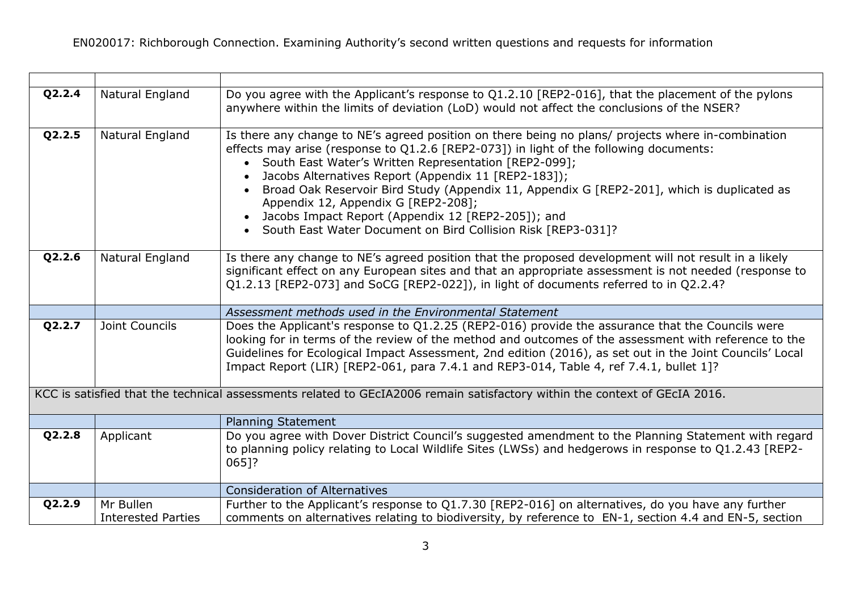<u> 1989 - Johann Stoff, deutscher Stoffen und der Stoffen und der Stoffen und der Stoffen und der Stoffen und der</u>

| Q2.2.4 | Natural England                        | Do you agree with the Applicant's response to Q1.2.10 [REP2-016], that the placement of the pylons<br>anywhere within the limits of deviation (LoD) would not affect the conclusions of the NSER?                                                                                                                                                                                                                                                                                                                                                                                       |
|--------|----------------------------------------|-----------------------------------------------------------------------------------------------------------------------------------------------------------------------------------------------------------------------------------------------------------------------------------------------------------------------------------------------------------------------------------------------------------------------------------------------------------------------------------------------------------------------------------------------------------------------------------------|
| Q2.2.5 | Natural England                        | Is there any change to NE's agreed position on there being no plans/ projects where in-combination<br>effects may arise (response to Q1.2.6 [REP2-073]) in light of the following documents:<br>• South East Water's Written Representation [REP2-099];<br>Jacobs Alternatives Report (Appendix 11 [REP2-183]);<br>Broad Oak Reservoir Bird Study (Appendix 11, Appendix G [REP2-201], which is duplicated as<br>Appendix 12, Appendix G [REP2-208];<br>Jacobs Impact Report (Appendix 12 [REP2-205]); and<br>$\bullet$<br>South East Water Document on Bird Collision Risk [REP3-031]? |
| Q2.2.6 | Natural England                        | Is there any change to NE's agreed position that the proposed development will not result in a likely<br>significant effect on any European sites and that an appropriate assessment is not needed (response to<br>Q1.2.13 [REP2-073] and SoCG [REP2-022]), in light of documents referred to in Q2.2.4?                                                                                                                                                                                                                                                                                |
|        |                                        | Assessment methods used in the Environmental Statement                                                                                                                                                                                                                                                                                                                                                                                                                                                                                                                                  |
| Q2.2.7 | Joint Councils                         | Does the Applicant's response to Q1.2.25 (REP2-016) provide the assurance that the Councils were<br>looking for in terms of the review of the method and outcomes of the assessment with reference to the<br>Guidelines for Ecological Impact Assessment, 2nd edition (2016), as set out in the Joint Councils' Local<br>Impact Report (LIR) [REP2-061, para 7.4.1 and REP3-014, Table 4, ref 7.4.1, bullet 1]?                                                                                                                                                                         |
|        |                                        | KCC is satisfied that the technical assessments related to GEcIA2006 remain satisfactory within the context of GEcIA 2016.                                                                                                                                                                                                                                                                                                                                                                                                                                                              |
|        |                                        | <b>Planning Statement</b>                                                                                                                                                                                                                                                                                                                                                                                                                                                                                                                                                               |
| Q2.2.8 | Applicant                              | Do you agree with Dover District Council's suggested amendment to the Planning Statement with regard<br>to planning policy relating to Local Wildlife Sites (LWSs) and hedgerows in response to Q1.2.43 [REP2-<br>065]?                                                                                                                                                                                                                                                                                                                                                                 |
|        |                                        | <b>Consideration of Alternatives</b>                                                                                                                                                                                                                                                                                                                                                                                                                                                                                                                                                    |
| Q2.2.9 | Mr Bullen<br><b>Interested Parties</b> | Further to the Applicant's response to Q1.7.30 [REP2-016] on alternatives, do you have any further<br>comments on alternatives relating to biodiversity, by reference to EN-1, section 4.4 and EN-5, section                                                                                                                                                                                                                                                                                                                                                                            |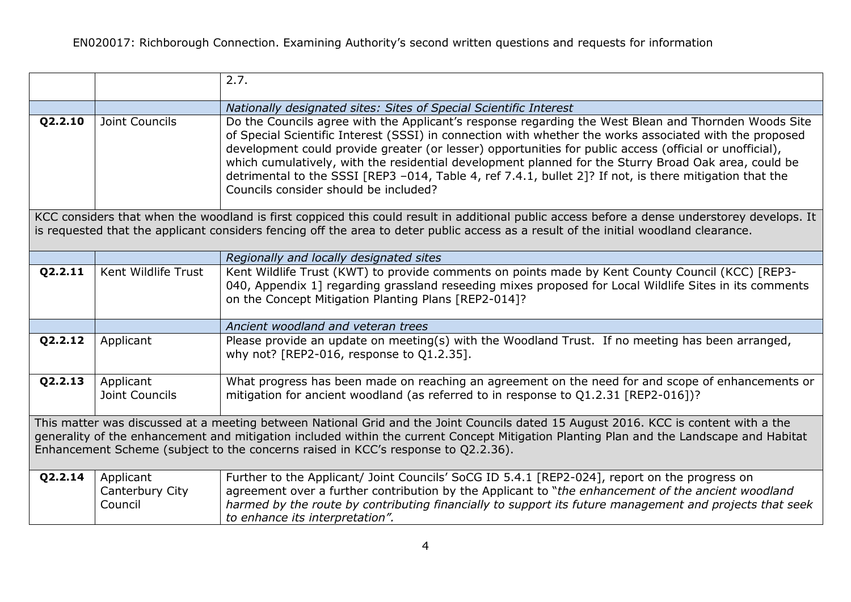|                                                                                                                                                                                                                                                                                                                                                                     |                                         | 2.7.                                                                                                                                                                                                                                                                                                                                                                                                                                                                                                                                                                                   |
|---------------------------------------------------------------------------------------------------------------------------------------------------------------------------------------------------------------------------------------------------------------------------------------------------------------------------------------------------------------------|-----------------------------------------|----------------------------------------------------------------------------------------------------------------------------------------------------------------------------------------------------------------------------------------------------------------------------------------------------------------------------------------------------------------------------------------------------------------------------------------------------------------------------------------------------------------------------------------------------------------------------------------|
|                                                                                                                                                                                                                                                                                                                                                                     |                                         | Nationally designated sites: Sites of Special Scientific Interest                                                                                                                                                                                                                                                                                                                                                                                                                                                                                                                      |
| Q2.2.10                                                                                                                                                                                                                                                                                                                                                             | Joint Councils                          | Do the Councils agree with the Applicant's response regarding the West Blean and Thornden Woods Site<br>of Special Scientific Interest (SSSI) in connection with whether the works associated with the proposed<br>development could provide greater (or lesser) opportunities for public access (official or unofficial),<br>which cumulatively, with the residential development planned for the Sturry Broad Oak area, could be<br>detrimental to the SSSI [REP3 -014, Table 4, ref 7.4.1, bullet 2]? If not, is there mitigation that the<br>Councils consider should be included? |
|                                                                                                                                                                                                                                                                                                                                                                     |                                         | KCC considers that when the woodland is first coppiced this could result in additional public access before a dense understorey develops. It<br>is requested that the applicant considers fencing off the area to deter public access as a result of the initial woodland clearance.                                                                                                                                                                                                                                                                                                   |
|                                                                                                                                                                                                                                                                                                                                                                     |                                         | Regionally and locally designated sites                                                                                                                                                                                                                                                                                                                                                                                                                                                                                                                                                |
| Q2.2.11                                                                                                                                                                                                                                                                                                                                                             | Kent Wildlife Trust                     | Kent Wildlife Trust (KWT) to provide comments on points made by Kent County Council (KCC) [REP3-<br>040, Appendix 1] regarding grassland reseeding mixes proposed for Local Wildlife Sites in its comments<br>on the Concept Mitigation Planting Plans [REP2-014]?                                                                                                                                                                                                                                                                                                                     |
|                                                                                                                                                                                                                                                                                                                                                                     |                                         | Ancient woodland and veteran trees                                                                                                                                                                                                                                                                                                                                                                                                                                                                                                                                                     |
| Q2.2.12                                                                                                                                                                                                                                                                                                                                                             | Applicant                               | Please provide an update on meeting(s) with the Woodland Trust. If no meeting has been arranged,<br>why not? [REP2-016, response to Q1.2.35].                                                                                                                                                                                                                                                                                                                                                                                                                                          |
| Q2.2.13                                                                                                                                                                                                                                                                                                                                                             | Applicant<br>Joint Councils             | What progress has been made on reaching an agreement on the need for and scope of enhancements or<br>mitigation for ancient woodland (as referred to in response to Q1.2.31 [REP2-016])?                                                                                                                                                                                                                                                                                                                                                                                               |
| This matter was discussed at a meeting between National Grid and the Joint Councils dated 15 August 2016. KCC is content with a the<br>generality of the enhancement and mitigation included within the current Concept Mitigation Planting Plan and the Landscape and Habitat<br>Enhancement Scheme (subject to the concerns raised in KCC's response to Q2.2.36). |                                         |                                                                                                                                                                                                                                                                                                                                                                                                                                                                                                                                                                                        |
| Q2.2.14                                                                                                                                                                                                                                                                                                                                                             | Applicant<br>Canterbury City<br>Council | Further to the Applicant/ Joint Councils' SoCG ID 5.4.1 [REP2-024], report on the progress on<br>agreement over a further contribution by the Applicant to "the enhancement of the ancient woodland<br>harmed by the route by contributing financially to support its future management and projects that seek<br>to enhance its interpretation".                                                                                                                                                                                                                                      |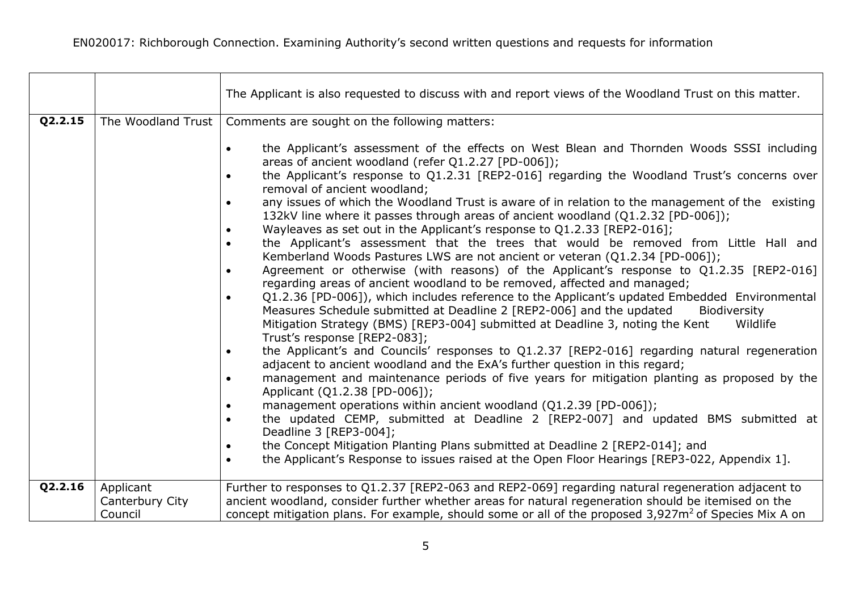$\blacksquare$ 

|         |                                         | The Applicant is also requested to discuss with and report views of the Woodland Trust on this matter.                                                                                                                                                                                                                                                                                                                                                                                                                                                                                                                                                                                                                                                                                                                                                                                                                                                                                                                                                                                                                                                                                                                                                                                                                                                                                                                                                                                                                                                                                                                                                                                                                                                                                                                                                                                                                                                                                                                                                               |
|---------|-----------------------------------------|----------------------------------------------------------------------------------------------------------------------------------------------------------------------------------------------------------------------------------------------------------------------------------------------------------------------------------------------------------------------------------------------------------------------------------------------------------------------------------------------------------------------------------------------------------------------------------------------------------------------------------------------------------------------------------------------------------------------------------------------------------------------------------------------------------------------------------------------------------------------------------------------------------------------------------------------------------------------------------------------------------------------------------------------------------------------------------------------------------------------------------------------------------------------------------------------------------------------------------------------------------------------------------------------------------------------------------------------------------------------------------------------------------------------------------------------------------------------------------------------------------------------------------------------------------------------------------------------------------------------------------------------------------------------------------------------------------------------------------------------------------------------------------------------------------------------------------------------------------------------------------------------------------------------------------------------------------------------------------------------------------------------------------------------------------------------|
| Q2.2.15 | The Woodland Trust                      | Comments are sought on the following matters:<br>the Applicant's assessment of the effects on West Blean and Thornden Woods SSSI including<br>$\bullet$<br>areas of ancient woodland (refer Q1.2.27 [PD-006]);<br>the Applicant's response to Q1.2.31 [REP2-016] regarding the Woodland Trust's concerns over<br>removal of ancient woodland;<br>any issues of which the Woodland Trust is aware of in relation to the management of the existing<br>$\bullet$<br>132kV line where it passes through areas of ancient woodland (Q1.2.32 [PD-006]);<br>Wayleaves as set out in the Applicant's response to Q1.2.33 [REP2-016];<br>the Applicant's assessment that the trees that would be removed from Little Hall and<br>$\bullet$<br>Kemberland Woods Pastures LWS are not ancient or veteran (Q1.2.34 [PD-006]);<br>Agreement or otherwise (with reasons) of the Applicant's response to Q1.2.35 [REP2-016]<br>$\bullet$<br>regarding areas of ancient woodland to be removed, affected and managed;<br>Q1.2.36 [PD-006]), which includes reference to the Applicant's updated Embedded Environmental<br>$\bullet$<br>Measures Schedule submitted at Deadline 2 [REP2-006] and the updated<br>Biodiversity<br>Mitigation Strategy (BMS) [REP3-004] submitted at Deadline 3, noting the Kent<br>Wildlife<br>Trust's response [REP2-083];<br>the Applicant's and Councils' responses to Q1.2.37 [REP2-016] regarding natural regeneration<br>$\bullet$<br>adjacent to ancient woodland and the ExA's further question in this regard;<br>management and maintenance periods of five years for mitigation planting as proposed by the<br>$\bullet$<br>Applicant (Q1.2.38 [PD-006]);<br>management operations within ancient woodland (Q1.2.39 [PD-006]);<br>the updated CEMP, submitted at Deadline 2 [REP2-007] and updated BMS submitted at<br>Deadline 3 [REP3-004];<br>the Concept Mitigation Planting Plans submitted at Deadline 2 [REP2-014]; and<br>the Applicant's Response to issues raised at the Open Floor Hearings [REP3-022, Appendix 1].<br>$\bullet$ |
| Q2.2.16 | Applicant<br>Canterbury City<br>Council | Further to responses to Q1.2.37 [REP2-063 and REP2-069] regarding natural regeneration adjacent to<br>ancient woodland, consider further whether areas for natural regeneration should be itemised on the<br>concept mitigation plans. For example, should some or all of the proposed 3,927m <sup>2</sup> of Species Mix A on                                                                                                                                                                                                                                                                                                                                                                                                                                                                                                                                                                                                                                                                                                                                                                                                                                                                                                                                                                                                                                                                                                                                                                                                                                                                                                                                                                                                                                                                                                                                                                                                                                                                                                                                       |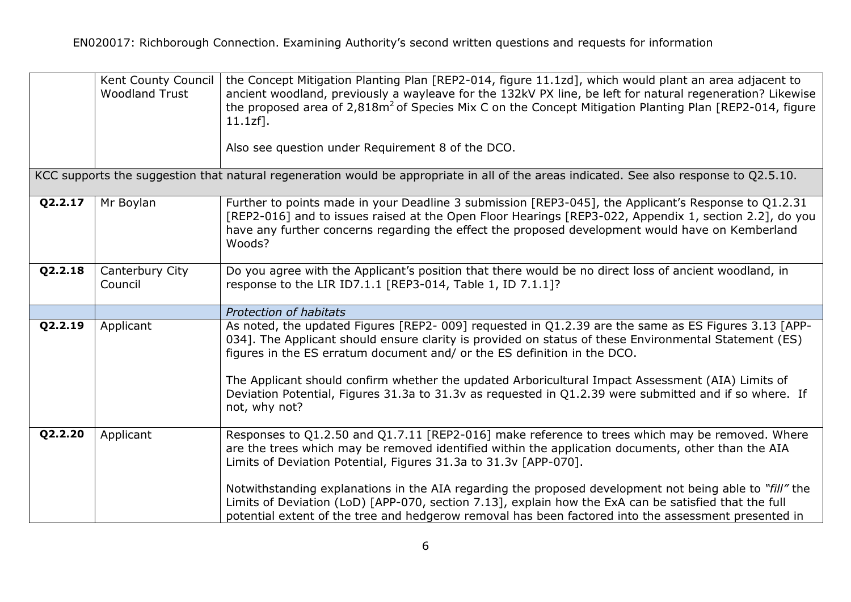|         | Kent County Council<br><b>Woodland Trust</b> | the Concept Mitigation Planting Plan [REP2-014, figure 11.1zd], which would plant an area adjacent to<br>ancient woodland, previously a wayleave for the 132kV PX line, be left for natural regeneration? Likewise<br>the proposed area of $2.818m^2$ of Species Mix C on the Concept Mitigation Planting Plan [REP2-014, figure<br>$11.1zf$ ].<br>Also see question under Requirement 8 of the DCO.                                                                                                                                                                                                  |
|---------|----------------------------------------------|-------------------------------------------------------------------------------------------------------------------------------------------------------------------------------------------------------------------------------------------------------------------------------------------------------------------------------------------------------------------------------------------------------------------------------------------------------------------------------------------------------------------------------------------------------------------------------------------------------|
|         |                                              | KCC supports the suggestion that natural regeneration would be appropriate in all of the areas indicated. See also response to Q2.5.10.                                                                                                                                                                                                                                                                                                                                                                                                                                                               |
| Q2.2.17 | Mr Boylan                                    | Further to points made in your Deadline 3 submission [REP3-045], the Applicant's Response to Q1.2.31<br>[REP2-016] and to issues raised at the Open Floor Hearings [REP3-022, Appendix 1, section 2.2], do you<br>have any further concerns regarding the effect the proposed development would have on Kemberland<br>Woods?                                                                                                                                                                                                                                                                          |
| Q2.2.18 | Canterbury City<br>Council                   | Do you agree with the Applicant's position that there would be no direct loss of ancient woodland, in<br>response to the LIR ID7.1.1 [REP3-014, Table 1, ID 7.1.1]?                                                                                                                                                                                                                                                                                                                                                                                                                                   |
|         |                                              | Protection of habitats                                                                                                                                                                                                                                                                                                                                                                                                                                                                                                                                                                                |
| Q2.2.19 | Applicant                                    | As noted, the updated Figures [REP2- 009] requested in Q1.2.39 are the same as ES Figures 3.13 [APP-<br>034]. The Applicant should ensure clarity is provided on status of these Environmental Statement (ES)<br>figures in the ES erratum document and/ or the ES definition in the DCO.<br>The Applicant should confirm whether the updated Arboricultural Impact Assessment (AIA) Limits of<br>Deviation Potential, Figures 31.3a to 31.3v as requested in Q1.2.39 were submitted and if so where. If<br>not, why not?                                                                             |
| Q2.2.20 | Applicant                                    | Responses to Q1.2.50 and Q1.7.11 [REP2-016] make reference to trees which may be removed. Where<br>are the trees which may be removed identified within the application documents, other than the AIA<br>Limits of Deviation Potential, Figures 31.3a to 31.3v [APP-070].<br>Notwithstanding explanations in the AIA regarding the proposed development not being able to "fill" the<br>Limits of Deviation (LoD) [APP-070, section 7.13], explain how the ExA can be satisfied that the full<br>potential extent of the tree and hedgerow removal has been factored into the assessment presented in |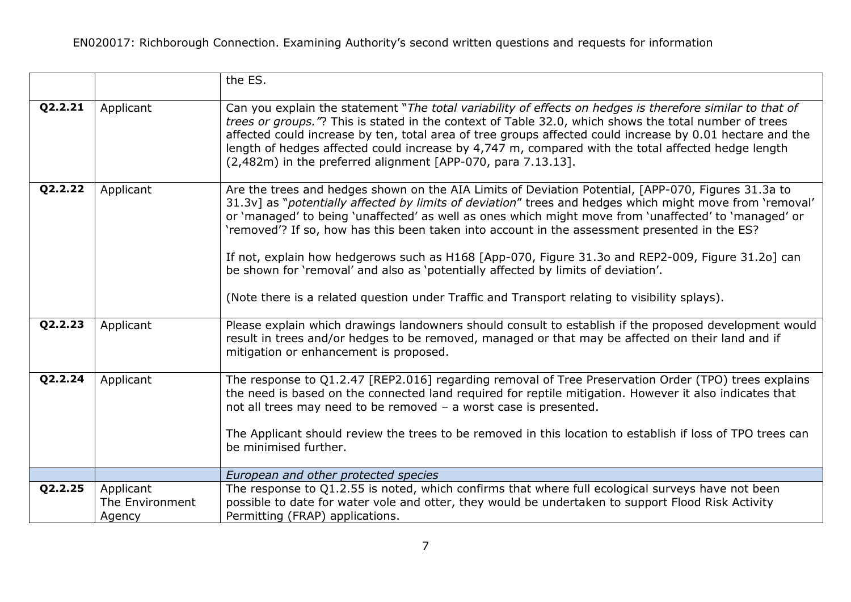|         |                                        | the ES.                                                                                                                                                                                                                                                                                                                                                                                                                                                                                                                                                                                                                                                                                                              |
|---------|----------------------------------------|----------------------------------------------------------------------------------------------------------------------------------------------------------------------------------------------------------------------------------------------------------------------------------------------------------------------------------------------------------------------------------------------------------------------------------------------------------------------------------------------------------------------------------------------------------------------------------------------------------------------------------------------------------------------------------------------------------------------|
| Q2.2.21 | Applicant                              | Can you explain the statement "The total variability of effects on hedges is therefore similar to that of<br>trees or groups."? This is stated in the context of Table 32.0, which shows the total number of trees<br>affected could increase by ten, total area of tree groups affected could increase by 0.01 hectare and the<br>length of hedges affected could increase by 4,747 m, compared with the total affected hedge length<br>$(2,482m)$ in the preferred alignment [APP-070, para 7.13.13].                                                                                                                                                                                                              |
| Q2.2.22 | Applicant                              | Are the trees and hedges shown on the AIA Limits of Deviation Potential, [APP-070, Figures 31.3a to<br>31.3v] as "potentially affected by limits of deviation" trees and hedges which might move from 'removal'<br>or 'managed' to being 'unaffected' as well as ones which might move from 'unaffected' to 'managed' or<br>'removed'? If so, how has this been taken into account in the assessment presented in the ES?<br>If not, explain how hedgerows such as H168 [App-070, Figure 31.3o and REP2-009, Figure 31.2o] can<br>be shown for 'removal' and also as 'potentially affected by limits of deviation'.<br>(Note there is a related question under Traffic and Transport relating to visibility splays). |
| Q2.2.23 | Applicant                              | Please explain which drawings landowners should consult to establish if the proposed development would<br>result in trees and/or hedges to be removed, managed or that may be affected on their land and if<br>mitigation or enhancement is proposed.                                                                                                                                                                                                                                                                                                                                                                                                                                                                |
| Q2.2.24 | Applicant                              | The response to Q1.2.47 [REP2.016] regarding removal of Tree Preservation Order (TPO) trees explains<br>the need is based on the connected land required for reptile mitigation. However it also indicates that<br>not all trees may need to be removed - a worst case is presented.<br>The Applicant should review the trees to be removed in this location to establish if loss of TPO trees can<br>be minimised further.                                                                                                                                                                                                                                                                                          |
|         |                                        | European and other protected species                                                                                                                                                                                                                                                                                                                                                                                                                                                                                                                                                                                                                                                                                 |
| Q2.2.25 | Applicant<br>The Environment<br>Agency | The response to Q1.2.55 is noted, which confirms that where full ecological surveys have not been<br>possible to date for water vole and otter, they would be undertaken to support Flood Risk Activity<br>Permitting (FRAP) applications.                                                                                                                                                                                                                                                                                                                                                                                                                                                                           |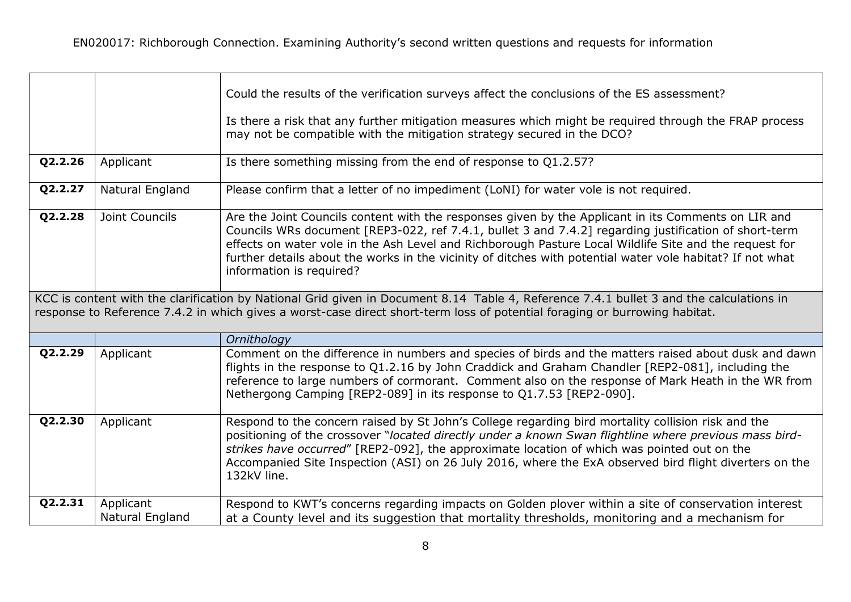|         |                              | Could the results of the verification surveys affect the conclusions of the ES assessment?                                                                                                                                                                                                                                                                                                                                                                      |
|---------|------------------------------|-----------------------------------------------------------------------------------------------------------------------------------------------------------------------------------------------------------------------------------------------------------------------------------------------------------------------------------------------------------------------------------------------------------------------------------------------------------------|
|         |                              | Is there a risk that any further mitigation measures which might be required through the FRAP process<br>may not be compatible with the mitigation strategy secured in the DCO?                                                                                                                                                                                                                                                                                 |
| Q2.2.26 | Applicant                    | Is there something missing from the end of response to Q1.2.57?                                                                                                                                                                                                                                                                                                                                                                                                 |
| Q2.2.27 | Natural England              | Please confirm that a letter of no impediment (LoNI) for water vole is not required.                                                                                                                                                                                                                                                                                                                                                                            |
| Q2.2.28 | Joint Councils               | Are the Joint Councils content with the responses given by the Applicant in its Comments on LIR and<br>Councils WRs document [REP3-022, ref 7.4.1, bullet 3 and 7.4.2] regarding justification of short-term<br>effects on water vole in the Ash Level and Richborough Pasture Local Wildlife Site and the request for<br>further details about the works in the vicinity of ditches with potential water vole habitat? If not what<br>information is required? |
|         |                              | KCC is content with the clarification by National Grid given in Document 8.14 Table 4, Reference 7.4.1 bullet 3 and the calculations in<br>response to Reference 7.4.2 in which gives a worst-case direct short-term loss of potential foraging or burrowing habitat.                                                                                                                                                                                           |
|         |                              | Ornithology                                                                                                                                                                                                                                                                                                                                                                                                                                                     |
| Q2.2.29 | Applicant                    | Comment on the difference in numbers and species of birds and the matters raised about dusk and dawn<br>flights in the response to Q1.2.16 by John Craddick and Graham Chandler [REP2-081], including the<br>reference to large numbers of cormorant. Comment also on the response of Mark Heath in the WR from<br>Nethergong Camping [REP2-089] in its response to Q1.7.53 [REP2-090].                                                                         |
| Q2.2.30 | Applicant                    | Respond to the concern raised by St John's College regarding bird mortality collision risk and the<br>positioning of the crossover "located directly under a known Swan flightline where previous mass bird-<br>strikes have occurred" [REP2-092], the approximate location of which was pointed out on the<br>Accompanied Site Inspection (ASI) on 26 July 2016, where the ExA observed bird flight diverters on the<br>132kV line.                            |
| Q2.2.31 | Applicant<br>Natural England | Respond to KWT's concerns regarding impacts on Golden plover within a site of conservation interest<br>at a County level and its suggestion that mortality thresholds, monitoring and a mechanism for                                                                                                                                                                                                                                                           |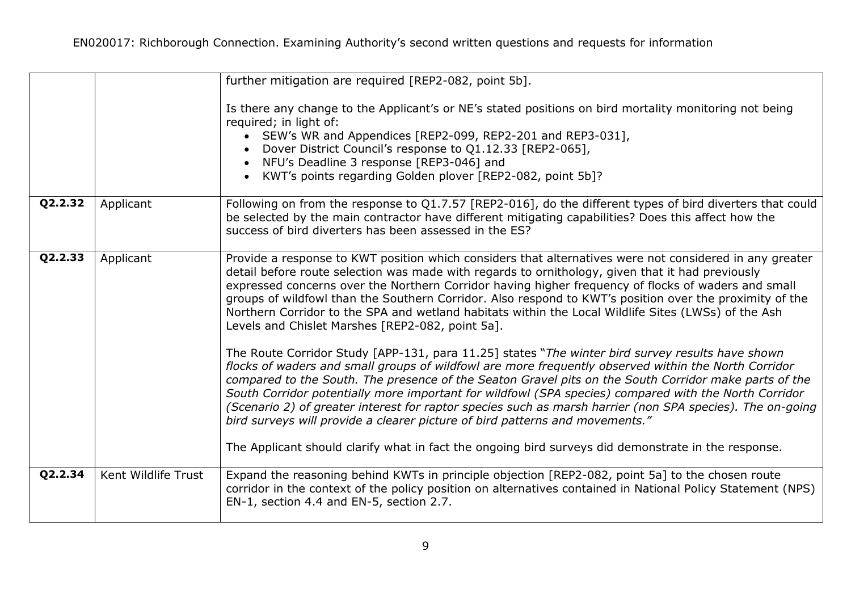|         |                     | further mitigation are required [REP2-082, point 5b].                                                                                                                                                                                                                                                                                                                                                                                                                                                                                                                                                                   |
|---------|---------------------|-------------------------------------------------------------------------------------------------------------------------------------------------------------------------------------------------------------------------------------------------------------------------------------------------------------------------------------------------------------------------------------------------------------------------------------------------------------------------------------------------------------------------------------------------------------------------------------------------------------------------|
|         |                     | Is there any change to the Applicant's or NE's stated positions on bird mortality monitoring not being<br>required; in light of:<br>• SEW's WR and Appendices [REP2-099, REP2-201 and REP3-031],<br>Dover District Council's response to Q1.12.33 [REP2-065],<br>NFU's Deadline 3 response [REP3-046] and<br>KWT's points regarding Golden plover [REP2-082, point 5b]?                                                                                                                                                                                                                                                 |
| Q2.2.32 | Applicant           | Following on from the response to Q1.7.57 [REP2-016], do the different types of bird diverters that could<br>be selected by the main contractor have different mitigating capabilities? Does this affect how the<br>success of bird diverters has been assessed in the ES?                                                                                                                                                                                                                                                                                                                                              |
| Q2.2.33 | Applicant           | Provide a response to KWT position which considers that alternatives were not considered in any greater<br>detail before route selection was made with regards to ornithology, given that it had previously<br>expressed concerns over the Northern Corridor having higher frequency of flocks of waders and small<br>groups of wildfowl than the Southern Corridor. Also respond to KWT's position over the proximity of the<br>Northern Corridor to the SPA and wetland habitats within the Local Wildlife Sites (LWSs) of the Ash<br>Levels and Chislet Marshes [REP2-082, point 5a].                                |
|         |                     | The Route Corridor Study [APP-131, para 11.25] states "The winter bird survey results have shown<br>flocks of waders and small groups of wildfowl are more frequently observed within the North Corridor<br>compared to the South. The presence of the Seaton Gravel pits on the South Corridor make parts of the<br>South Corridor potentially more important for wildfowl (SPA species) compared with the North Corridor<br>(Scenario 2) of greater interest for raptor species such as marsh harrier (non SPA species). The on-going<br>bird surveys will provide a clearer picture of bird patterns and movements." |
|         |                     | The Applicant should clarify what in fact the ongoing bird surveys did demonstrate in the response.                                                                                                                                                                                                                                                                                                                                                                                                                                                                                                                     |
| Q2.2.34 | Kent Wildlife Trust | Expand the reasoning behind KWTs in principle objection [REP2-082, point 5a] to the chosen route<br>corridor in the context of the policy position on alternatives contained in National Policy Statement (NPS)<br>EN-1, section 4.4 and EN-5, section 2.7.                                                                                                                                                                                                                                                                                                                                                             |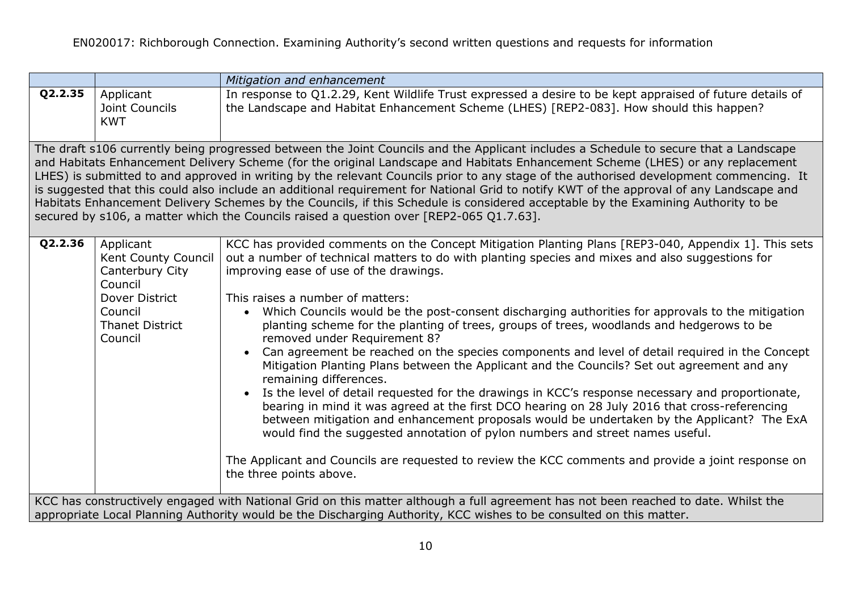|                                                                                                                                                                                                                                                            |                                                                                                                                  | Mitigation and enhancement                                                                                                                                                                                                                                                                                                                                                                                                                                                                                                                                                                                                                                                                                                                                                                                                                                                                                                                                                                                                                                                                                                                                                                                                                                                              |
|------------------------------------------------------------------------------------------------------------------------------------------------------------------------------------------------------------------------------------------------------------|----------------------------------------------------------------------------------------------------------------------------------|-----------------------------------------------------------------------------------------------------------------------------------------------------------------------------------------------------------------------------------------------------------------------------------------------------------------------------------------------------------------------------------------------------------------------------------------------------------------------------------------------------------------------------------------------------------------------------------------------------------------------------------------------------------------------------------------------------------------------------------------------------------------------------------------------------------------------------------------------------------------------------------------------------------------------------------------------------------------------------------------------------------------------------------------------------------------------------------------------------------------------------------------------------------------------------------------------------------------------------------------------------------------------------------------|
| Q2.2.35                                                                                                                                                                                                                                                    | Applicant<br>Joint Councils<br><b>KWT</b>                                                                                        | In response to Q1.2.29, Kent Wildlife Trust expressed a desire to be kept appraised of future details of<br>the Landscape and Habitat Enhancement Scheme (LHES) [REP2-083]. How should this happen?                                                                                                                                                                                                                                                                                                                                                                                                                                                                                                                                                                                                                                                                                                                                                                                                                                                                                                                                                                                                                                                                                     |
|                                                                                                                                                                                                                                                            |                                                                                                                                  | The draft s106 currently being progressed between the Joint Councils and the Applicant includes a Schedule to secure that a Landscape<br>and Habitats Enhancement Delivery Scheme (for the original Landscape and Habitats Enhancement Scheme (LHES) or any replacement<br>LHES) is submitted to and approved in writing by the relevant Councils prior to any stage of the authorised development commencing. It<br>is suggested that this could also include an additional requirement for National Grid to notify KWT of the approval of any Landscape and<br>Habitats Enhancement Delivery Schemes by the Councils, if this Schedule is considered acceptable by the Examining Authority to be<br>secured by s106, a matter which the Councils raised a question over [REP2-065 Q1.7.63].                                                                                                                                                                                                                                                                                                                                                                                                                                                                                           |
| Q2.2.36                                                                                                                                                                                                                                                    | Applicant<br>Kent County Council<br>Canterbury City<br>Council<br>Dover District<br>Council<br><b>Thanet District</b><br>Council | KCC has provided comments on the Concept Mitigation Planting Plans [REP3-040, Appendix 1]. This sets<br>out a number of technical matters to do with planting species and mixes and also suggestions for<br>improving ease of use of the drawings.<br>This raises a number of matters:<br>• Which Councils would be the post-consent discharging authorities for approvals to the mitigation<br>planting scheme for the planting of trees, groups of trees, woodlands and hedgerows to be<br>removed under Requirement 8?<br>Can agreement be reached on the species components and level of detail required in the Concept<br>$\bullet$<br>Mitigation Planting Plans between the Applicant and the Councils? Set out agreement and any<br>remaining differences.<br>Is the level of detail requested for the drawings in KCC's response necessary and proportionate,<br>bearing in mind it was agreed at the first DCO hearing on 28 July 2016 that cross-referencing<br>between mitigation and enhancement proposals would be undertaken by the Applicant? The ExA<br>would find the suggested annotation of pylon numbers and street names useful.<br>The Applicant and Councils are requested to review the KCC comments and provide a joint response on<br>the three points above. |
| KCC has constructively engaged with National Grid on this matter although a full agreement has not been reached to date. Whilst the<br>appropriate Local Planning Authority would be the Discharging Authority, KCC wishes to be consulted on this matter. |                                                                                                                                  |                                                                                                                                                                                                                                                                                                                                                                                                                                                                                                                                                                                                                                                                                                                                                                                                                                                                                                                                                                                                                                                                                                                                                                                                                                                                                         |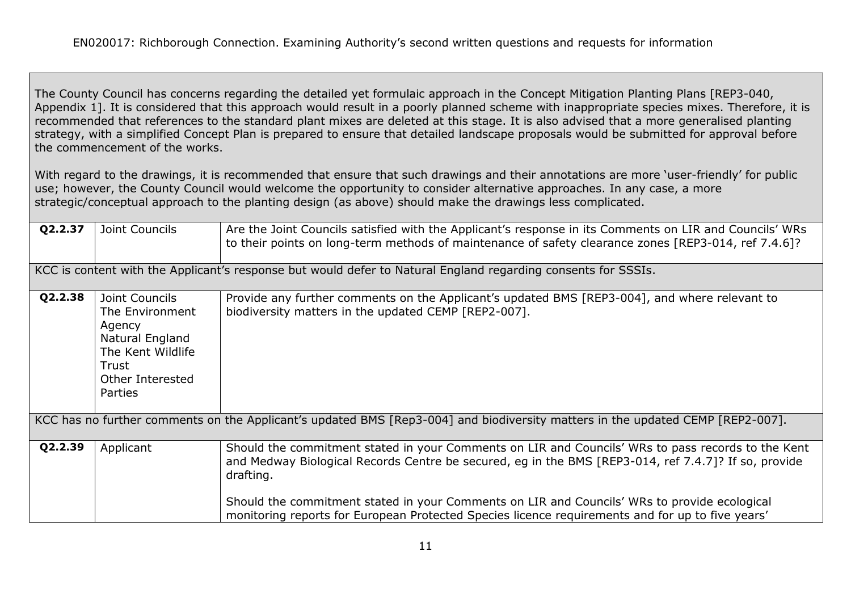The County Council has concerns regarding the detailed yet formulaic approach in the Concept Mitigation Planting Plans [REP3-040, Appendix 1]. It is considered that this approach would result in a poorly planned scheme with inappropriate species mixes. Therefore, it is recommended that references to the standard plant mixes are deleted at this stage. It is also advised that a more generalised planting strategy, with a simplified Concept Plan is prepared to ensure that detailed landscape proposals would be submitted for approval before the commencement of the works.

With regard to the drawings, it is recommended that ensure that such drawings and their annotations are more 'user-friendly' for public use; however, the County Council would welcome the opportunity to consider alternative approaches. In any case, a more strategic/conceptual approach to the planting design (as above) should make the drawings less complicated.

| Q2.2.37 | Joint Councils                                                                                                              | Are the Joint Councils satisfied with the Applicant's response in its Comments on LIR and Councils' WRs<br>to their points on long-term methods of maintenance of safety clearance zones [REP3-014, ref 7.4.6]?                                                                                                                                                                                                             |
|---------|-----------------------------------------------------------------------------------------------------------------------------|-----------------------------------------------------------------------------------------------------------------------------------------------------------------------------------------------------------------------------------------------------------------------------------------------------------------------------------------------------------------------------------------------------------------------------|
|         |                                                                                                                             | KCC is content with the Applicant's response but would defer to Natural England regarding consents for SSSIs.                                                                                                                                                                                                                                                                                                               |
| Q2.2.38 | Joint Councils<br>The Environment<br>Agency<br>Natural England<br>The Kent Wildlife<br>Trust<br>Other Interested<br>Parties | Provide any further comments on the Applicant's updated BMS [REP3-004], and where relevant to<br>biodiversity matters in the updated CEMP [REP2-007].                                                                                                                                                                                                                                                                       |
|         |                                                                                                                             | KCC has no further comments on the Applicant's updated BMS [Rep3-004] and biodiversity matters in the updated CEMP [REP2-007].                                                                                                                                                                                                                                                                                              |
| Q2.2.39 | Applicant                                                                                                                   | Should the commitment stated in your Comments on LIR and Councils' WRs to pass records to the Kent<br>and Medway Biological Records Centre be secured, eg in the BMS [REP3-014, ref 7.4.7]? If so, provide<br>drafting.<br>Should the commitment stated in your Comments on LIR and Councils' WRs to provide ecological<br>monitoring reports for European Protected Species licence requirements and for up to five years' |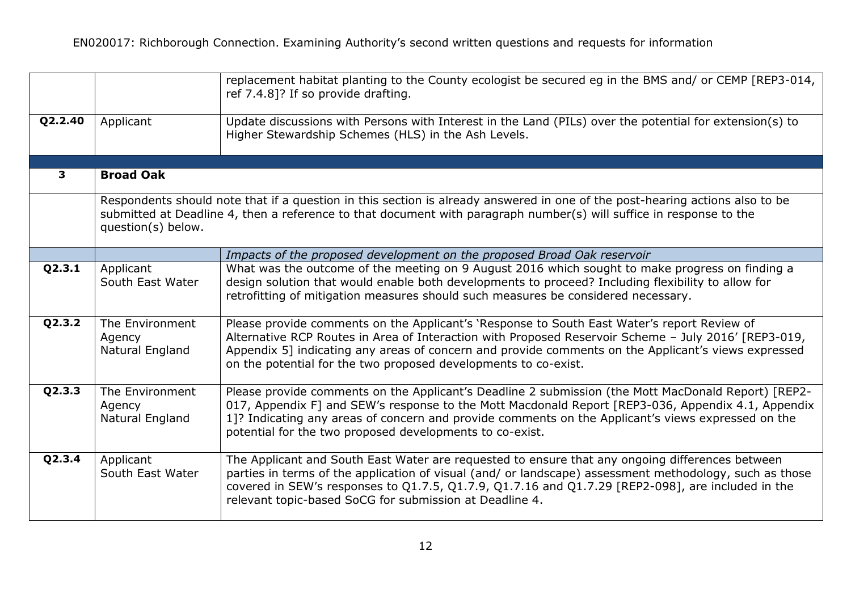|         |                                              | replacement habitat planting to the County ecologist be secured eg in the BMS and/ or CEMP [REP3-014,<br>ref 7.4.8]? If so provide drafting.                                                                                                                                                                                                                                  |
|---------|----------------------------------------------|-------------------------------------------------------------------------------------------------------------------------------------------------------------------------------------------------------------------------------------------------------------------------------------------------------------------------------------------------------------------------------|
| Q2.2.40 | Applicant                                    | Update discussions with Persons with Interest in the Land (PILs) over the potential for extension(s) to<br>Higher Stewardship Schemes (HLS) in the Ash Levels.                                                                                                                                                                                                                |
|         |                                              |                                                                                                                                                                                                                                                                                                                                                                               |
| 3       | <b>Broad Oak</b>                             |                                                                                                                                                                                                                                                                                                                                                                               |
|         | question(s) below.                           | Respondents should note that if a question in this section is already answered in one of the post-hearing actions also to be<br>submitted at Deadline 4, then a reference to that document with paragraph number(s) will suffice in response to the                                                                                                                           |
|         |                                              | Impacts of the proposed development on the proposed Broad Oak reservoir                                                                                                                                                                                                                                                                                                       |
| Q2.3.1  | Applicant<br>South East Water                | What was the outcome of the meeting on 9 August 2016 which sought to make progress on finding a<br>design solution that would enable both developments to proceed? Including flexibility to allow for<br>retrofitting of mitigation measures should such measures be considered necessary.                                                                                    |
| Q2.3.2  | The Environment<br>Agency<br>Natural England | Please provide comments on the Applicant's 'Response to South East Water's report Review of<br>Alternative RCP Routes in Area of Interaction with Proposed Reservoir Scheme - July 2016' [REP3-019,<br>Appendix 5] indicating any areas of concern and provide comments on the Applicant's views expressed<br>on the potential for the two proposed developments to co-exist. |
| Q2.3.3  | The Environment<br>Agency<br>Natural England | Please provide comments on the Applicant's Deadline 2 submission (the Mott MacDonald Report) [REP2-<br>017, Appendix F] and SEW's response to the Mott Macdonald Report [REP3-036, Appendix 4.1, Appendix<br>1]? Indicating any areas of concern and provide comments on the Applicant's views expressed on the<br>potential for the two proposed developments to co-exist.   |
| Q2.3.4  | Applicant<br>South East Water                | The Applicant and South East Water are requested to ensure that any ongoing differences between<br>parties in terms of the application of visual (and/ or landscape) assessment methodology, such as those<br>covered in SEW's responses to Q1.7.5, Q1.7.9, Q1.7.16 and Q1.7.29 [REP2-098], are included in the<br>relevant topic-based SoCG for submission at Deadline 4.    |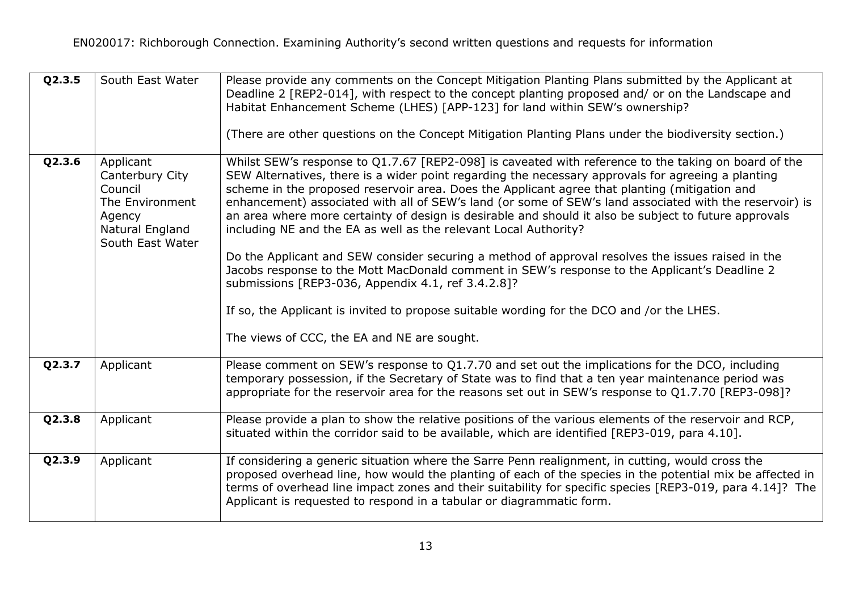| Q2.3.5 | South East Water                                                                                            | Please provide any comments on the Concept Mitigation Planting Plans submitted by the Applicant at<br>Deadline 2 [REP2-014], with respect to the concept planting proposed and/ or on the Landscape and<br>Habitat Enhancement Scheme (LHES) [APP-123] for land within SEW's ownership?<br>(There are other questions on the Concept Mitigation Planting Plans under the biodiversity section.)                                                                                                                                                                                                                                                                                                                                                                                                                                                                                                                                                                                                             |
|--------|-------------------------------------------------------------------------------------------------------------|-------------------------------------------------------------------------------------------------------------------------------------------------------------------------------------------------------------------------------------------------------------------------------------------------------------------------------------------------------------------------------------------------------------------------------------------------------------------------------------------------------------------------------------------------------------------------------------------------------------------------------------------------------------------------------------------------------------------------------------------------------------------------------------------------------------------------------------------------------------------------------------------------------------------------------------------------------------------------------------------------------------|
| Q2.3.6 | Applicant<br>Canterbury City<br>Council<br>The Environment<br>Agency<br>Natural England<br>South East Water | Whilst SEW's response to Q1.7.67 [REP2-098] is caveated with reference to the taking on board of the<br>SEW Alternatives, there is a wider point regarding the necessary approvals for agreeing a planting<br>scheme in the proposed reservoir area. Does the Applicant agree that planting (mitigation and<br>enhancement) associated with all of SEW's land (or some of SEW's land associated with the reservoir) is<br>an area where more certainty of design is desirable and should it also be subject to future approvals<br>including NE and the EA as well as the relevant Local Authority?<br>Do the Applicant and SEW consider securing a method of approval resolves the issues raised in the<br>Jacobs response to the Mott MacDonald comment in SEW's response to the Applicant's Deadline 2<br>submissions [REP3-036, Appendix 4.1, ref 3.4.2.8]?<br>If so, the Applicant is invited to propose suitable wording for the DCO and /or the LHES.<br>The views of CCC, the EA and NE are sought. |
| Q2.3.7 | Applicant                                                                                                   | Please comment on SEW's response to Q1.7.70 and set out the implications for the DCO, including<br>temporary possession, if the Secretary of State was to find that a ten year maintenance period was<br>appropriate for the reservoir area for the reasons set out in SEW's response to Q1.7.70 [REP3-098]?                                                                                                                                                                                                                                                                                                                                                                                                                                                                                                                                                                                                                                                                                                |
| Q2.3.8 | Applicant                                                                                                   | Please provide a plan to show the relative positions of the various elements of the reservoir and RCP,<br>situated within the corridor said to be available, which are identified [REP3-019, para 4.10].                                                                                                                                                                                                                                                                                                                                                                                                                                                                                                                                                                                                                                                                                                                                                                                                    |
| Q2.3.9 | Applicant                                                                                                   | If considering a generic situation where the Sarre Penn realignment, in cutting, would cross the<br>proposed overhead line, how would the planting of each of the species in the potential mix be affected in<br>terms of overhead line impact zones and their suitability for specific species [REP3-019, para 4.14]? The<br>Applicant is requested to respond in a tabular or diagrammatic form.                                                                                                                                                                                                                                                                                                                                                                                                                                                                                                                                                                                                          |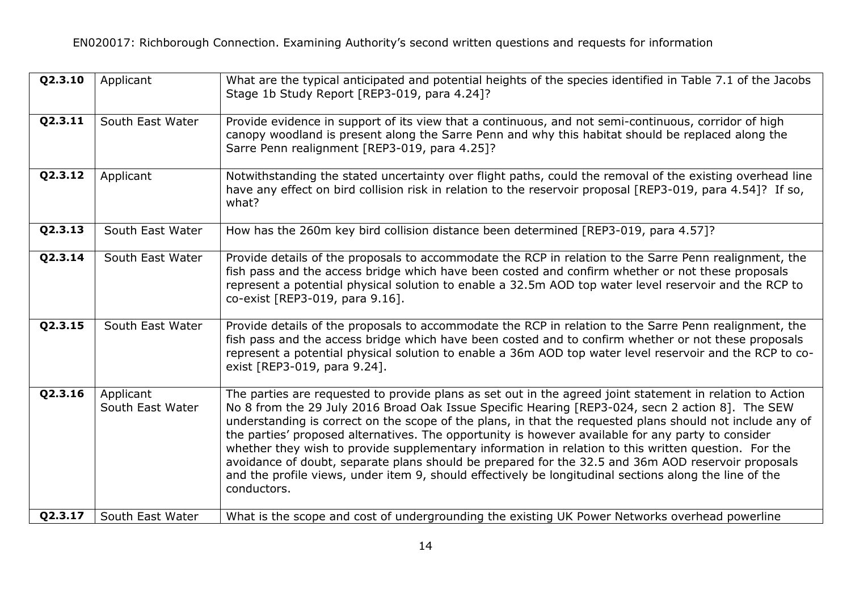| Q2.3.10 | Applicant                     | What are the typical anticipated and potential heights of the species identified in Table 7.1 of the Jacobs<br>Stage 1b Study Report [REP3-019, para 4.24]?                                                                                                                                                                                                                                                                                                                                                                                                                                                                                                                                                                                                             |
|---------|-------------------------------|-------------------------------------------------------------------------------------------------------------------------------------------------------------------------------------------------------------------------------------------------------------------------------------------------------------------------------------------------------------------------------------------------------------------------------------------------------------------------------------------------------------------------------------------------------------------------------------------------------------------------------------------------------------------------------------------------------------------------------------------------------------------------|
| Q2.3.11 | South East Water              | Provide evidence in support of its view that a continuous, and not semi-continuous, corridor of high<br>canopy woodland is present along the Sarre Penn and why this habitat should be replaced along the<br>Sarre Penn realignment [REP3-019, para 4.25]?                                                                                                                                                                                                                                                                                                                                                                                                                                                                                                              |
| Q2.3.12 | Applicant                     | Notwithstanding the stated uncertainty over flight paths, could the removal of the existing overhead line<br>have any effect on bird collision risk in relation to the reservoir proposal [REP3-019, para 4.54]? If so,<br>what?                                                                                                                                                                                                                                                                                                                                                                                                                                                                                                                                        |
| Q2.3.13 | South East Water              | How has the 260m key bird collision distance been determined [REP3-019, para 4.57]?                                                                                                                                                                                                                                                                                                                                                                                                                                                                                                                                                                                                                                                                                     |
| Q2.3.14 | South East Water              | Provide details of the proposals to accommodate the RCP in relation to the Sarre Penn realignment, the<br>fish pass and the access bridge which have been costed and confirm whether or not these proposals<br>represent a potential physical solution to enable a 32.5m AOD top water level reservoir and the RCP to<br>co-exist [REP3-019, para 9.16].                                                                                                                                                                                                                                                                                                                                                                                                                |
| Q2.3.15 | South East Water              | Provide details of the proposals to accommodate the RCP in relation to the Sarre Penn realignment, the<br>fish pass and the access bridge which have been costed and to confirm whether or not these proposals<br>represent a potential physical solution to enable a 36m AOD top water level reservoir and the RCP to co-<br>exist [REP3-019, para 9.24].                                                                                                                                                                                                                                                                                                                                                                                                              |
| Q2.3.16 | Applicant<br>South East Water | The parties are requested to provide plans as set out in the agreed joint statement in relation to Action<br>No 8 from the 29 July 2016 Broad Oak Issue Specific Hearing [REP3-024, secn 2 action 8]. The SEW<br>understanding is correct on the scope of the plans, in that the requested plans should not include any of<br>the parties' proposed alternatives. The opportunity is however available for any party to consider<br>whether they wish to provide supplementary information in relation to this written question. For the<br>avoidance of doubt, separate plans should be prepared for the 32.5 and 36m AOD reservoir proposals<br>and the profile views, under item 9, should effectively be longitudinal sections along the line of the<br>conductors. |
| Q2.3.17 | South East Water              | What is the scope and cost of undergrounding the existing UK Power Networks overhead powerline                                                                                                                                                                                                                                                                                                                                                                                                                                                                                                                                                                                                                                                                          |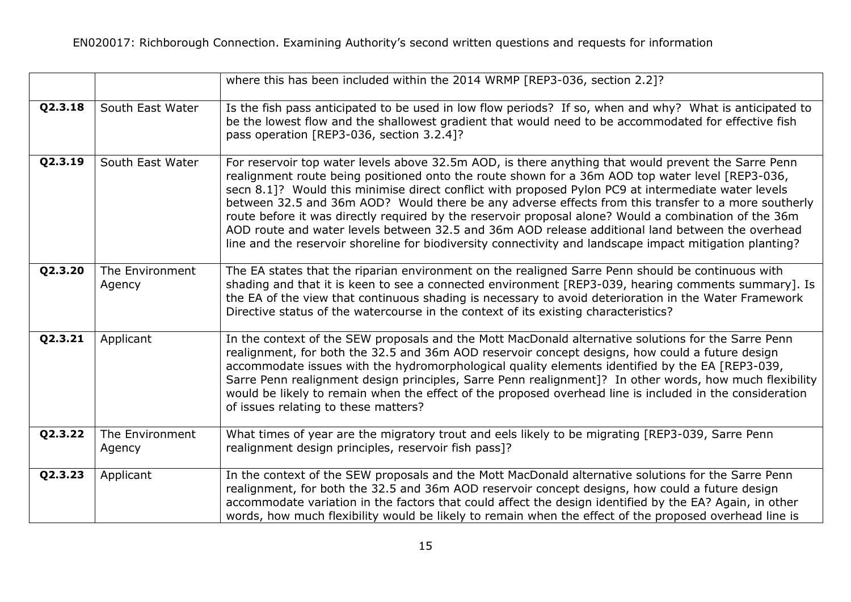|         |                           | where this has been included within the 2014 WRMP [REP3-036, section 2.2]?                                                                                                                                                                                                                                                                                                                                                                                                                                                                                                                                                                                                                                                                     |
|---------|---------------------------|------------------------------------------------------------------------------------------------------------------------------------------------------------------------------------------------------------------------------------------------------------------------------------------------------------------------------------------------------------------------------------------------------------------------------------------------------------------------------------------------------------------------------------------------------------------------------------------------------------------------------------------------------------------------------------------------------------------------------------------------|
| Q2.3.18 | South East Water          | Is the fish pass anticipated to be used in low flow periods? If so, when and why? What is anticipated to<br>be the lowest flow and the shallowest gradient that would need to be accommodated for effective fish<br>pass operation [REP3-036, section 3.2.4]?                                                                                                                                                                                                                                                                                                                                                                                                                                                                                  |
| Q2.3.19 | South East Water          | For reservoir top water levels above 32.5m AOD, is there anything that would prevent the Sarre Penn<br>realignment route being positioned onto the route shown for a 36m AOD top water level [REP3-036,<br>secn 8.1]? Would this minimise direct conflict with proposed Pylon PC9 at intermediate water levels<br>between 32.5 and 36m AOD? Would there be any adverse effects from this transfer to a more southerly<br>route before it was directly required by the reservoir proposal alone? Would a combination of the 36m<br>AOD route and water levels between 32.5 and 36m AOD release additional land between the overhead<br>line and the reservoir shoreline for biodiversity connectivity and landscape impact mitigation planting? |
| Q2.3.20 | The Environment<br>Agency | The EA states that the riparian environment on the realigned Sarre Penn should be continuous with<br>shading and that it is keen to see a connected environment [REP3-039, hearing comments summary]. Is<br>the EA of the view that continuous shading is necessary to avoid deterioration in the Water Framework<br>Directive status of the watercourse in the context of its existing characteristics?                                                                                                                                                                                                                                                                                                                                       |
| Q2.3.21 | Applicant                 | In the context of the SEW proposals and the Mott MacDonald alternative solutions for the Sarre Penn<br>realignment, for both the 32.5 and 36m AOD reservoir concept designs, how could a future design<br>accommodate issues with the hydromorphological quality elements identified by the EA [REP3-039,<br>Sarre Penn realignment design principles, Sarre Penn realignment]? In other words, how much flexibility<br>would be likely to remain when the effect of the proposed overhead line is included in the consideration<br>of issues relating to these matters?                                                                                                                                                                       |
| Q2.3.22 | The Environment<br>Agency | What times of year are the migratory trout and eels likely to be migrating [REP3-039, Sarre Penn<br>realignment design principles, reservoir fish pass]?                                                                                                                                                                                                                                                                                                                                                                                                                                                                                                                                                                                       |
| Q2.3.23 | Applicant                 | In the context of the SEW proposals and the Mott MacDonald alternative solutions for the Sarre Penn<br>realignment, for both the 32.5 and 36m AOD reservoir concept designs, how could a future design<br>accommodate variation in the factors that could affect the design identified by the EA? Again, in other<br>words, how much flexibility would be likely to remain when the effect of the proposed overhead line is                                                                                                                                                                                                                                                                                                                    |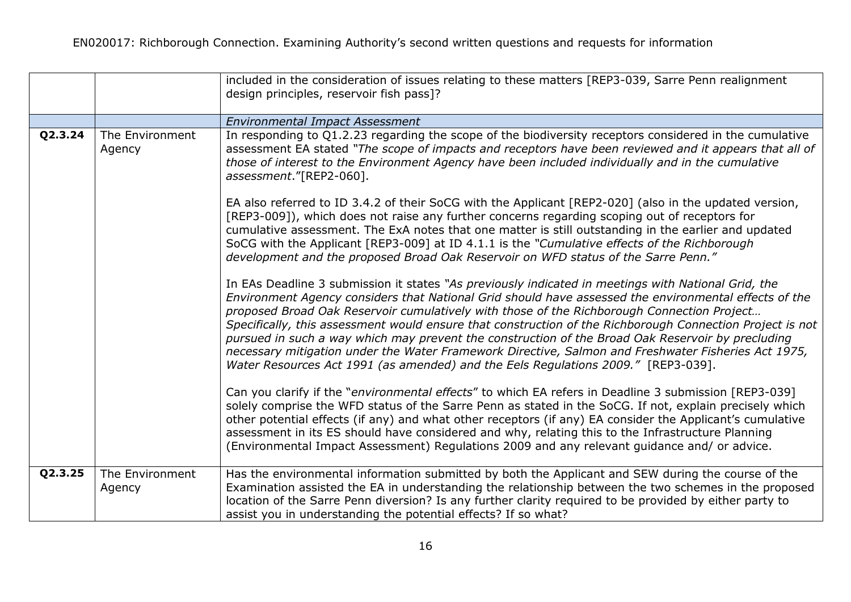|         |                           | included in the consideration of issues relating to these matters [REP3-039, Sarre Penn realignment<br>design principles, reservoir fish pass]?                                                                                                                                                                                                                                                                                                                                                                                                                                                                                                                                                                                                                                                                                                                                                                                                                                                                                                                                                                                                                                                                                                                                                                                                                                                                                                                                                                                                                                                                                                                                                                                                                                                                                                                                                                                                                                                                                                                                                                              |
|---------|---------------------------|------------------------------------------------------------------------------------------------------------------------------------------------------------------------------------------------------------------------------------------------------------------------------------------------------------------------------------------------------------------------------------------------------------------------------------------------------------------------------------------------------------------------------------------------------------------------------------------------------------------------------------------------------------------------------------------------------------------------------------------------------------------------------------------------------------------------------------------------------------------------------------------------------------------------------------------------------------------------------------------------------------------------------------------------------------------------------------------------------------------------------------------------------------------------------------------------------------------------------------------------------------------------------------------------------------------------------------------------------------------------------------------------------------------------------------------------------------------------------------------------------------------------------------------------------------------------------------------------------------------------------------------------------------------------------------------------------------------------------------------------------------------------------------------------------------------------------------------------------------------------------------------------------------------------------------------------------------------------------------------------------------------------------------------------------------------------------------------------------------------------------|
|         |                           | <b>Environmental Impact Assessment</b>                                                                                                                                                                                                                                                                                                                                                                                                                                                                                                                                                                                                                                                                                                                                                                                                                                                                                                                                                                                                                                                                                                                                                                                                                                                                                                                                                                                                                                                                                                                                                                                                                                                                                                                                                                                                                                                                                                                                                                                                                                                                                       |
| Q2.3.24 | The Environment<br>Agency | In responding to Q1.2.23 regarding the scope of the biodiversity receptors considered in the cumulative<br>assessment EA stated "The scope of impacts and receptors have been reviewed and it appears that all of<br>those of interest to the Environment Agency have been included individually and in the cumulative<br>assessment."[REP2-060].<br>EA also referred to ID 3.4.2 of their SoCG with the Applicant [REP2-020] (also in the updated version,<br>[REP3-009]), which does not raise any further concerns regarding scoping out of receptors for<br>cumulative assessment. The ExA notes that one matter is still outstanding in the earlier and updated<br>SoCG with the Applicant [REP3-009] at ID 4.1.1 is the "Cumulative effects of the Richborough<br>development and the proposed Broad Oak Reservoir on WFD status of the Sarre Penn."<br>In EAs Deadline 3 submission it states "As previously indicated in meetings with National Grid, the<br>Environment Agency considers that National Grid should have assessed the environmental effects of the<br>proposed Broad Oak Reservoir cumulatively with those of the Richborough Connection Project<br>Specifically, this assessment would ensure that construction of the Richborough Connection Project is not<br>pursued in such a way which may prevent the construction of the Broad Oak Reservoir by precluding<br>necessary mitigation under the Water Framework Directive, Salmon and Freshwater Fisheries Act 1975,<br>Water Resources Act 1991 (as amended) and the Eels Regulations 2009." [REP3-039].<br>Can you clarify if the "environmental effects" to which EA refers in Deadline 3 submission [REP3-039]<br>solely comprise the WFD status of the Sarre Penn as stated in the SoCG. If not, explain precisely which<br>other potential effects (if any) and what other receptors (if any) EA consider the Applicant's cumulative<br>assessment in its ES should have considered and why, relating this to the Infrastructure Planning<br>(Environmental Impact Assessment) Regulations 2009 and any relevant guidance and/ or advice. |
| Q2.3.25 | The Environment<br>Agency | Has the environmental information submitted by both the Applicant and SEW during the course of the<br>Examination assisted the EA in understanding the relationship between the two schemes in the proposed<br>location of the Sarre Penn diversion? Is any further clarity required to be provided by either party to<br>assist you in understanding the potential effects? If so what?                                                                                                                                                                                                                                                                                                                                                                                                                                                                                                                                                                                                                                                                                                                                                                                                                                                                                                                                                                                                                                                                                                                                                                                                                                                                                                                                                                                                                                                                                                                                                                                                                                                                                                                                     |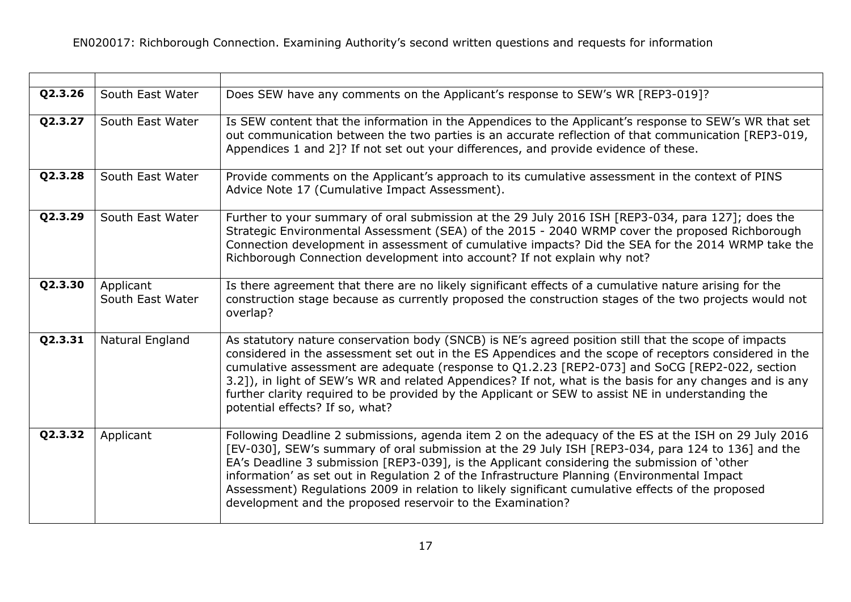| Q2.3.26 | South East Water              | Does SEW have any comments on the Applicant's response to SEW's WR [REP3-019]?                                                                                                                                                                                                                                                                                                                                                                                                                                                                                               |
|---------|-------------------------------|------------------------------------------------------------------------------------------------------------------------------------------------------------------------------------------------------------------------------------------------------------------------------------------------------------------------------------------------------------------------------------------------------------------------------------------------------------------------------------------------------------------------------------------------------------------------------|
| Q2.3.27 | South East Water              | Is SEW content that the information in the Appendices to the Applicant's response to SEW's WR that set<br>out communication between the two parties is an accurate reflection of that communication [REP3-019,<br>Appendices 1 and 2]? If not set out your differences, and provide evidence of these.                                                                                                                                                                                                                                                                       |
| Q2.3.28 | South East Water              | Provide comments on the Applicant's approach to its cumulative assessment in the context of PINS<br>Advice Note 17 (Cumulative Impact Assessment).                                                                                                                                                                                                                                                                                                                                                                                                                           |
| Q2.3.29 | South East Water              | Further to your summary of oral submission at the 29 July 2016 ISH [REP3-034, para 127]; does the<br>Strategic Environmental Assessment (SEA) of the 2015 - 2040 WRMP cover the proposed Richborough<br>Connection development in assessment of cumulative impacts? Did the SEA for the 2014 WRMP take the<br>Richborough Connection development into account? If not explain why not?                                                                                                                                                                                       |
| Q2.3.30 | Applicant<br>South East Water | Is there agreement that there are no likely significant effects of a cumulative nature arising for the<br>construction stage because as currently proposed the construction stages of the two projects would not<br>overlap?                                                                                                                                                                                                                                                                                                                                                 |
| Q2.3.31 | Natural England               | As statutory nature conservation body (SNCB) is NE's agreed position still that the scope of impacts<br>considered in the assessment set out in the ES Appendices and the scope of receptors considered in the<br>cumulative assessment are adequate (response to Q1.2.23 [REP2-073] and SoCG [REP2-022, section<br>3.2]), in light of SEW's WR and related Appendices? If not, what is the basis for any changes and is any<br>further clarity required to be provided by the Applicant or SEW to assist NE in understanding the<br>potential effects? If so, what?         |
| Q2.3.32 | Applicant                     | Following Deadline 2 submissions, agenda item 2 on the adequacy of the ES at the ISH on 29 July 2016<br>[EV-030], SEW's summary of oral submission at the 29 July ISH [REP3-034, para 124 to 136] and the<br>EA's Deadline 3 submission [REP3-039], is the Applicant considering the submission of 'other<br>information' as set out in Regulation 2 of the Infrastructure Planning (Environmental Impact<br>Assessment) Regulations 2009 in relation to likely significant cumulative effects of the proposed<br>development and the proposed reservoir to the Examination? |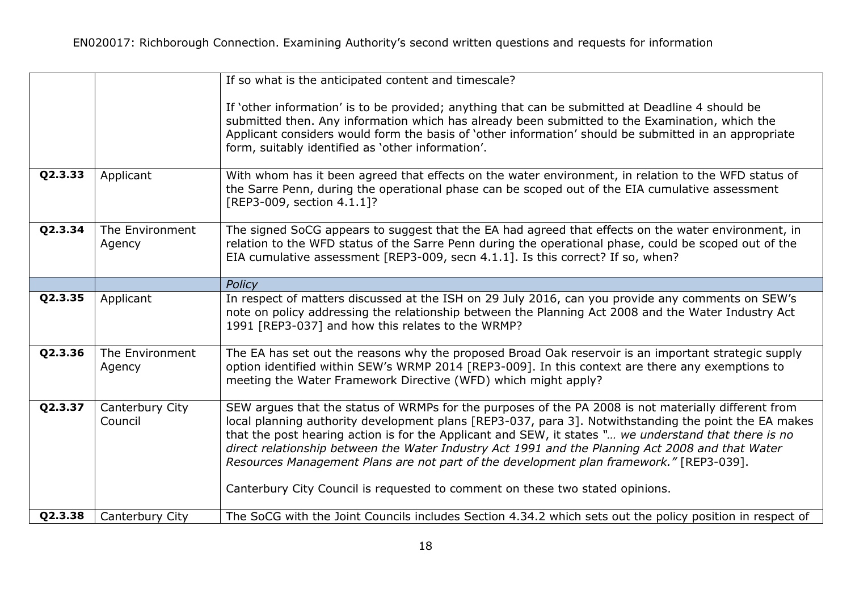|         |                            | If so what is the anticipated content and timescale?                                                                                                                                                                                                                                                                                                                                                                                                                                                                                                                                                   |
|---------|----------------------------|--------------------------------------------------------------------------------------------------------------------------------------------------------------------------------------------------------------------------------------------------------------------------------------------------------------------------------------------------------------------------------------------------------------------------------------------------------------------------------------------------------------------------------------------------------------------------------------------------------|
|         |                            | If 'other information' is to be provided; anything that can be submitted at Deadline 4 should be<br>submitted then. Any information which has already been submitted to the Examination, which the<br>Applicant considers would form the basis of 'other information' should be submitted in an appropriate<br>form, suitably identified as 'other information'.                                                                                                                                                                                                                                       |
| Q2.3.33 | Applicant                  | With whom has it been agreed that effects on the water environment, in relation to the WFD status of<br>the Sarre Penn, during the operational phase can be scoped out of the EIA cumulative assessment<br>[REP3-009, section 4.1.1]?                                                                                                                                                                                                                                                                                                                                                                  |
| Q2.3.34 | The Environment<br>Agency  | The signed SoCG appears to suggest that the EA had agreed that effects on the water environment, in<br>relation to the WFD status of the Sarre Penn during the operational phase, could be scoped out of the<br>EIA cumulative assessment [REP3-009, secn 4.1.1]. Is this correct? If so, when?                                                                                                                                                                                                                                                                                                        |
|         |                            | Policy                                                                                                                                                                                                                                                                                                                                                                                                                                                                                                                                                                                                 |
| Q2.3.35 | Applicant                  | In respect of matters discussed at the ISH on 29 July 2016, can you provide any comments on SEW's<br>note on policy addressing the relationship between the Planning Act 2008 and the Water Industry Act<br>1991 [REP3-037] and how this relates to the WRMP?                                                                                                                                                                                                                                                                                                                                          |
| Q2.3.36 | The Environment<br>Agency  | The EA has set out the reasons why the proposed Broad Oak reservoir is an important strategic supply<br>option identified within SEW's WRMP 2014 [REP3-009]. In this context are there any exemptions to<br>meeting the Water Framework Directive (WFD) which might apply?                                                                                                                                                                                                                                                                                                                             |
| Q2.3.37 | Canterbury City<br>Council | SEW argues that the status of WRMPs for the purposes of the PA 2008 is not materially different from<br>local planning authority development plans [REP3-037, para 3]. Notwithstanding the point the EA makes<br>that the post hearing action is for the Applicant and SEW, it states " we understand that there is no<br>direct relationship between the Water Industry Act 1991 and the Planning Act 2008 and that Water<br>Resources Management Plans are not part of the development plan framework." [REP3-039].<br>Canterbury City Council is requested to comment on these two stated opinions. |
| Q2.3.38 | Canterbury City            | The SoCG with the Joint Councils includes Section 4.34.2 which sets out the policy position in respect of                                                                                                                                                                                                                                                                                                                                                                                                                                                                                              |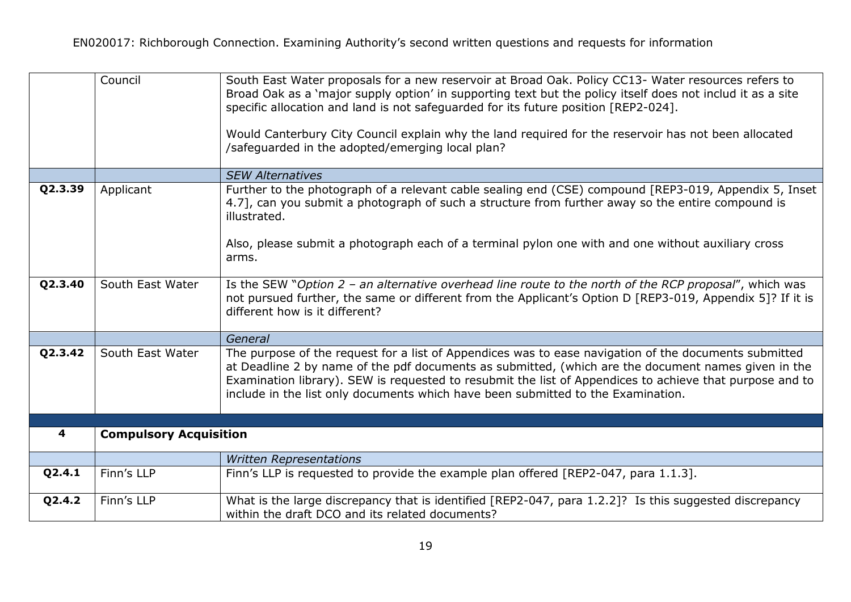|         | Council                       | South East Water proposals for a new reservoir at Broad Oak. Policy CC13- Water resources refers to<br>Broad Oak as a 'major supply option' in supporting text but the policy itself does not includ it as a site<br>specific allocation and land is not safeguarded for its future position [REP2-024].                                                                                                     |
|---------|-------------------------------|--------------------------------------------------------------------------------------------------------------------------------------------------------------------------------------------------------------------------------------------------------------------------------------------------------------------------------------------------------------------------------------------------------------|
|         |                               | Would Canterbury City Council explain why the land required for the reservoir has not been allocated<br>/safeguarded in the adopted/emerging local plan?                                                                                                                                                                                                                                                     |
|         |                               | <b>SEW Alternatives</b>                                                                                                                                                                                                                                                                                                                                                                                      |
| Q2.3.39 | Applicant                     | Further to the photograph of a relevant cable sealing end (CSE) compound [REP3-019, Appendix 5, Inset<br>4.7], can you submit a photograph of such a structure from further away so the entire compound is<br>illustrated.<br>Also, please submit a photograph each of a terminal pylon one with and one without auxiliary cross<br>arms.                                                                    |
| Q2.3.40 | South East Water              | Is the SEW "Option $2$ – an alternative overhead line route to the north of the RCP proposal", which was<br>not pursued further, the same or different from the Applicant's Option D [REP3-019, Appendix 5]? If it is<br>different how is it different?                                                                                                                                                      |
|         |                               | General                                                                                                                                                                                                                                                                                                                                                                                                      |
| Q2.3.42 | South East Water              | The purpose of the request for a list of Appendices was to ease navigation of the documents submitted<br>at Deadline 2 by name of the pdf documents as submitted, (which are the document names given in the<br>Examination library). SEW is requested to resubmit the list of Appendices to achieve that purpose and to<br>include in the list only documents which have been submitted to the Examination. |
|         |                               |                                                                                                                                                                                                                                                                                                                                                                                                              |
| 4       | <b>Compulsory Acquisition</b> |                                                                                                                                                                                                                                                                                                                                                                                                              |
|         |                               | <b>Written Representations</b>                                                                                                                                                                                                                                                                                                                                                                               |
| Q2.4.1  | Finn's LLP                    | Finn's LLP is requested to provide the example plan offered [REP2-047, para 1.1.3].                                                                                                                                                                                                                                                                                                                          |
| Q2.4.2  | Finn's LLP                    | What is the large discrepancy that is identified [REP2-047, para 1.2.2]? Is this suggested discrepancy<br>within the draft DCO and its related documents?                                                                                                                                                                                                                                                    |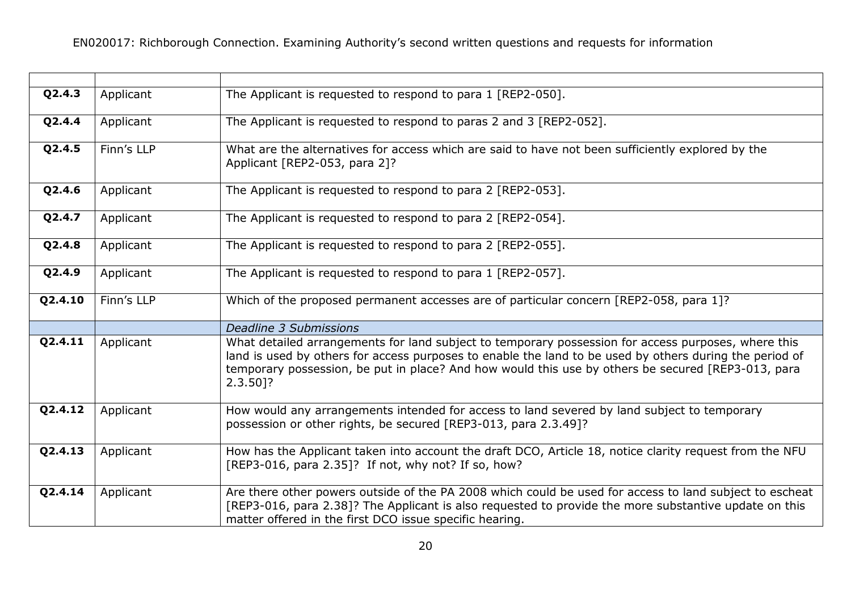| Q2.4.3  | Applicant  | The Applicant is requested to respond to para 1 [REP2-050].                                                                                                                                                                                                                                                                      |
|---------|------------|----------------------------------------------------------------------------------------------------------------------------------------------------------------------------------------------------------------------------------------------------------------------------------------------------------------------------------|
| Q2.4.4  | Applicant  | The Applicant is requested to respond to paras 2 and 3 [REP2-052].                                                                                                                                                                                                                                                               |
| Q2.4.5  | Finn's LLP | What are the alternatives for access which are said to have not been sufficiently explored by the<br>Applicant [REP2-053, para 2]?                                                                                                                                                                                               |
| Q2.4.6  | Applicant  | The Applicant is requested to respond to para 2 [REP2-053].                                                                                                                                                                                                                                                                      |
| Q2.4.7  | Applicant  | The Applicant is requested to respond to para 2 [REP2-054].                                                                                                                                                                                                                                                                      |
| Q2.4.8  | Applicant  | The Applicant is requested to respond to para 2 [REP2-055].                                                                                                                                                                                                                                                                      |
| Q2.4.9  | Applicant  | The Applicant is requested to respond to para 1 [REP2-057].                                                                                                                                                                                                                                                                      |
| Q2.4.10 | Finn's LLP | Which of the proposed permanent accesses are of particular concern [REP2-058, para 1]?                                                                                                                                                                                                                                           |
|         |            | <b>Deadline 3 Submissions</b>                                                                                                                                                                                                                                                                                                    |
| Q2.4.11 | Applicant  | What detailed arrangements for land subject to temporary possession for access purposes, where this<br>land is used by others for access purposes to enable the land to be used by others during the period of<br>temporary possession, be put in place? And how would this use by others be secured [REP3-013, para<br>2.3.50]? |
| Q2.4.12 | Applicant  | How would any arrangements intended for access to land severed by land subject to temporary<br>possession or other rights, be secured [REP3-013, para 2.3.49]?                                                                                                                                                                   |
| Q2.4.13 | Applicant  | How has the Applicant taken into account the draft DCO, Article 18, notice clarity request from the NFU<br>[REP3-016, para 2.35]? If not, why not? If so, how?                                                                                                                                                                   |
| Q2.4.14 | Applicant  | Are there other powers outside of the PA 2008 which could be used for access to land subject to escheat<br>[REP3-016, para 2.38]? The Applicant is also requested to provide the more substantive update on this<br>matter offered in the first DCO issue specific hearing.                                                      |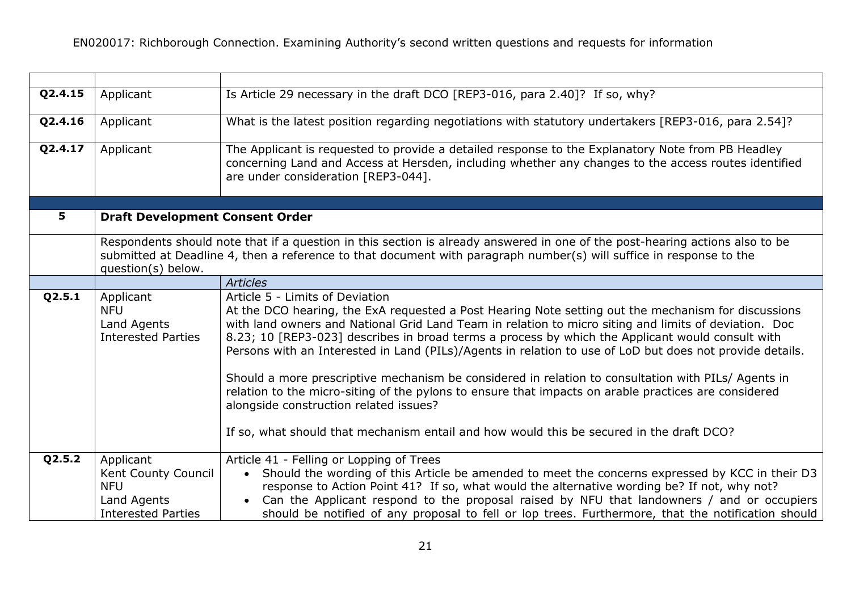| Q2.4.15 | Applicant                                                                                  | Is Article 29 necessary in the draft DCO [REP3-016, para 2.40]? If so, why?                                                                                                                                                                                                                                                                                                                                                                                                                                                                                                                                                                                                                                                                                                                                          |
|---------|--------------------------------------------------------------------------------------------|----------------------------------------------------------------------------------------------------------------------------------------------------------------------------------------------------------------------------------------------------------------------------------------------------------------------------------------------------------------------------------------------------------------------------------------------------------------------------------------------------------------------------------------------------------------------------------------------------------------------------------------------------------------------------------------------------------------------------------------------------------------------------------------------------------------------|
| Q2.4.16 | Applicant                                                                                  | What is the latest position regarding negotiations with statutory undertakers [REP3-016, para 2.54]?                                                                                                                                                                                                                                                                                                                                                                                                                                                                                                                                                                                                                                                                                                                 |
| Q2.4.17 | Applicant                                                                                  | The Applicant is requested to provide a detailed response to the Explanatory Note from PB Headley<br>concerning Land and Access at Hersden, including whether any changes to the access routes identified<br>are under consideration [REP3-044].                                                                                                                                                                                                                                                                                                                                                                                                                                                                                                                                                                     |
| 5       |                                                                                            |                                                                                                                                                                                                                                                                                                                                                                                                                                                                                                                                                                                                                                                                                                                                                                                                                      |
|         | <b>Draft Development Consent Order</b>                                                     |                                                                                                                                                                                                                                                                                                                                                                                                                                                                                                                                                                                                                                                                                                                                                                                                                      |
|         | question(s) below.                                                                         | Respondents should note that if a question in this section is already answered in one of the post-hearing actions also to be<br>submitted at Deadline 4, then a reference to that document with paragraph number(s) will suffice in response to the                                                                                                                                                                                                                                                                                                                                                                                                                                                                                                                                                                  |
|         |                                                                                            | <b>Articles</b>                                                                                                                                                                                                                                                                                                                                                                                                                                                                                                                                                                                                                                                                                                                                                                                                      |
| Q2.5.1  | Applicant<br><b>NFU</b><br>Land Agents<br><b>Interested Parties</b>                        | Article 5 - Limits of Deviation<br>At the DCO hearing, the ExA requested a Post Hearing Note setting out the mechanism for discussions<br>with land owners and National Grid Land Team in relation to micro siting and limits of deviation. Doc<br>8.23; 10 [REP3-023] describes in broad terms a process by which the Applicant would consult with<br>Persons with an Interested in Land (PILs)/Agents in relation to use of LoD but does not provide details.<br>Should a more prescriptive mechanism be considered in relation to consultation with PILs/ Agents in<br>relation to the micro-siting of the pylons to ensure that impacts on arable practices are considered<br>alongside construction related issues?<br>If so, what should that mechanism entail and how would this be secured in the draft DCO? |
| Q2.5.2  | Applicant<br>Kent County Council<br><b>NFU</b><br>Land Agents<br><b>Interested Parties</b> | Article 41 - Felling or Lopping of Trees<br>• Should the wording of this Article be amended to meet the concerns expressed by KCC in their D3<br>response to Action Point 41? If so, what would the alternative wording be? If not, why not?<br>Can the Applicant respond to the proposal raised by NFU that landowners / and or occupiers<br>should be notified of any proposal to fell or lop trees. Furthermore, that the notification should                                                                                                                                                                                                                                                                                                                                                                     |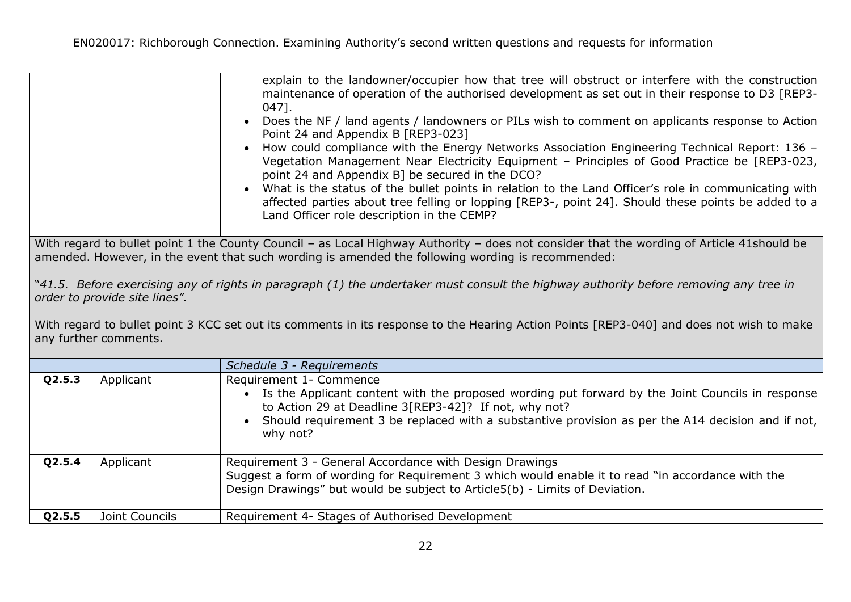|                                                                                                                                                                        | explain to the landowner/occupier how that tree will obstruct or interfere with the construction<br>maintenance of operation of the authorised development as set out in their response to D3 [REP3-<br>047].<br>• Does the NF / land agents / landowners or PILs wish to comment on applicants response to Action<br>Point 24 and Appendix B [REP3-023]<br>• How could compliance with the Energy Networks Association Engineering Technical Report: 136 -<br>Vegetation Management Near Electricity Equipment - Principles of Good Practice be [REP3-023,<br>point 24 and Appendix B] be secured in the DCO?<br>• What is the status of the bullet points in relation to the Land Officer's role in communicating with<br>affected parties about tree felling or lopping [REP3-, point 24]. Should these points be added to a<br>Land Officer role description in the CEMP? |  |
|------------------------------------------------------------------------------------------------------------------------------------------------------------------------|-------------------------------------------------------------------------------------------------------------------------------------------------------------------------------------------------------------------------------------------------------------------------------------------------------------------------------------------------------------------------------------------------------------------------------------------------------------------------------------------------------------------------------------------------------------------------------------------------------------------------------------------------------------------------------------------------------------------------------------------------------------------------------------------------------------------------------------------------------------------------------|--|
|                                                                                                                                                                        | With regard to bullet point 1 the County Council - as Local Highway Authority - does not consider that the wording of Article 41should be<br>amended. However, in the event that such wording is amended the following wording is recommended:                                                                                                                                                                                                                                                                                                                                                                                                                                                                                                                                                                                                                                |  |
| "41.5. Before exercising any of rights in paragraph (1) the undertaker must consult the highway authority before removing any tree in<br>order to provide site lines". |                                                                                                                                                                                                                                                                                                                                                                                                                                                                                                                                                                                                                                                                                                                                                                                                                                                                               |  |
| With regard to bullet point 3 KCC set out its comments in its response to the Hearing Action Points [REP3-040] and does not wish to make<br>any further comments.      |                                                                                                                                                                                                                                                                                                                                                                                                                                                                                                                                                                                                                                                                                                                                                                                                                                                                               |  |

|        |                | Schedule 3 - Requirements                                                                                                                                                                                                                                                                                     |
|--------|----------------|---------------------------------------------------------------------------------------------------------------------------------------------------------------------------------------------------------------------------------------------------------------------------------------------------------------|
| Q2.5.3 | Applicant      | Requirement 1- Commence<br>• Is the Applicant content with the proposed wording put forward by the Joint Councils in response<br>to Action 29 at Deadline 3[REP3-42]? If not, why not?<br>• Should requirement 3 be replaced with a substantive provision as per the A14 decision and if not, $ $<br>why not? |
| Q2.5.4 | Applicant      | Requirement 3 - General Accordance with Design Drawings<br>Suggest a form of wording for Requirement 3 which would enable it to read "in accordance with the<br>Design Drawings" but would be subject to Article5(b) - Limits of Deviation.                                                                   |
| Q2.5.5 | Joint Councils | Requirement 4- Stages of Authorised Development                                                                                                                                                                                                                                                               |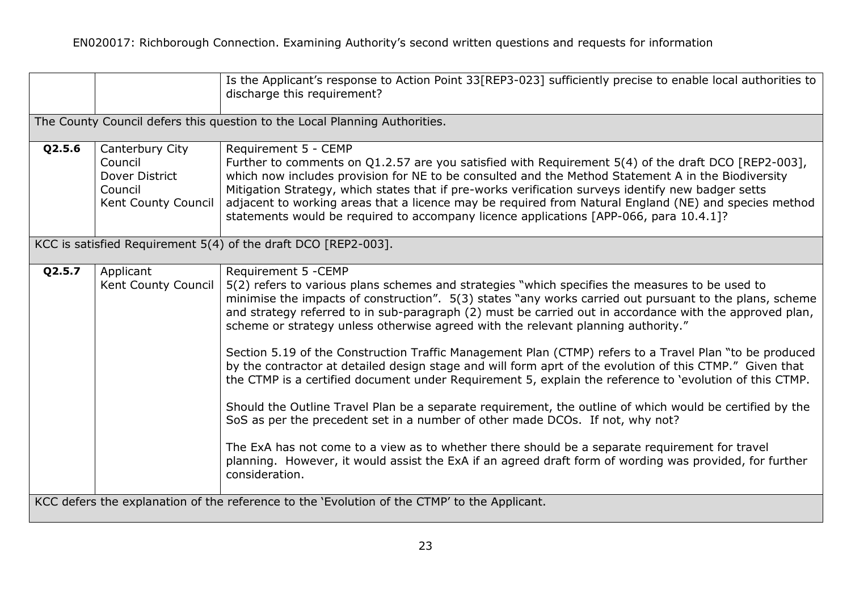|        |                                                                                | Is the Applicant's response to Action Point 33 [REP3-023] sufficiently precise to enable local authorities to<br>discharge this requirement?                                                                                                                                                                                                                                                                                                                                                                                                                                                                                                                                                                                                                                                                                                                                                                                                                                                                                                                                                                                                                                                     |
|--------|--------------------------------------------------------------------------------|--------------------------------------------------------------------------------------------------------------------------------------------------------------------------------------------------------------------------------------------------------------------------------------------------------------------------------------------------------------------------------------------------------------------------------------------------------------------------------------------------------------------------------------------------------------------------------------------------------------------------------------------------------------------------------------------------------------------------------------------------------------------------------------------------------------------------------------------------------------------------------------------------------------------------------------------------------------------------------------------------------------------------------------------------------------------------------------------------------------------------------------------------------------------------------------------------|
|        |                                                                                | The County Council defers this question to the Local Planning Authorities.                                                                                                                                                                                                                                                                                                                                                                                                                                                                                                                                                                                                                                                                                                                                                                                                                                                                                                                                                                                                                                                                                                                       |
| Q2.5.6 | Canterbury City<br>Council<br>Dover District<br>Council<br>Kent County Council | Requirement 5 - CEMP<br>Further to comments on Q1.2.57 are you satisfied with Requirement 5(4) of the draft DCO [REP2-003],<br>which now includes provision for NE to be consulted and the Method Statement A in the Biodiversity<br>Mitigation Strategy, which states that if pre-works verification surveys identify new badger setts<br>adjacent to working areas that a licence may be required from Natural England (NE) and species method<br>statements would be required to accompany licence applications [APP-066, para 10.4.1]?                                                                                                                                                                                                                                                                                                                                                                                                                                                                                                                                                                                                                                                       |
|        |                                                                                | KCC is satisfied Requirement 5(4) of the draft DCO [REP2-003].                                                                                                                                                                                                                                                                                                                                                                                                                                                                                                                                                                                                                                                                                                                                                                                                                                                                                                                                                                                                                                                                                                                                   |
| Q2.5.7 | Applicant<br>Kent County Council                                               | Requirement 5 - CEMP<br>5(2) refers to various plans schemes and strategies "which specifies the measures to be used to<br>minimise the impacts of construction". 5(3) states "any works carried out pursuant to the plans, scheme<br>and strategy referred to in sub-paragraph (2) must be carried out in accordance with the approved plan,<br>scheme or strategy unless otherwise agreed with the relevant planning authority."<br>Section 5.19 of the Construction Traffic Management Plan (CTMP) refers to a Travel Plan "to be produced<br>by the contractor at detailed design stage and will form aprt of the evolution of this CTMP." Given that<br>the CTMP is a certified document under Requirement 5, explain the reference to 'evolution of this CTMP.<br>Should the Outline Travel Plan be a separate requirement, the outline of which would be certified by the<br>SoS as per the precedent set in a number of other made DCOs. If not, why not?<br>The ExA has not come to a view as to whether there should be a separate requirement for travel<br>planning. However, it would assist the ExA if an agreed draft form of wording was provided, for further<br>consideration. |
|        |                                                                                | KCC defers the explanation of the reference to the 'Evolution of the CTMP' to the Applicant.                                                                                                                                                                                                                                                                                                                                                                                                                                                                                                                                                                                                                                                                                                                                                                                                                                                                                                                                                                                                                                                                                                     |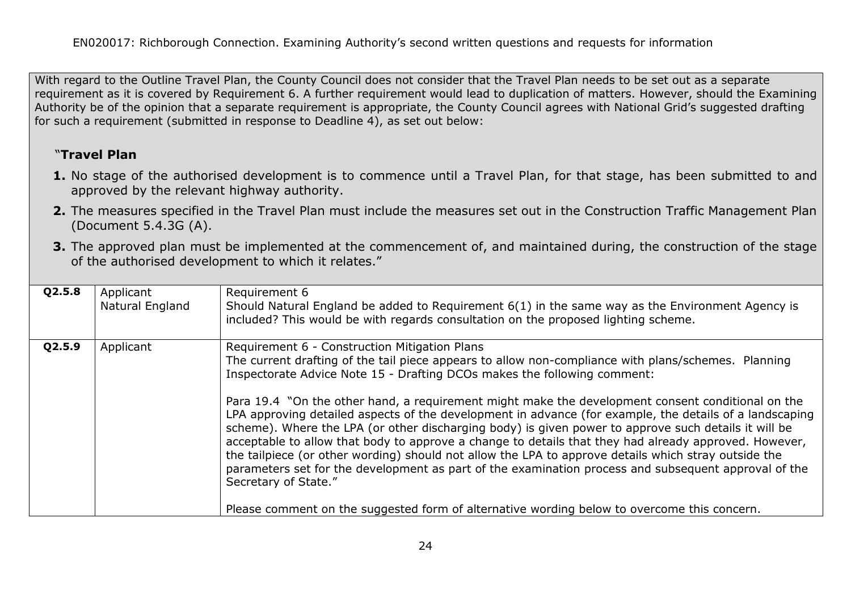With regard to the Outline Travel Plan, the County Council does not consider that the Travel Plan needs to be set out as a separate requirement as it is covered by Requirement 6. A further requirement would lead to duplication of matters. However, should the Examining Authority be of the opinion that a separate requirement is appropriate, the County Council agrees with National Grid's suggested drafting for such a requirement (submitted in response to Deadline 4), as set out below:

# "**Travel Plan**

- **1.** No stage of the authorised development is to commence until a Travel Plan, for that stage, has been submitted to and approved by the relevant highway authority.
- **2.** The measures specified in the Travel Plan must include the measures set out in the Construction Traffic Management Plan (Document 5.4.3G (A).
- **3.** The approved plan must be implemented at the commencement of, and maintained during, the construction of the stage of the authorised development to which it relates."

| Q2.5.8 | Applicant<br>Natural England | Requirement 6<br>Should Natural England be added to Requirement 6(1) in the same way as the Environment Agency is<br>included? This would be with regards consultation on the proposed lighting scheme.                                                                                                                                                                                                                                                                                                                                                                                                                                                                                                                                                                                                                                                                                                                                                                                                  |
|--------|------------------------------|----------------------------------------------------------------------------------------------------------------------------------------------------------------------------------------------------------------------------------------------------------------------------------------------------------------------------------------------------------------------------------------------------------------------------------------------------------------------------------------------------------------------------------------------------------------------------------------------------------------------------------------------------------------------------------------------------------------------------------------------------------------------------------------------------------------------------------------------------------------------------------------------------------------------------------------------------------------------------------------------------------|
| Q2.5.9 | Applicant                    | Requirement 6 - Construction Mitigation Plans<br>The current drafting of the tail piece appears to allow non-compliance with plans/schemes. Planning<br>Inspectorate Advice Note 15 - Drafting DCOs makes the following comment:<br>Para 19.4 "On the other hand, a requirement might make the development consent conditional on the<br>LPA approving detailed aspects of the development in advance (for example, the details of a landscaping<br>scheme). Where the LPA (or other discharging body) is given power to approve such details it will be<br>acceptable to allow that body to approve a change to details that they had already approved. However,<br>the tailpiece (or other wording) should not allow the LPA to approve details which stray outside the<br>parameters set for the development as part of the examination process and subsequent approval of the<br>Secretary of State."<br>Please comment on the suggested form of alternative wording below to overcome this concern. |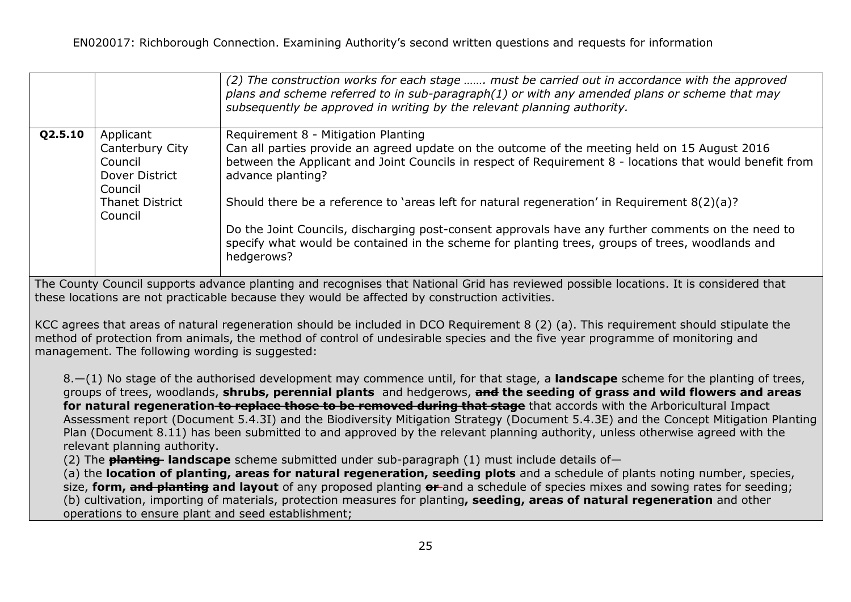|         |                                                                                                           | (2) The construction works for each stage  must be carried out in accordance with the approved<br>plans and scheme referred to in sub-paragraph(1) or with any amended plans or scheme that may<br>subsequently be approved in writing by the relevant planning authority.                                                                                                                                                                                                                                                                                                                    |
|---------|-----------------------------------------------------------------------------------------------------------|-----------------------------------------------------------------------------------------------------------------------------------------------------------------------------------------------------------------------------------------------------------------------------------------------------------------------------------------------------------------------------------------------------------------------------------------------------------------------------------------------------------------------------------------------------------------------------------------------|
| Q2.5.10 | Applicant<br>Canterbury City<br>Council<br>Dover District<br>Council<br><b>Thanet District</b><br>Council | Requirement 8 - Mitigation Planting<br>Can all parties provide an agreed update on the outcome of the meeting held on 15 August 2016<br>between the Applicant and Joint Councils in respect of Requirement 8 - locations that would benefit from<br>advance planting?<br>Should there be a reference to 'areas left for natural regeneration' in Requirement 8(2)(a)?<br>Do the Joint Councils, discharging post-consent approvals have any further comments on the need to<br>specify what would be contained in the scheme for planting trees, groups of trees, woodlands and<br>hedgerows? |

The County Council supports advance planting and recognises that National Grid has reviewed possible locations. It is considered that these locations are not practicable because they would be affected by construction activities.

KCC agrees that areas of natural regeneration should be included in DCO Requirement 8 (2) (a). This requirement should stipulate the method of protection from animals, the method of control of undesirable species and the five year programme of monitoring and management. The following wording is suggested:

8.—(1) No stage of the authorised development may commence until, for that stage, a **landscape** scheme for the planting of trees, groups of trees, woodlands, **shrubs, perennial plants** and hedgerows, **and the seeding of grass and wild flowers and areas for natural regeneration to replace those to be removed during that stage** that accords with the Arboricultural Impact Assessment report (Document 5.4.3I) and the Biodiversity Mitigation Strategy (Document 5.4.3E) and the Concept Mitigation Planting Plan (Document 8.11) has been submitted to and approved by the relevant planning authority, unless otherwise agreed with the relevant planning authority.

(2) The **planting landscape** scheme submitted under sub-paragraph (1) must include details of—

(a) the **location of planting, areas for natural regeneration, seeding plots** and a schedule of plants noting number, species, size, **form, and planting and layout** of any proposed planting **or** and a schedule of species mixes and sowing rates for seeding; (b) cultivation, importing of materials, protection measures for planting**, seeding, areas of natural regeneration** and other operations to ensure plant and seed establishment;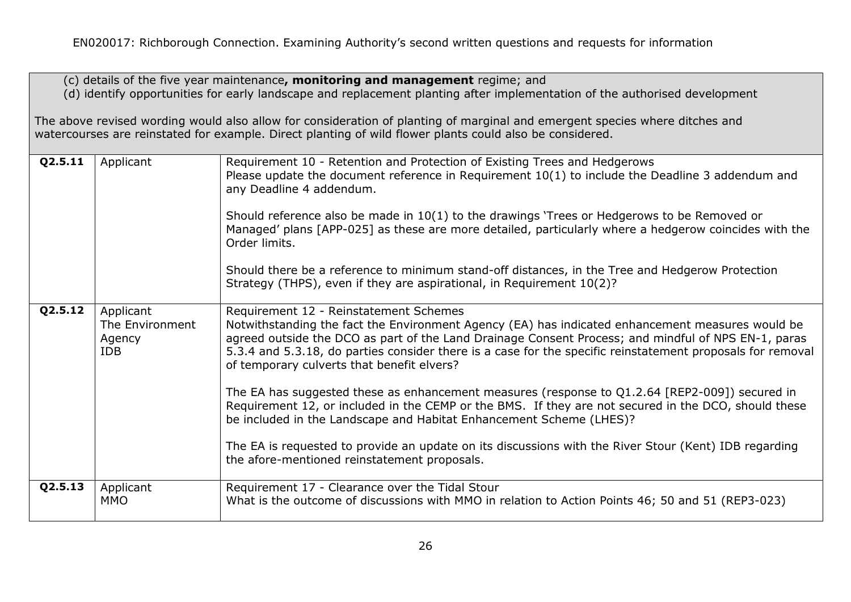(c) details of the five year maintenance**, monitoring and management** regime; and (d) identify opportunities for early landscape and replacement planting after implementation of the authorised development

The above revised wording would also allow for consideration of planting of marginal and emergent species where ditches and watercourses are reinstated for example. Direct planting of wild flower plants could also be considered.

| Q2.5.11 | Applicant                                            | Requirement 10 - Retention and Protection of Existing Trees and Hedgerows<br>Please update the document reference in Requirement 10(1) to include the Deadline 3 addendum and<br>any Deadline 4 addendum.<br>Should reference also be made in 10(1) to the drawings 'Trees or Hedgerows to be Removed or<br>Managed' plans [APP-025] as these are more detailed, particularly where a hedgerow coincides with the<br>Order limits.<br>Should there be a reference to minimum stand-off distances, in the Tree and Hedgerow Protection<br>Strategy (THPS), even if they are aspirational, in Requirement 10(2)?                                                                                                                                                                                                                                          |
|---------|------------------------------------------------------|---------------------------------------------------------------------------------------------------------------------------------------------------------------------------------------------------------------------------------------------------------------------------------------------------------------------------------------------------------------------------------------------------------------------------------------------------------------------------------------------------------------------------------------------------------------------------------------------------------------------------------------------------------------------------------------------------------------------------------------------------------------------------------------------------------------------------------------------------------|
| Q2.5.12 | Applicant<br>The Environment<br>Agency<br><b>IDB</b> | Requirement 12 - Reinstatement Schemes<br>Notwithstanding the fact the Environment Agency (EA) has indicated enhancement measures would be<br>agreed outside the DCO as part of the Land Drainage Consent Process; and mindful of NPS EN-1, paras<br>5.3.4 and 5.3.18, do parties consider there is a case for the specific reinstatement proposals for removal<br>of temporary culverts that benefit elvers?<br>The EA has suggested these as enhancement measures (response to Q1.2.64 [REP2-009]) secured in<br>Requirement 12, or included in the CEMP or the BMS. If they are not secured in the DCO, should these<br>be included in the Landscape and Habitat Enhancement Scheme (LHES)?<br>The EA is requested to provide an update on its discussions with the River Stour (Kent) IDB regarding<br>the afore-mentioned reinstatement proposals. |
| Q2.5.13 | Applicant<br><b>MMO</b>                              | Requirement 17 - Clearance over the Tidal Stour<br>What is the outcome of discussions with MMO in relation to Action Points 46; 50 and 51 (REP3-023)                                                                                                                                                                                                                                                                                                                                                                                                                                                                                                                                                                                                                                                                                                    |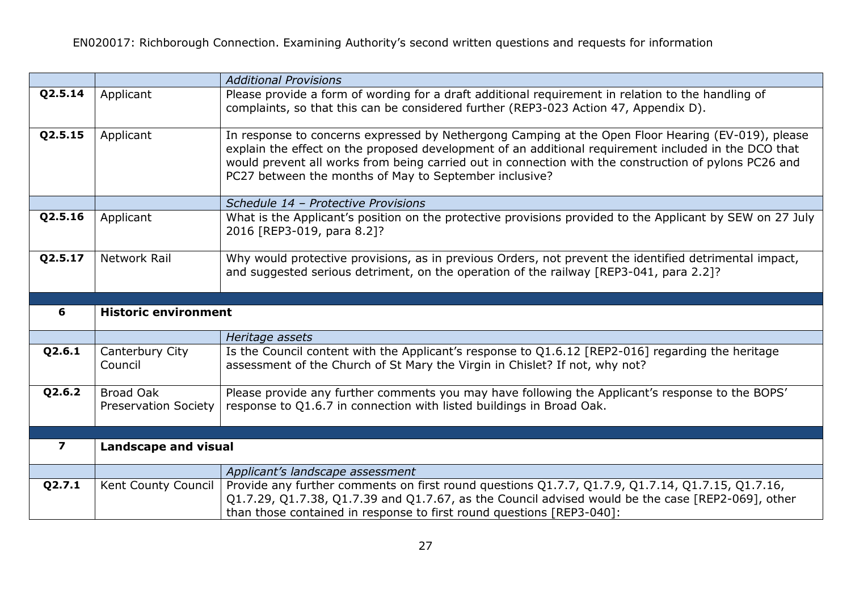|                          |                                          | <b>Additional Provisions</b>                                                                                                                                                                                                                                                                                                                                                  |
|--------------------------|------------------------------------------|-------------------------------------------------------------------------------------------------------------------------------------------------------------------------------------------------------------------------------------------------------------------------------------------------------------------------------------------------------------------------------|
| Q2.5.14                  | Applicant                                | Please provide a form of wording for a draft additional requirement in relation to the handling of<br>complaints, so that this can be considered further (REP3-023 Action 47, Appendix D).                                                                                                                                                                                    |
| Q2.5.15                  | Applicant                                | In response to concerns expressed by Nethergong Camping at the Open Floor Hearing (EV-019), please<br>explain the effect on the proposed development of an additional requirement included in the DCO that<br>would prevent all works from being carried out in connection with the construction of pylons PC26 and<br>PC27 between the months of May to September inclusive? |
|                          |                                          | Schedule 14 - Protective Provisions                                                                                                                                                                                                                                                                                                                                           |
| Q2.5.16                  | Applicant                                | What is the Applicant's position on the protective provisions provided to the Applicant by SEW on 27 July<br>2016 [REP3-019, para 8.2]?                                                                                                                                                                                                                                       |
| Q2.5.17                  | <b>Network Rail</b>                      | Why would protective provisions, as in previous Orders, not prevent the identified detrimental impact,<br>and suggested serious detriment, on the operation of the railway [REP3-041, para 2.2]?                                                                                                                                                                              |
|                          |                                          |                                                                                                                                                                                                                                                                                                                                                                               |
|                          |                                          |                                                                                                                                                                                                                                                                                                                                                                               |
| 6                        | <b>Historic environment</b>              |                                                                                                                                                                                                                                                                                                                                                                               |
|                          |                                          | Heritage assets                                                                                                                                                                                                                                                                                                                                                               |
| Q2.6.1                   | Canterbury City<br>Council               | Is the Council content with the Applicant's response to Q1.6.12 [REP2-016] regarding the heritage<br>assessment of the Church of St Mary the Virgin in Chislet? If not, why not?                                                                                                                                                                                              |
| Q2.6.2                   | <b>Broad Oak</b><br>Preservation Society | Please provide any further comments you may have following the Applicant's response to the BOPS'<br>response to Q1.6.7 in connection with listed buildings in Broad Oak.                                                                                                                                                                                                      |
|                          |                                          |                                                                                                                                                                                                                                                                                                                                                                               |
| $\overline{\phantom{a}}$ | <b>Landscape and visual</b>              |                                                                                                                                                                                                                                                                                                                                                                               |
| Q2.7.1                   |                                          | Applicant's landscape assessment                                                                                                                                                                                                                                                                                                                                              |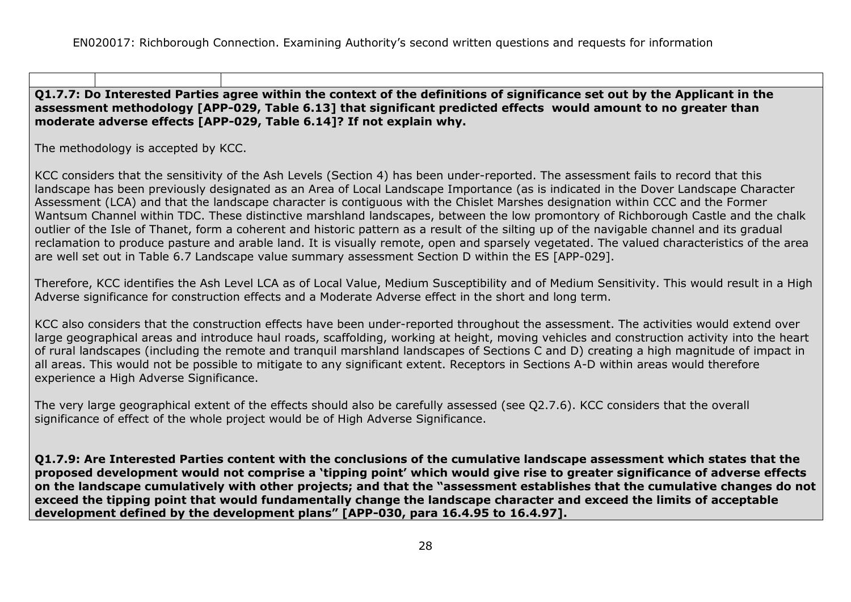#### **Q1.7.7: Do Interested Parties agree within the context of the definitions of significance set out by the Applicant in the assessment methodology [APP-029, Table 6.13] that significant predicted effects would amount to no greater than moderate adverse effects [APP-029, Table 6.14]? If not explain why.**

The methodology is accepted by KCC.

KCC considers that the sensitivity of the Ash Levels (Section 4) has been under-reported. The assessment fails to record that this landscape has been previously designated as an Area of Local Landscape Importance (as is indicated in the Dover Landscape Character Assessment (LCA) and that the landscape character is contiguous with the Chislet Marshes designation within CCC and the Former Wantsum Channel within TDC. These distinctive marshland landscapes, between the low promontory of Richborough Castle and the chalk outlier of the Isle of Thanet, form a coherent and historic pattern as a result of the silting up of the navigable channel and its gradual reclamation to produce pasture and arable land. It is visually remote, open and sparsely vegetated. The valued characteristics of the area are well set out in Table 6.7 Landscape value summary assessment Section D within the ES [APP-029].

Therefore, KCC identifies the Ash Level LCA as of Local Value, Medium Susceptibility and of Medium Sensitivity. This would result in a High Adverse significance for construction effects and a Moderate Adverse effect in the short and long term.

KCC also considers that the construction effects have been under-reported throughout the assessment. The activities would extend over large geographical areas and introduce haul roads, scaffolding, working at height, moving vehicles and construction activity into the heart of rural landscapes (including the remote and tranquil marshland landscapes of Sections C and D) creating a high magnitude of impact in all areas. This would not be possible to mitigate to any significant extent. Receptors in Sections A-D within areas would therefore experience a High Adverse Significance.

The very large geographical extent of the effects should also be carefully assessed (see Q2.7.6). KCC considers that the overall significance of effect of the whole project would be of High Adverse Significance.

**Q1.7.9: Are Interested Parties content with the conclusions of the cumulative landscape assessment which states that the proposed development would not comprise a 'tipping point' which would give rise to greater significance of adverse effects on the landscape cumulatively with other projects; and that the "assessment establishes that the cumulative changes do not exceed the tipping point that would fundamentally change the landscape character and exceed the limits of acceptable development defined by the development plans" [APP-030, para 16.4.95 to 16.4.97].**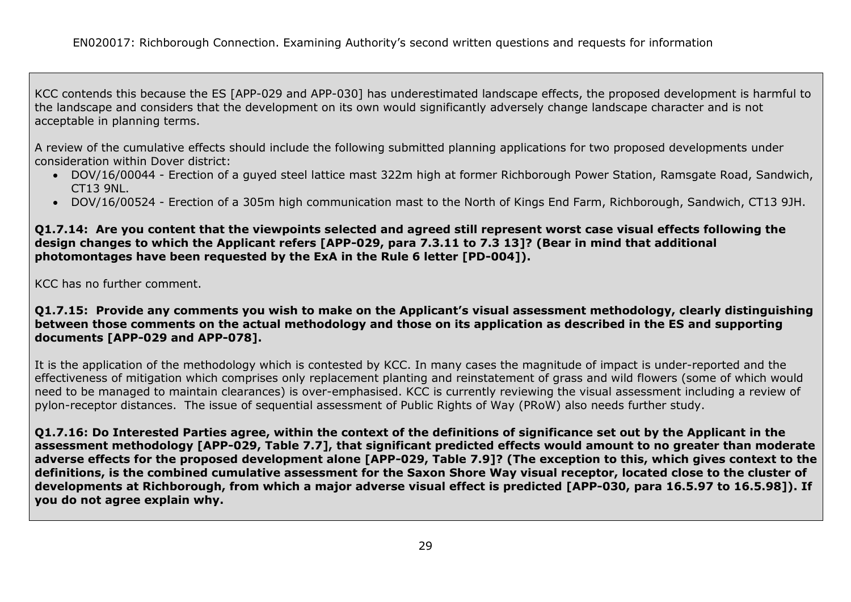KCC contends this because the ES [APP-029 and APP-030] has underestimated landscape effects, the proposed development is harmful to the landscape and considers that the development on its own would significantly adversely change landscape character and is not acceptable in planning terms.

A review of the cumulative effects should include the following submitted planning applications for two proposed developments under consideration within Dover district:

- DOV/16/00044 Erection of a guyed steel lattice mast 322m high at former Richborough Power Station, Ramsgate Road, Sandwich, CT13 9NL.
- DOV/16/00524 Erection of a 305m high communication mast to the North of Kings End Farm, Richborough, Sandwich, CT13 9JH.

**Q1.7.14: Are you content that the viewpoints selected and agreed still represent worst case visual effects following the design changes to which the Applicant refers [APP-029, para 7.3.11 to 7.3 13]? (Bear in mind that additional photomontages have been requested by the ExA in the Rule 6 letter [PD-004]).**

KCC has no further comment.

**Q1.7.15: Provide any comments you wish to make on the Applicant's visual assessment methodology, clearly distinguishing between those comments on the actual methodology and those on its application as described in the ES and supporting documents [APP-029 and APP-078].**

It is the application of the methodology which is contested by KCC. In many cases the magnitude of impact is under-reported and the effectiveness of mitigation which comprises only replacement planting and reinstatement of grass and wild flowers (some of which would need to be managed to maintain clearances) is over-emphasised. KCC is currently reviewing the visual assessment including a review of pylon-receptor distances. The issue of sequential assessment of Public Rights of Way (PRoW) also needs further study.

**Q1.7.16: Do Interested Parties agree, within the context of the definitions of significance set out by the Applicant in the assessment methodology [APP-029, Table 7.7], that significant predicted effects would amount to no greater than moderate adverse effects for the proposed development alone [APP-029, Table 7.9]? (The exception to this, which gives context to the definitions, is the combined cumulative assessment for the Saxon Shore Way visual receptor, located close to the cluster of developments at Richborough, from which a major adverse visual effect is predicted [APP-030, para 16.5.97 to 16.5.98]). If you do not agree explain why.**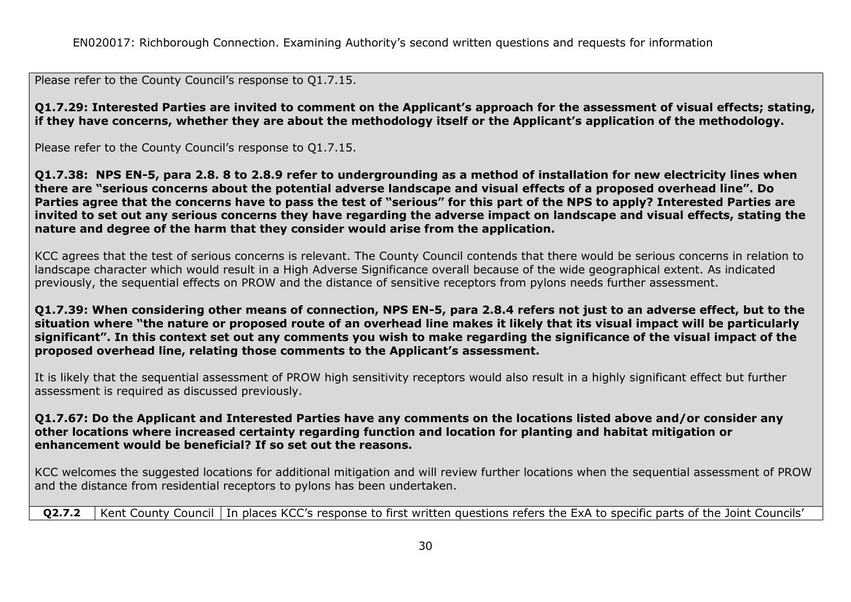Please refer to the County Council's response to Q1.7.15.

**Q1.7.29: Interested Parties are invited to comment on the Applicant's approach for the assessment of visual effects; stating, if they have concerns, whether they are about the methodology itself or the Applicant's application of the methodology.**

Please refer to the County Council's response to Q1.7.15.

**Q1.7.38: NPS EN-5, para 2.8. 8 to 2.8.9 refer to undergrounding as a method of installation for new electricity lines when there are "serious concerns about the potential adverse landscape and visual effects of a proposed overhead line". Do Parties agree that the concerns have to pass the test of "serious" for this part of the NPS to apply? Interested Parties are invited to set out any serious concerns they have regarding the adverse impact on landscape and visual effects, stating the nature and degree of the harm that they consider would arise from the application.**

KCC agrees that the test of serious concerns is relevant. The County Council contends that there would be serious concerns in relation to landscape character which would result in a High Adverse Significance overall because of the wide geographical extent. As indicated previously, the sequential effects on PROW and the distance of sensitive receptors from pylons needs further assessment.

**Q1.7.39: When considering other means of connection, NPS EN-5, para 2.8.4 refers not just to an adverse effect, but to the situation where "the nature or proposed route of an overhead line makes it likely that its visual impact will be particularly significant". In this context set out any comments you wish to make regarding the significance of the visual impact of the proposed overhead line, relating those comments to the Applicant's assessment.**

It is likely that the sequential assessment of PROW high sensitivity receptors would also result in a highly significant effect but further assessment is required as discussed previously.

#### **Q1.7.67: Do the Applicant and Interested Parties have any comments on the locations listed above and/or consider any other locations where increased certainty regarding function and location for planting and habitat mitigation or enhancement would be beneficial? If so set out the reasons.**

KCC welcomes the suggested locations for additional mitigation and will review further locations when the sequential assessment of PROW and the distance from residential receptors to pylons has been undertaken.

**Q2.7.2** Kent County Council In places KCC's response to first written questions refers the ExA to specific parts of the Joint Councils'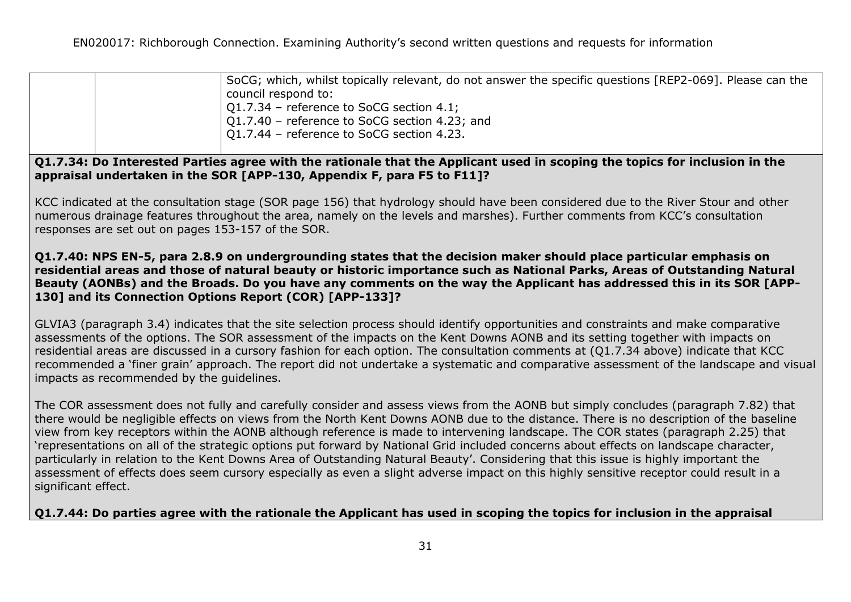| SoCG; which, whilst topically relevant, do not answer the specific questions [REP2-069]. Please can the |
|---------------------------------------------------------------------------------------------------------|
| council respond to:                                                                                     |
| $\vert$ Q1.7.34 - reference to SoCG section 4.1;                                                        |
| $\vert$ Q1.7.40 – reference to SoCG section 4.23; and                                                   |
| $\vert$ Q1.7.44 – reference to SoCG section 4.23.                                                       |

**Q1.7.34: Do Interested Parties agree with the rationale that the Applicant used in scoping the topics for inclusion in the appraisal undertaken in the SOR [APP-130, Appendix F, para F5 to F11]?**

KCC indicated at the consultation stage (SOR page 156) that hydrology should have been considered due to the River Stour and other numerous drainage features throughout the area, namely on the levels and marshes). Further comments from KCC's consultation responses are set out on pages 153-157 of the SOR.

#### **Q1.7.40: NPS EN-5, para 2.8.9 on undergrounding states that the decision maker should place particular emphasis on residential areas and those of natural beauty or historic importance such as National Parks, Areas of Outstanding Natural Beauty (AONBs) and the Broads. Do you have any comments on the way the Applicant has addressed this in its SOR [APP-130] and its Connection Options Report (COR) [APP-133]?**

GLVIA3 (paragraph 3.4) indicates that the site selection process should identify opportunities and constraints and make comparative assessments of the options. The SOR assessment of the impacts on the Kent Downs AONB and its setting together with impacts on residential areas are discussed in a cursory fashion for each option. The consultation comments at (Q1.7.34 above) indicate that KCC recommended a 'finer grain' approach. The report did not undertake a systematic and comparative assessment of the landscape and visual impacts as recommended by the guidelines.

The COR assessment does not fully and carefully consider and assess views from the AONB but simply concludes (paragraph 7.82) that there would be negligible effects on views from the North Kent Downs AONB due to the distance. There is no description of the baseline view from key receptors within the AONB although reference is made to intervening landscape. The COR states (paragraph 2.25) that 'representations on all of the strategic options put forward by National Grid included concerns about effects on landscape character, particularly in relation to the Kent Downs Area of Outstanding Natural Beauty'. Considering that this issue is highly important the assessment of effects does seem cursory especially as even a slight adverse impact on this highly sensitive receptor could result in a significant effect.

## **Q1.7.44: Do parties agree with the rationale the Applicant has used in scoping the topics for inclusion in the appraisal**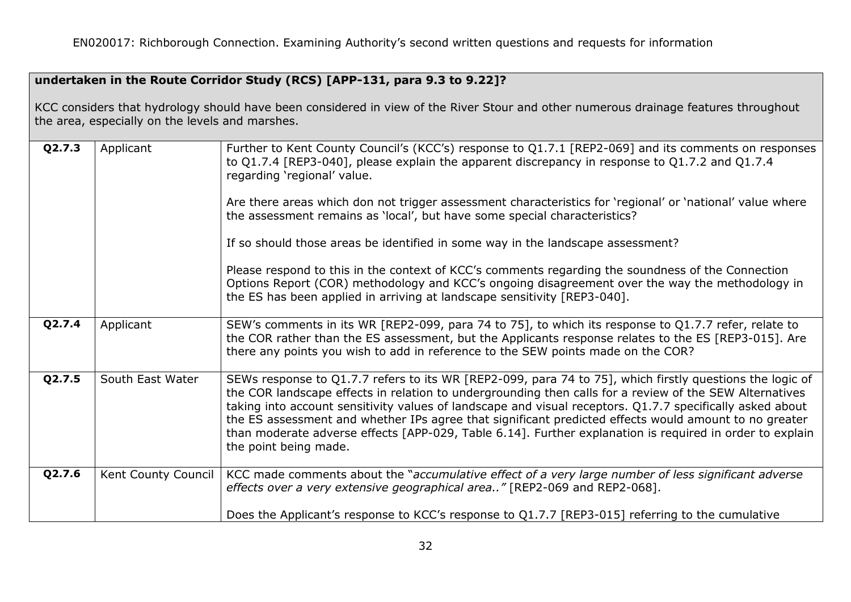# **undertaken in the Route Corridor Study (RCS) [APP-131, para 9.3 to 9.22]?**

KCC considers that hydrology should have been considered in view of the River Stour and other numerous drainage features throughout the area, especially on the levels and marshes.

| Q2.7.3 | Applicant           | Further to Kent County Council's (KCC's) response to Q1.7.1 [REP2-069] and its comments on responses<br>to Q1.7.4 [REP3-040], please explain the apparent discrepancy in response to Q1.7.2 and Q1.7.4<br>regarding 'regional' value.<br>Are there areas which don not trigger assessment characteristics for 'regional' or 'national' value where<br>the assessment remains as 'local', but have some special characteristics?<br>If so should those areas be identified in some way in the landscape assessment?<br>Please respond to this in the context of KCC's comments regarding the soundness of the Connection<br>Options Report (COR) methodology and KCC's ongoing disagreement over the way the methodology in<br>the ES has been applied in arriving at landscape sensitivity [REP3-040]. |
|--------|---------------------|--------------------------------------------------------------------------------------------------------------------------------------------------------------------------------------------------------------------------------------------------------------------------------------------------------------------------------------------------------------------------------------------------------------------------------------------------------------------------------------------------------------------------------------------------------------------------------------------------------------------------------------------------------------------------------------------------------------------------------------------------------------------------------------------------------|
| Q2.7.4 | Applicant           | SEW's comments in its WR [REP2-099, para 74 to 75], to which its response to Q1.7.7 refer, relate to<br>the COR rather than the ES assessment, but the Applicants response relates to the ES [REP3-015]. Are<br>there any points you wish to add in reference to the SEW points made on the COR?                                                                                                                                                                                                                                                                                                                                                                                                                                                                                                       |
| Q2.7.5 | South East Water    | SEWs response to Q1.7.7 refers to its WR [REP2-099, para 74 to 75], which firstly questions the logic of<br>the COR landscape effects in relation to undergrounding then calls for a review of the SEW Alternatives<br>taking into account sensitivity values of landscape and visual receptors. Q1.7.7 specifically asked about<br>the ES assessment and whether IPs agree that significant predicted effects would amount to no greater<br>than moderate adverse effects [APP-029, Table 6.14]. Further explanation is required in order to explain<br>the point being made.                                                                                                                                                                                                                         |
| Q2.7.6 | Kent County Council | KCC made comments about the "accumulative effect of a very large number of less significant adverse<br>effects over a very extensive geographical area" [REP2-069 and REP2-068].                                                                                                                                                                                                                                                                                                                                                                                                                                                                                                                                                                                                                       |
|        |                     | Does the Applicant's response to KCC's response to Q1.7.7 [REP3-015] referring to the cumulative                                                                                                                                                                                                                                                                                                                                                                                                                                                                                                                                                                                                                                                                                                       |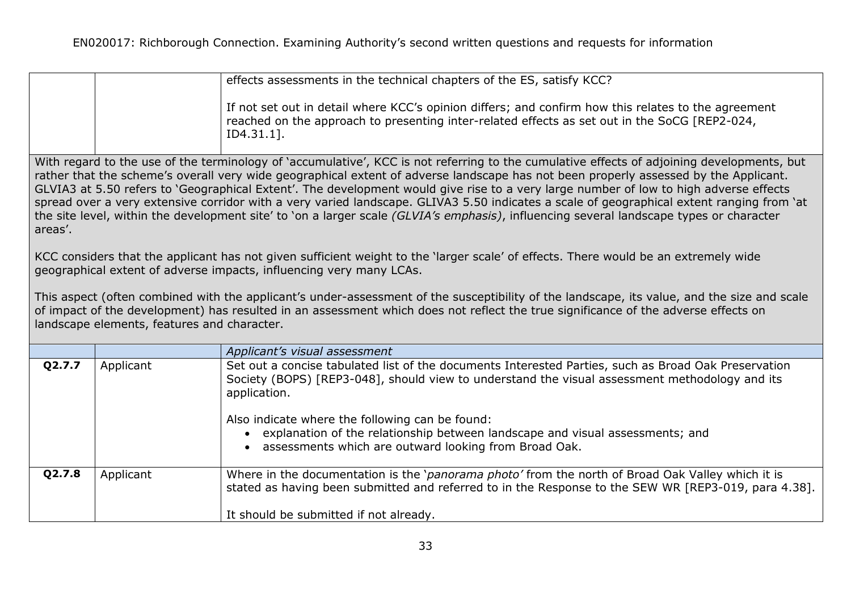|                                                                                                                                                                                                                                                                                                                                                                                                                                                                                                                                                                                                                                                                                                                                                                                                                                                                       |                                                                                                                                                                                                                                                                                                                                  | effects assessments in the technical chapters of the ES, satisfy KCC?                                                                                                                                                                                                                                                                                                                                                                         |  |  |
|-----------------------------------------------------------------------------------------------------------------------------------------------------------------------------------------------------------------------------------------------------------------------------------------------------------------------------------------------------------------------------------------------------------------------------------------------------------------------------------------------------------------------------------------------------------------------------------------------------------------------------------------------------------------------------------------------------------------------------------------------------------------------------------------------------------------------------------------------------------------------|----------------------------------------------------------------------------------------------------------------------------------------------------------------------------------------------------------------------------------------------------------------------------------------------------------------------------------|-----------------------------------------------------------------------------------------------------------------------------------------------------------------------------------------------------------------------------------------------------------------------------------------------------------------------------------------------------------------------------------------------------------------------------------------------|--|--|
|                                                                                                                                                                                                                                                                                                                                                                                                                                                                                                                                                                                                                                                                                                                                                                                                                                                                       |                                                                                                                                                                                                                                                                                                                                  | If not set out in detail where KCC's opinion differs; and confirm how this relates to the agreement<br>reached on the approach to presenting inter-related effects as set out in the SoCG [REP2-024,<br>$ID4.31.1$ ].                                                                                                                                                                                                                         |  |  |
| With regard to the use of the terminology of 'accumulative', KCC is not referring to the cumulative effects of adjoining developments, but<br>rather that the scheme's overall very wide geographical extent of adverse landscape has not been properly assessed by the Applicant.<br>GLVIA3 at 5.50 refers to 'Geographical Extent'. The development would give rise to a very large number of low to high adverse effects<br>spread over a very extensive corridor with a very varied landscape. GLIVA3 5.50 indicates a scale of geographical extent ranging from 'at<br>the site level, within the development site' to 'on a larger scale (GLVIA's emphasis), influencing several landscape types or character<br>areas'.<br>KCC considers that the applicant has not given sufficient weight to the 'larger scale' of effects. There would be an extremely wide |                                                                                                                                                                                                                                                                                                                                  |                                                                                                                                                                                                                                                                                                                                                                                                                                               |  |  |
|                                                                                                                                                                                                                                                                                                                                                                                                                                                                                                                                                                                                                                                                                                                                                                                                                                                                       |                                                                                                                                                                                                                                                                                                                                  | geographical extent of adverse impacts, influencing very many LCAs.                                                                                                                                                                                                                                                                                                                                                                           |  |  |
|                                                                                                                                                                                                                                                                                                                                                                                                                                                                                                                                                                                                                                                                                                                                                                                                                                                                       | This aspect (often combined with the applicant's under-assessment of the susceptibility of the landscape, its value, and the size and scale<br>of impact of the development) has resulted in an assessment which does not reflect the true significance of the adverse effects on<br>landscape elements, features and character. |                                                                                                                                                                                                                                                                                                                                                                                                                                               |  |  |
|                                                                                                                                                                                                                                                                                                                                                                                                                                                                                                                                                                                                                                                                                                                                                                                                                                                                       |                                                                                                                                                                                                                                                                                                                                  | Applicant's visual assessment                                                                                                                                                                                                                                                                                                                                                                                                                 |  |  |
| Q2.7.7                                                                                                                                                                                                                                                                                                                                                                                                                                                                                                                                                                                                                                                                                                                                                                                                                                                                | Applicant                                                                                                                                                                                                                                                                                                                        | Set out a concise tabulated list of the documents Interested Parties, such as Broad Oak Preservation<br>Society (BOPS) [REP3-048], should view to understand the visual assessment methodology and its<br>application.<br>Also indicate where the following can be found:<br>explanation of the relationship between landscape and visual assessments; and<br>$\bullet$<br>assessments which are outward looking from Broad Oak.<br>$\bullet$ |  |  |
| Q2.7.8                                                                                                                                                                                                                                                                                                                                                                                                                                                                                                                                                                                                                                                                                                                                                                                                                                                                | Applicant                                                                                                                                                                                                                                                                                                                        | Where in the documentation is the 'panorama photo' from the north of Broad Oak Valley which it is                                                                                                                                                                                                                                                                                                                                             |  |  |
|                                                                                                                                                                                                                                                                                                                                                                                                                                                                                                                                                                                                                                                                                                                                                                                                                                                                       |                                                                                                                                                                                                                                                                                                                                  | stated as having been submitted and referred to in the Response to the SEW WR [REP3-019, para 4.38].                                                                                                                                                                                                                                                                                                                                          |  |  |
|                                                                                                                                                                                                                                                                                                                                                                                                                                                                                                                                                                                                                                                                                                                                                                                                                                                                       |                                                                                                                                                                                                                                                                                                                                  | It should be submitted if not already.                                                                                                                                                                                                                                                                                                                                                                                                        |  |  |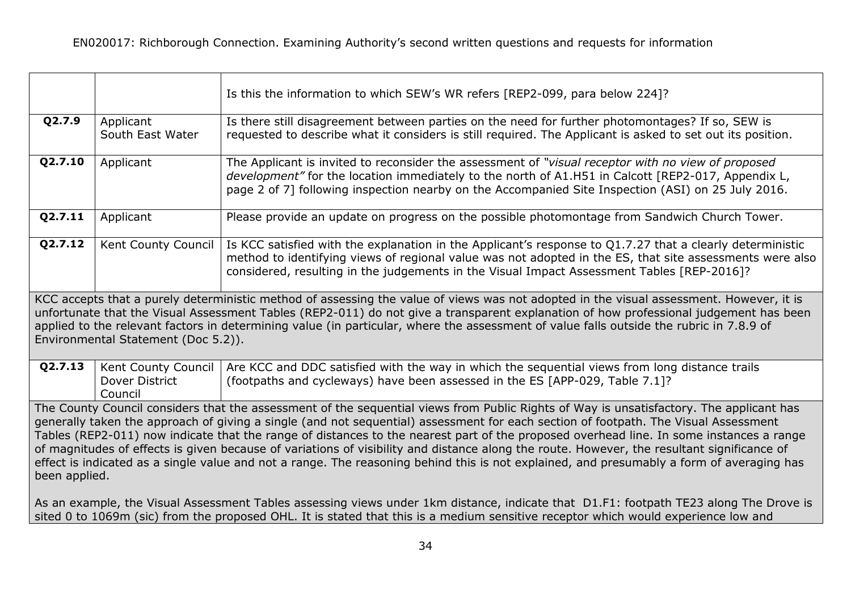|                                                                                                                                                                                                                                                                                                                                                                                                                                                                                                                                                                                                                                                                                                                                                                                                                                                                                |                                                  | Is this the information to which SEW's WR refers [REP2-099, para below 224]?                                                                                                                                                                                                                                        |
|--------------------------------------------------------------------------------------------------------------------------------------------------------------------------------------------------------------------------------------------------------------------------------------------------------------------------------------------------------------------------------------------------------------------------------------------------------------------------------------------------------------------------------------------------------------------------------------------------------------------------------------------------------------------------------------------------------------------------------------------------------------------------------------------------------------------------------------------------------------------------------|--------------------------------------------------|---------------------------------------------------------------------------------------------------------------------------------------------------------------------------------------------------------------------------------------------------------------------------------------------------------------------|
| Q2.7.9                                                                                                                                                                                                                                                                                                                                                                                                                                                                                                                                                                                                                                                                                                                                                                                                                                                                         | Applicant<br>South East Water                    | Is there still disagreement between parties on the need for further photomontages? If so, SEW is<br>requested to describe what it considers is still required. The Applicant is asked to set out its position.                                                                                                      |
| Q2.7.10                                                                                                                                                                                                                                                                                                                                                                                                                                                                                                                                                                                                                                                                                                                                                                                                                                                                        | Applicant                                        | The Applicant is invited to reconsider the assessment of "visual receptor with no view of proposed<br>development" for the location immediately to the north of A1.H51 in Calcott [REP2-017, Appendix L,<br>page 2 of 7] following inspection nearby on the Accompanied Site Inspection (ASI) on 25 July 2016.      |
| Q2.7.11                                                                                                                                                                                                                                                                                                                                                                                                                                                                                                                                                                                                                                                                                                                                                                                                                                                                        | Applicant                                        | Please provide an update on progress on the possible photomontage from Sandwich Church Tower.                                                                                                                                                                                                                       |
| Q2.7.12                                                                                                                                                                                                                                                                                                                                                                                                                                                                                                                                                                                                                                                                                                                                                                                                                                                                        | Kent County Council                              | Is KCC satisfied with the explanation in the Applicant's response to Q1.7.27 that a clearly deterministic<br>method to identifying views of regional value was not adopted in the ES, that site assessments were also<br>considered, resulting in the judgements in the Visual Impact Assessment Tables [REP-2016]? |
| KCC accepts that a purely deterministic method of assessing the value of views was not adopted in the visual assessment. However, it is<br>unfortunate that the Visual Assessment Tables (REP2-011) do not give a transparent explanation of how professional judgement has been<br>applied to the relevant factors in determining value (in particular, where the assessment of value falls outside the rubric in 7.8.9 of<br>Environmental Statement (Doc 5.2)).                                                                                                                                                                                                                                                                                                                                                                                                             |                                                  |                                                                                                                                                                                                                                                                                                                     |
| Q2.7.13                                                                                                                                                                                                                                                                                                                                                                                                                                                                                                                                                                                                                                                                                                                                                                                                                                                                        | Kent County Council<br>Dover District<br>Council | Are KCC and DDC satisfied with the way in which the sequential views from long distance trails<br>(footpaths and cycleways) have been assessed in the ES [APP-029, Table 7.1]?                                                                                                                                      |
| The County Council considers that the assessment of the sequential views from Public Rights of Way is unsatisfactory. The applicant has<br>generally taken the approach of giving a single (and not sequential) assessment for each section of footpath. The Visual Assessment<br>Tables (REP2-011) now indicate that the range of distances to the nearest part of the proposed overhead line. In some instances a range<br>of magnitudes of effects is given because of variations of visibility and distance along the route. However, the resultant significance of<br>effect is indicated as a single value and not a range. The reasoning behind this is not explained, and presumably a form of averaging has<br>been applied.<br>As an example, the Visual Assessment Tables assessing views under 1km distance, indicate that D1.F1: footpath TE23 along The Drove is |                                                  |                                                                                                                                                                                                                                                                                                                     |
| sited 0 to 1069m (sic) from the proposed OHL. It is stated that this is a medium sensitive receptor which would experience low and                                                                                                                                                                                                                                                                                                                                                                                                                                                                                                                                                                                                                                                                                                                                             |                                                  |                                                                                                                                                                                                                                                                                                                     |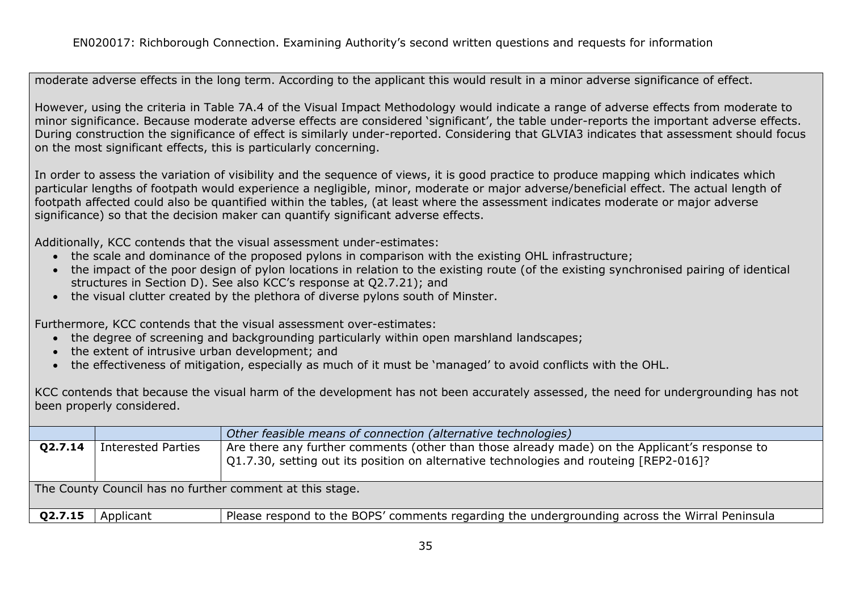moderate adverse effects in the long term. According to the applicant this would result in a minor adverse significance of effect.

However, using the criteria in Table 7A.4 of the Visual Impact Methodology would indicate a range of adverse effects from moderate to minor significance. Because moderate adverse effects are considered 'significant', the table under-reports the important adverse effects. During construction the significance of effect is similarly under-reported. Considering that GLVIA3 indicates that assessment should focus on the most significant effects, this is particularly concerning.

In order to assess the variation of visibility and the sequence of views, it is good practice to produce mapping which indicates which particular lengths of footpath would experience a negligible, minor, moderate or major adverse/beneficial effect. The actual length of footpath affected could also be quantified within the tables, (at least where the assessment indicates moderate or major adverse significance) so that the decision maker can quantify significant adverse effects.

Additionally, KCC contends that the visual assessment under-estimates:

- the scale and dominance of the proposed pylons in comparison with the existing OHL infrastructure;
- the impact of the poor design of pylon locations in relation to the existing route (of the existing synchronised pairing of identical structures in Section D). See also KCC's response at Q2.7.21); and
- the visual clutter created by the plethora of diverse pylons south of Minster.

Furthermore, KCC contends that the visual assessment over-estimates:

- the degree of screening and backgrounding particularly within open marshland landscapes;
- the extent of intrusive urban development; and
- the effectiveness of mitigation, especially as much of it must be 'managed' to avoid conflicts with the OHL.

KCC contends that because the visual harm of the development has not been accurately assessed, the need for undergrounding has not been properly considered.

|         |                           | Other feasible means of connection (alternative technologies)                                                                                                                                   |
|---------|---------------------------|-------------------------------------------------------------------------------------------------------------------------------------------------------------------------------------------------|
| Q2.7.14 | <b>Interested Parties</b> | Are there any further comments (other than those already made) on the Applicant's response to<br>$\vert$ Q1.7.30, setting out its position on alternative technologies and routeing [REP2-016]? |
|         |                           | The County Council has no further comment at this stage.                                                                                                                                        |
| Q2.7.15 | Applicant                 | Please respond to the BOPS' comments regarding the undergrounding across the Wirral Peninsula                                                                                                   |
|         |                           |                                                                                                                                                                                                 |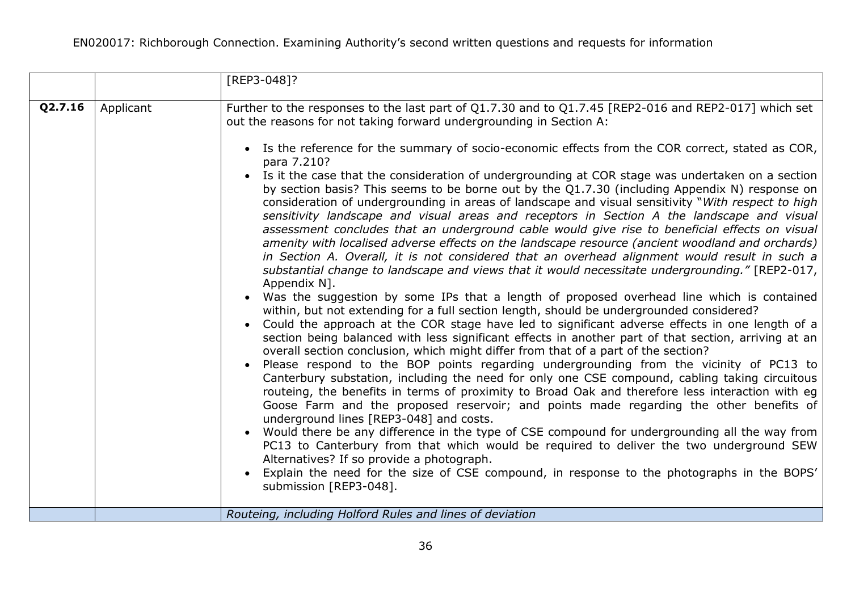|         |           | [REP3-048]?                                                                                                                                                                                                                                                                                                                                                                                                                                                                                                                                                                                                                                                                                                                                                                                                                                                                                                                                                                                                                                                                                                                                                                                                                                                                                                                                                                                                                                                                                                                                                                                                                                                                                                                                                                                                                                                                                                                                                                                                                                                                                                                                                                                                                                                                       |
|---------|-----------|-----------------------------------------------------------------------------------------------------------------------------------------------------------------------------------------------------------------------------------------------------------------------------------------------------------------------------------------------------------------------------------------------------------------------------------------------------------------------------------------------------------------------------------------------------------------------------------------------------------------------------------------------------------------------------------------------------------------------------------------------------------------------------------------------------------------------------------------------------------------------------------------------------------------------------------------------------------------------------------------------------------------------------------------------------------------------------------------------------------------------------------------------------------------------------------------------------------------------------------------------------------------------------------------------------------------------------------------------------------------------------------------------------------------------------------------------------------------------------------------------------------------------------------------------------------------------------------------------------------------------------------------------------------------------------------------------------------------------------------------------------------------------------------------------------------------------------------------------------------------------------------------------------------------------------------------------------------------------------------------------------------------------------------------------------------------------------------------------------------------------------------------------------------------------------------------------------------------------------------------------------------------------------------|
| Q2.7.16 | Applicant | Further to the responses to the last part of Q1.7.30 and to Q1.7.45 [REP2-016 and REP2-017] which set<br>out the reasons for not taking forward undergrounding in Section A:                                                                                                                                                                                                                                                                                                                                                                                                                                                                                                                                                                                                                                                                                                                                                                                                                                                                                                                                                                                                                                                                                                                                                                                                                                                                                                                                                                                                                                                                                                                                                                                                                                                                                                                                                                                                                                                                                                                                                                                                                                                                                                      |
|         |           | • Is the reference for the summary of socio-economic effects from the COR correct, stated as COR,<br>para 7.210?<br>• Is it the case that the consideration of undergrounding at COR stage was undertaken on a section<br>by section basis? This seems to be borne out by the Q1.7.30 (including Appendix N) response on<br>consideration of undergrounding in areas of landscape and visual sensitivity "With respect to high<br>sensitivity landscape and visual areas and receptors in Section A the landscape and visual<br>assessment concludes that an underground cable would give rise to beneficial effects on visual<br>amenity with localised adverse effects on the landscape resource (ancient woodland and orchards)<br>in Section A. Overall, it is not considered that an overhead alignment would result in such a<br>substantial change to landscape and views that it would necessitate undergrounding." [REP2-017,<br>Appendix N].<br>Was the suggestion by some IPs that a length of proposed overhead line which is contained<br>within, but not extending for a full section length, should be undergrounded considered?<br>• Could the approach at the COR stage have led to significant adverse effects in one length of a<br>section being balanced with less significant effects in another part of that section, arriving at an<br>overall section conclusion, which might differ from that of a part of the section?<br>Please respond to the BOP points regarding undergrounding from the vicinity of PC13 to<br>$\bullet$<br>Canterbury substation, including the need for only one CSE compound, cabling taking circuitous<br>routeing, the benefits in terms of proximity to Broad Oak and therefore less interaction with eq<br>Goose Farm and the proposed reservoir; and points made regarding the other benefits of<br>underground lines [REP3-048] and costs.<br>Would there be any difference in the type of CSE compound for undergrounding all the way from<br>$\bullet$<br>PC13 to Canterbury from that which would be required to deliver the two underground SEW<br>Alternatives? If so provide a photograph.<br>Explain the need for the size of CSE compound, in response to the photographs in the BOPS'<br>submission [REP3-048]. |
|         |           | Routeing, including Holford Rules and lines of deviation                                                                                                                                                                                                                                                                                                                                                                                                                                                                                                                                                                                                                                                                                                                                                                                                                                                                                                                                                                                                                                                                                                                                                                                                                                                                                                                                                                                                                                                                                                                                                                                                                                                                                                                                                                                                                                                                                                                                                                                                                                                                                                                                                                                                                          |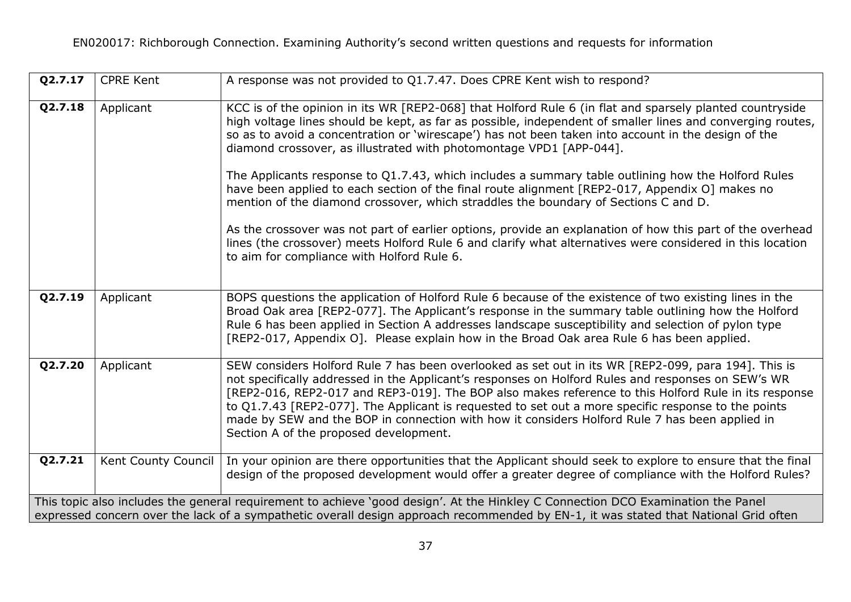| Q2.7.17 | <b>CPRE Kent</b>    | A response was not provided to Q1.7.47. Does CPRE Kent wish to respond?                                                                                                                                                                                                                                                                                                                                                                                                                                                                                                                                                                                                                                                                                                                                                                                                                                                                                                     |
|---------|---------------------|-----------------------------------------------------------------------------------------------------------------------------------------------------------------------------------------------------------------------------------------------------------------------------------------------------------------------------------------------------------------------------------------------------------------------------------------------------------------------------------------------------------------------------------------------------------------------------------------------------------------------------------------------------------------------------------------------------------------------------------------------------------------------------------------------------------------------------------------------------------------------------------------------------------------------------------------------------------------------------|
| Q2.7.18 | Applicant           | KCC is of the opinion in its WR [REP2-068] that Holford Rule 6 (in flat and sparsely planted countryside<br>high voltage lines should be kept, as far as possible, independent of smaller lines and converging routes,<br>so as to avoid a concentration or 'wirescape') has not been taken into account in the design of the<br>diamond crossover, as illustrated with photomontage VPD1 [APP-044].<br>The Applicants response to Q1.7.43, which includes a summary table outlining how the Holford Rules<br>have been applied to each section of the final route alignment [REP2-017, Appendix O] makes no<br>mention of the diamond crossover, which straddles the boundary of Sections C and D.<br>As the crossover was not part of earlier options, provide an explanation of how this part of the overhead<br>lines (the crossover) meets Holford Rule 6 and clarify what alternatives were considered in this location<br>to aim for compliance with Holford Rule 6. |
| Q2.7.19 | Applicant           | BOPS questions the application of Holford Rule 6 because of the existence of two existing lines in the<br>Broad Oak area [REP2-077]. The Applicant's response in the summary table outlining how the Holford<br>Rule 6 has been applied in Section A addresses landscape susceptibility and selection of pylon type<br>[REP2-017, Appendix O]. Please explain how in the Broad Oak area Rule 6 has been applied.                                                                                                                                                                                                                                                                                                                                                                                                                                                                                                                                                            |
| Q2.7.20 | Applicant           | SEW considers Holford Rule 7 has been overlooked as set out in its WR [REP2-099, para 194]. This is<br>not specifically addressed in the Applicant's responses on Holford Rules and responses on SEW's WR<br>[REP2-016, REP2-017 and REP3-019]. The BOP also makes reference to this Holford Rule in its response<br>to Q1.7.43 [REP2-077]. The Applicant is requested to set out a more specific response to the points<br>made by SEW and the BOP in connection with how it considers Holford Rule 7 has been applied in<br>Section A of the proposed development.                                                                                                                                                                                                                                                                                                                                                                                                        |
| Q2.7.21 | Kent County Council | In your opinion are there opportunities that the Applicant should seek to explore to ensure that the final<br>design of the proposed development would offer a greater degree of compliance with the Holford Rules?                                                                                                                                                                                                                                                                                                                                                                                                                                                                                                                                                                                                                                                                                                                                                         |
|         |                     | This topic also includes the general requirement to achieve 'good design'. At the Hinkley C Connection DCO Examination the Panel<br>expressed concern over the lack of a sympathetic overall design approach recommended by EN-1, it was stated that National Grid often                                                                                                                                                                                                                                                                                                                                                                                                                                                                                                                                                                                                                                                                                                    |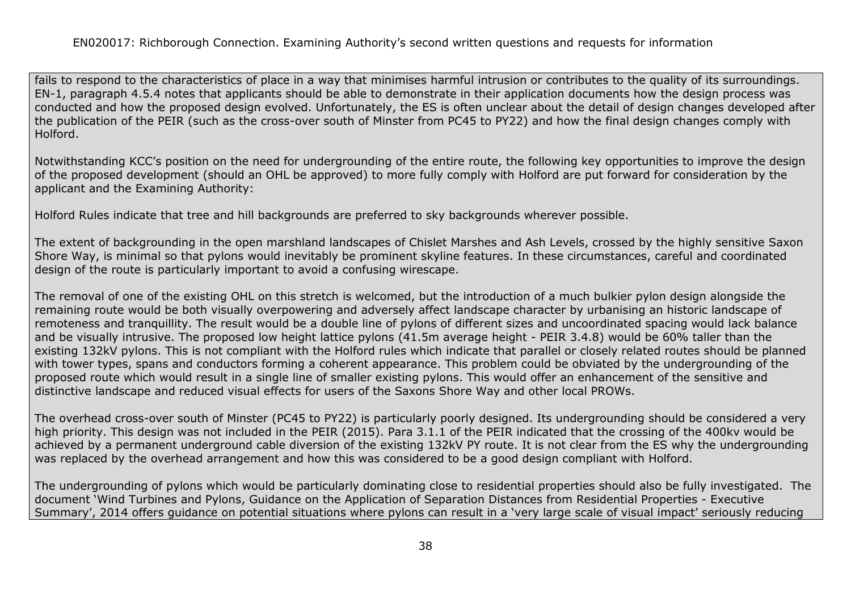fails to respond to the characteristics of place in a way that minimises harmful intrusion or contributes to the quality of its surroundings. EN-1, paragraph 4.5.4 notes that applicants should be able to demonstrate in their application documents how the design process was conducted and how the proposed design evolved. Unfortunately, the ES is often unclear about the detail of design changes developed after the publication of the PEIR (such as the cross-over south of Minster from PC45 to PY22) and how the final design changes comply with Holford.

Notwithstanding KCC's position on the need for undergrounding of the entire route, the following key opportunities to improve the design of the proposed development (should an OHL be approved) to more fully comply with Holford are put forward for consideration by the applicant and the Examining Authority:

Holford Rules indicate that tree and hill backgrounds are preferred to sky backgrounds wherever possible.

The extent of backgrounding in the open marshland landscapes of Chislet Marshes and Ash Levels, crossed by the highly sensitive Saxon Shore Way, is minimal so that pylons would inevitably be prominent skyline features. In these circumstances, careful and coordinated design of the route is particularly important to avoid a confusing wirescape.

The removal of one of the existing OHL on this stretch is welcomed, but the introduction of a much bulkier pylon design alongside the remaining route would be both visually overpowering and adversely affect landscape character by urbanising an historic landscape of remoteness and tranquillity. The result would be a double line of pylons of different sizes and uncoordinated spacing would lack balance and be visually intrusive. The proposed low height lattice pylons (41.5m average height - PEIR 3.4.8) would be 60% taller than the existing 132kV pylons. This is not compliant with the Holford rules which indicate that parallel or closely related routes should be planned with tower types, spans and conductors forming a coherent appearance. This problem could be obviated by the undergrounding of the proposed route which would result in a single line of smaller existing pylons. This would offer an enhancement of the sensitive and distinctive landscape and reduced visual effects for users of the Saxons Shore Way and other local PROWs.

The overhead cross-over south of Minster (PC45 to PY22) is particularly poorly designed. Its undergrounding should be considered a very high priority. This design was not included in the PEIR (2015). Para 3.1.1 of the PEIR indicated that the crossing of the 400kv would be achieved by a permanent underground cable diversion of the existing 132kV PY route. It is not clear from the ES why the undergrounding was replaced by the overhead arrangement and how this was considered to be a good design compliant with Holford.

The undergrounding of pylons which would be particularly dominating close to residential properties should also be fully investigated. The document 'Wind Turbines and Pylons, Guidance on the Application of Separation Distances from Residential Properties - Executive Summary', 2014 offers guidance on potential situations where pylons can result in a 'very large scale of visual impact' seriously reducing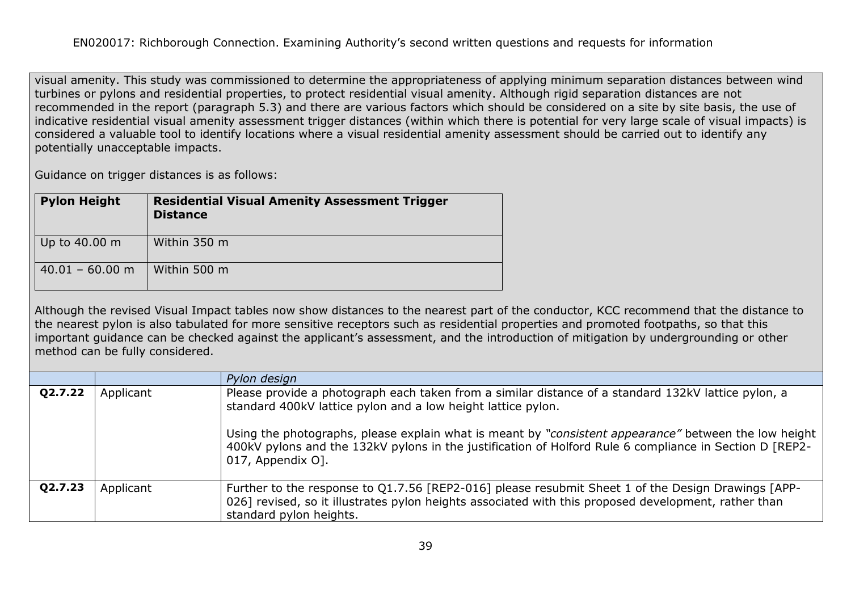visual amenity. This study was commissioned to determine the appropriateness of applying minimum separation distances between wind turbines or pylons and residential properties, to protect residential visual amenity. Although rigid separation distances are not recommended in the report (paragraph 5.3) and there are various factors which should be considered on a site by site basis, the use of indicative residential visual amenity assessment trigger distances (within which there is potential for very large scale of visual impacts) is considered a valuable tool to identify locations where a visual residential amenity assessment should be carried out to identify any potentially unacceptable impacts.

Guidance on trigger distances is as follows:

| <b>Pylon Height</b> | <b>Residential Visual Amenity Assessment Trigger</b><br><b>Distance</b> |
|---------------------|-------------------------------------------------------------------------|
| Up to 40.00 m       | Within 350 m                                                            |
| $40.01 - 60.00$ m   | Within 500 m                                                            |

Although the revised Visual Impact tables now show distances to the nearest part of the conductor, KCC recommend that the distance to the nearest pylon is also tabulated for more sensitive receptors such as residential properties and promoted footpaths, so that this important guidance can be checked against the applicant's assessment, and the introduction of mitigation by undergrounding or other method can be fully considered.

|         |           | Pylon design                                                                                                                                                                                                                                                                 |
|---------|-----------|------------------------------------------------------------------------------------------------------------------------------------------------------------------------------------------------------------------------------------------------------------------------------|
| Q2.7.22 | Applicant | Please provide a photograph each taken from a similar distance of a standard 132kV lattice pylon, a<br>standard 400kV lattice pylon and a low height lattice pylon.<br>Using the photographs, please explain what is meant by "consistent appearance" between the low height |
|         |           | 400kV pylons and the 132kV pylons in the justification of Holford Rule 6 compliance in Section D [REP2-<br>017, Appendix O].                                                                                                                                                 |
| Q2.7.23 | Applicant | Further to the response to Q1.7.56 [REP2-016] please resubmit Sheet 1 of the Design Drawings [APP-<br>026] revised, so it illustrates pylon heights associated with this proposed development, rather than<br>standard pylon heights.                                        |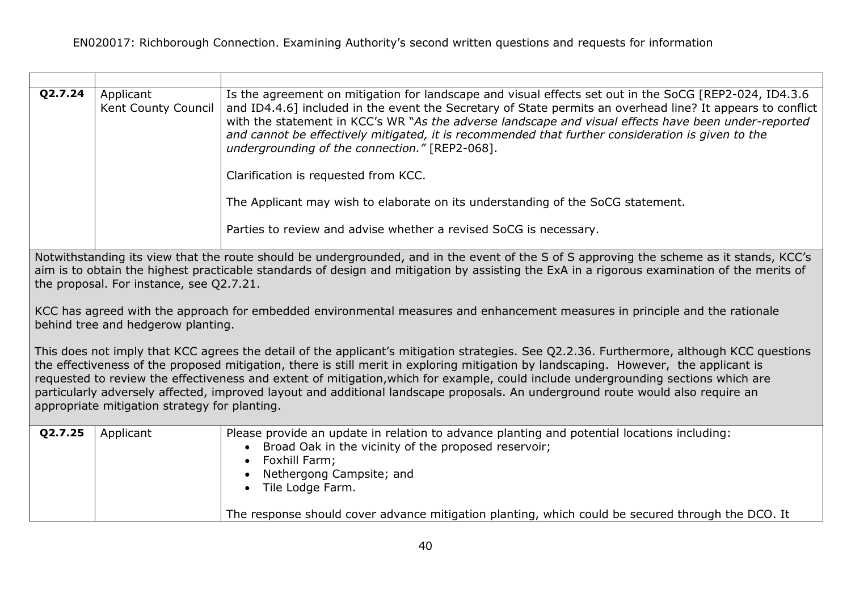| Q2.7.24                                                                                                                                                                                                                                                                                                                                                                                                                                                                                                                                                                                                     | Applicant<br>Kent County Council | Is the agreement on mitigation for landscape and visual effects set out in the SoCG [REP2-024, ID4.3.6]<br>and ID4.4.6] included in the event the Secretary of State permits an overhead line? It appears to conflict<br>with the statement in KCC's WR "As the adverse landscape and visual effects have been under-reported<br>and cannot be effectively mitigated, it is recommended that further consideration is given to the<br>undergrounding of the connection." [REP2-068]. |
|-------------------------------------------------------------------------------------------------------------------------------------------------------------------------------------------------------------------------------------------------------------------------------------------------------------------------------------------------------------------------------------------------------------------------------------------------------------------------------------------------------------------------------------------------------------------------------------------------------------|----------------------------------|--------------------------------------------------------------------------------------------------------------------------------------------------------------------------------------------------------------------------------------------------------------------------------------------------------------------------------------------------------------------------------------------------------------------------------------------------------------------------------------|
|                                                                                                                                                                                                                                                                                                                                                                                                                                                                                                                                                                                                             |                                  | Clarification is requested from KCC.                                                                                                                                                                                                                                                                                                                                                                                                                                                 |
|                                                                                                                                                                                                                                                                                                                                                                                                                                                                                                                                                                                                             |                                  | The Applicant may wish to elaborate on its understanding of the SoCG statement.                                                                                                                                                                                                                                                                                                                                                                                                      |
|                                                                                                                                                                                                                                                                                                                                                                                                                                                                                                                                                                                                             |                                  | Parties to review and advise whether a revised SoCG is necessary.                                                                                                                                                                                                                                                                                                                                                                                                                    |
| Notwithstanding its view that the route should be undergrounded, and in the event of the S of S approving the scheme as it stands, KCC's<br>aim is to obtain the highest practicable standards of design and mitigation by assisting the ExA in a rigorous examination of the merits of<br>the proposal. For instance, see Q2.7.21.                                                                                                                                                                                                                                                                         |                                  |                                                                                                                                                                                                                                                                                                                                                                                                                                                                                      |
| KCC has agreed with the approach for embedded environmental measures and enhancement measures in principle and the rationale<br>behind tree and hedgerow planting.                                                                                                                                                                                                                                                                                                                                                                                                                                          |                                  |                                                                                                                                                                                                                                                                                                                                                                                                                                                                                      |
| This does not imply that KCC agrees the detail of the applicant's mitigation strategies. See Q2.2.36. Furthermore, although KCC questions<br>the effectiveness of the proposed mitigation, there is still merit in exploring mitigation by landscaping. However, the applicant is<br>requested to review the effectiveness and extent of mitigation, which for example, could include undergrounding sections which are<br>particularly adversely affected, improved layout and additional landscape proposals. An underground route would also require an<br>appropriate mitigation strategy for planting. |                                  |                                                                                                                                                                                                                                                                                                                                                                                                                                                                                      |
| Q2.7.25                                                                                                                                                                                                                                                                                                                                                                                                                                                                                                                                                                                                     | Applicant                        | Please provide an update in relation to advance planting and potential locations including:<br>Broad Oak in the vicinity of the proposed reservoir;<br>Foxhill Farm;<br>Nethergong Campsite; and<br>Tile Lodge Farm.                                                                                                                                                                                                                                                                 |

The response should cover advance mitigation planting, which could be secured through the DCO. It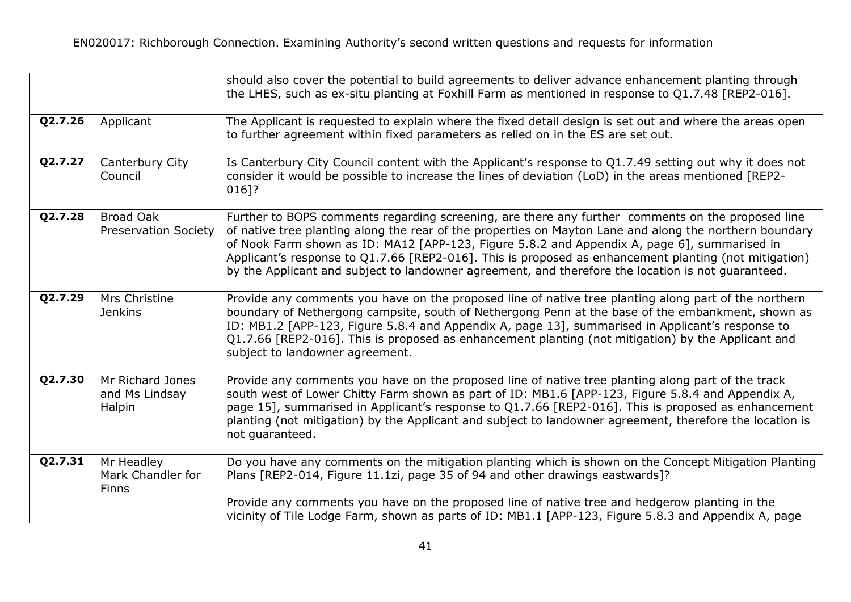|         |                                                 | should also cover the potential to build agreements to deliver advance enhancement planting through<br>the LHES, such as ex-situ planting at Foxhill Farm as mentioned in response to Q1.7.48 [REP2-016].                                                                                                                                                                                                                                                                                                                   |
|---------|-------------------------------------------------|-----------------------------------------------------------------------------------------------------------------------------------------------------------------------------------------------------------------------------------------------------------------------------------------------------------------------------------------------------------------------------------------------------------------------------------------------------------------------------------------------------------------------------|
| Q2.7.26 | Applicant                                       | The Applicant is requested to explain where the fixed detail design is set out and where the areas open<br>to further agreement within fixed parameters as relied on in the ES are set out.                                                                                                                                                                                                                                                                                                                                 |
| Q2.7.27 | Canterbury City<br>Council                      | Is Canterbury City Council content with the Applicant's response to Q1.7.49 setting out why it does not<br>consider it would be possible to increase the lines of deviation (LoD) in the areas mentioned [REP2-<br>016]?                                                                                                                                                                                                                                                                                                    |
| Q2.7.28 | <b>Broad Oak</b><br><b>Preservation Society</b> | Further to BOPS comments regarding screening, are there any further comments on the proposed line<br>of native tree planting along the rear of the properties on Mayton Lane and along the northern boundary<br>of Nook Farm shown as ID: MA12 [APP-123, Figure 5.8.2 and Appendix A, page 6], summarised in<br>Applicant's response to Q1.7.66 [REP2-016]. This is proposed as enhancement planting (not mitigation)<br>by the Applicant and subject to landowner agreement, and therefore the location is not quaranteed. |
| Q2.7.29 | Mrs Christine<br><b>Jenkins</b>                 | Provide any comments you have on the proposed line of native tree planting along part of the northern<br>boundary of Nethergong campsite, south of Nethergong Penn at the base of the embankment, shown as<br>ID: MB1.2 [APP-123, Figure 5.8.4 and Appendix A, page 13], summarised in Applicant's response to<br>Q1.7.66 [REP2-016]. This is proposed as enhancement planting (not mitigation) by the Applicant and<br>subject to landowner agreement.                                                                     |
| Q2.7.30 | Mr Richard Jones<br>and Ms Lindsay<br>Halpin    | Provide any comments you have on the proposed line of native tree planting along part of the track<br>south west of Lower Chitty Farm shown as part of ID: MB1.6 [APP-123, Figure 5.8.4 and Appendix A,<br>page 15], summarised in Applicant's response to Q1.7.66 [REP2-016]. This is proposed as enhancement<br>planting (not mitigation) by the Applicant and subject to landowner agreement, therefore the location is<br>not guaranteed.                                                                               |
| Q2.7.31 | Mr Headley<br>Mark Chandler for<br><b>Finns</b> | Do you have any comments on the mitigation planting which is shown on the Concept Mitigation Planting<br>Plans [REP2-014, Figure 11.1zi, page 35 of 94 and other drawings eastwards]?                                                                                                                                                                                                                                                                                                                                       |
|         |                                                 | Provide any comments you have on the proposed line of native tree and hedgerow planting in the<br>vicinity of Tile Lodge Farm, shown as parts of ID: MB1.1 [APP-123, Figure 5.8.3 and Appendix A, page                                                                                                                                                                                                                                                                                                                      |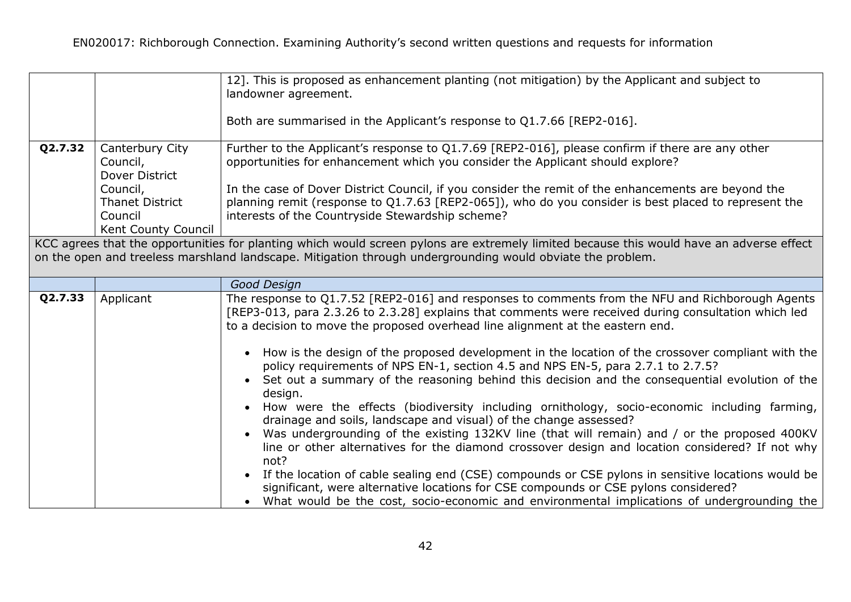|         |                                                           | 12]. This is proposed as enhancement planting (not mitigation) by the Applicant and subject to<br>landowner agreement.                                                                                                                                                                                                                                                                                                                                                                                                                                                                                                                                                                                                                                                                                                                                                                                                                                                                                                                                                               |
|---------|-----------------------------------------------------------|--------------------------------------------------------------------------------------------------------------------------------------------------------------------------------------------------------------------------------------------------------------------------------------------------------------------------------------------------------------------------------------------------------------------------------------------------------------------------------------------------------------------------------------------------------------------------------------------------------------------------------------------------------------------------------------------------------------------------------------------------------------------------------------------------------------------------------------------------------------------------------------------------------------------------------------------------------------------------------------------------------------------------------------------------------------------------------------|
|         |                                                           | Both are summarised in the Applicant's response to Q1.7.66 [REP2-016].                                                                                                                                                                                                                                                                                                                                                                                                                                                                                                                                                                                                                                                                                                                                                                                                                                                                                                                                                                                                               |
| Q2.7.32 | Canterbury City<br>Council,<br>Dover District<br>Council, | Further to the Applicant's response to Q1.7.69 [REP2-016], please confirm if there are any other<br>opportunities for enhancement which you consider the Applicant should explore?<br>In the case of Dover District Council, if you consider the remit of the enhancements are beyond the                                                                                                                                                                                                                                                                                                                                                                                                                                                                                                                                                                                                                                                                                                                                                                                            |
|         | <b>Thanet District</b><br>Council<br>Kent County Council  | planning remit (response to Q1.7.63 [REP2-065]), who do you consider is best placed to represent the<br>interests of the Countryside Stewardship scheme?                                                                                                                                                                                                                                                                                                                                                                                                                                                                                                                                                                                                                                                                                                                                                                                                                                                                                                                             |
|         |                                                           | KCC agrees that the opportunities for planting which would screen pylons are extremely limited because this would have an adverse effect<br>on the open and treeless marshland landscape. Mitigation through undergrounding would obviate the problem.                                                                                                                                                                                                                                                                                                                                                                                                                                                                                                                                                                                                                                                                                                                                                                                                                               |
|         |                                                           | Good Design                                                                                                                                                                                                                                                                                                                                                                                                                                                                                                                                                                                                                                                                                                                                                                                                                                                                                                                                                                                                                                                                          |
| Q2.7.33 | Applicant                                                 | The response to Q1.7.52 [REP2-016] and responses to comments from the NFU and Richborough Agents<br>[REP3-013, para 2.3.26 to 2.3.28] explains that comments were received during consultation which led<br>to a decision to move the proposed overhead line alignment at the eastern end.<br>How is the design of the proposed development in the location of the crossover compliant with the<br>policy requirements of NPS EN-1, section 4.5 and NPS EN-5, para 2.7.1 to 2.7.5?<br>Set out a summary of the reasoning behind this decision and the consequential evolution of the<br>design.<br>How were the effects (biodiversity including ornithology, socio-economic including farming,<br>drainage and soils, landscape and visual) of the change assessed?<br>Was undergrounding of the existing 132KV line (that will remain) and / or the proposed 400KV<br>line or other alternatives for the diamond crossover design and location considered? If not why<br>not?<br>If the location of cable sealing end (CSE) compounds or CSE pylons in sensitive locations would be |
|         |                                                           | significant, were alternative locations for CSE compounds or CSE pylons considered?<br>What would be the cost, socio-economic and environmental implications of undergrounding the                                                                                                                                                                                                                                                                                                                                                                                                                                                                                                                                                                                                                                                                                                                                                                                                                                                                                                   |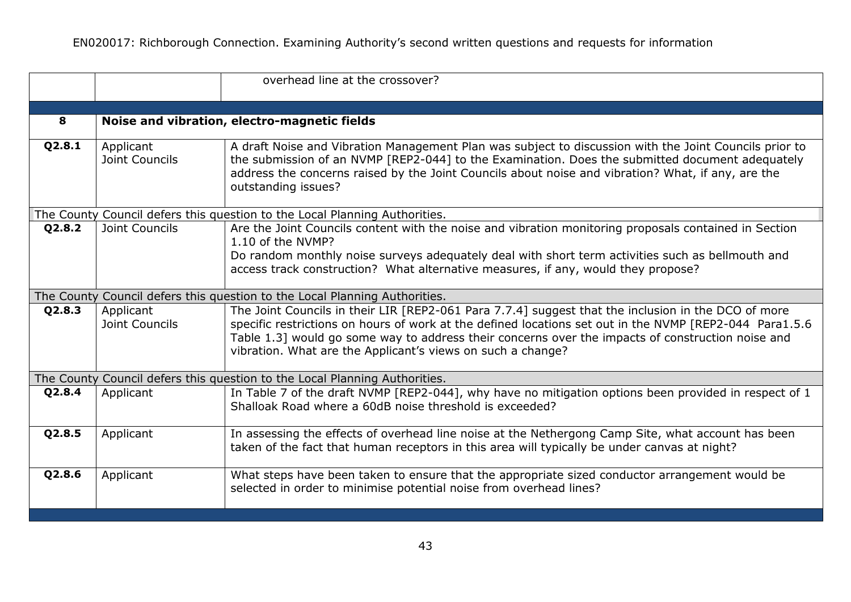|        |                             | overhead line at the crossover?                                                                                                                                                                                                                                                                                                                                                    |
|--------|-----------------------------|------------------------------------------------------------------------------------------------------------------------------------------------------------------------------------------------------------------------------------------------------------------------------------------------------------------------------------------------------------------------------------|
|        |                             |                                                                                                                                                                                                                                                                                                                                                                                    |
| 8      |                             | Noise and vibration, electro-magnetic fields                                                                                                                                                                                                                                                                                                                                       |
| Q2.8.1 | Applicant<br>Joint Councils | A draft Noise and Vibration Management Plan was subject to discussion with the Joint Councils prior to<br>the submission of an NVMP [REP2-044] to the Examination. Does the submitted document adequately<br>address the concerns raised by the Joint Councils about noise and vibration? What, if any, are the<br>outstanding issues?                                             |
|        |                             | The County Council defers this question to the Local Planning Authorities.                                                                                                                                                                                                                                                                                                         |
| Q2.8.2 | Joint Councils              | Are the Joint Councils content with the noise and vibration monitoring proposals contained in Section<br>1.10 of the NVMP?<br>Do random monthly noise surveys adequately deal with short term activities such as bellmouth and<br>access track construction? What alternative measures, if any, would they propose?                                                                |
|        |                             | The County Council defers this question to the Local Planning Authorities.                                                                                                                                                                                                                                                                                                         |
| Q2.8.3 | Applicant<br>Joint Councils | The Joint Councils in their LIR [REP2-061 Para 7.7.4] suggest that the inclusion in the DCO of more<br>specific restrictions on hours of work at the defined locations set out in the NVMP [REP2-044 Para1.5.6<br>Table 1.3] would go some way to address their concerns over the impacts of construction noise and<br>vibration. What are the Applicant's views on such a change? |
|        |                             | The County Council defers this question to the Local Planning Authorities.                                                                                                                                                                                                                                                                                                         |
| Q2.8.4 | Applicant                   | In Table 7 of the draft NVMP [REP2-044], why have no mitigation options been provided in respect of 1<br>Shalloak Road where a 60dB noise threshold is exceeded?                                                                                                                                                                                                                   |
| Q2.8.5 | Applicant                   | In assessing the effects of overhead line noise at the Nethergong Camp Site, what account has been<br>taken of the fact that human receptors in this area will typically be under canvas at night?                                                                                                                                                                                 |
| Q2.8.6 | Applicant                   | What steps have been taken to ensure that the appropriate sized conductor arrangement would be<br>selected in order to minimise potential noise from overhead lines?                                                                                                                                                                                                               |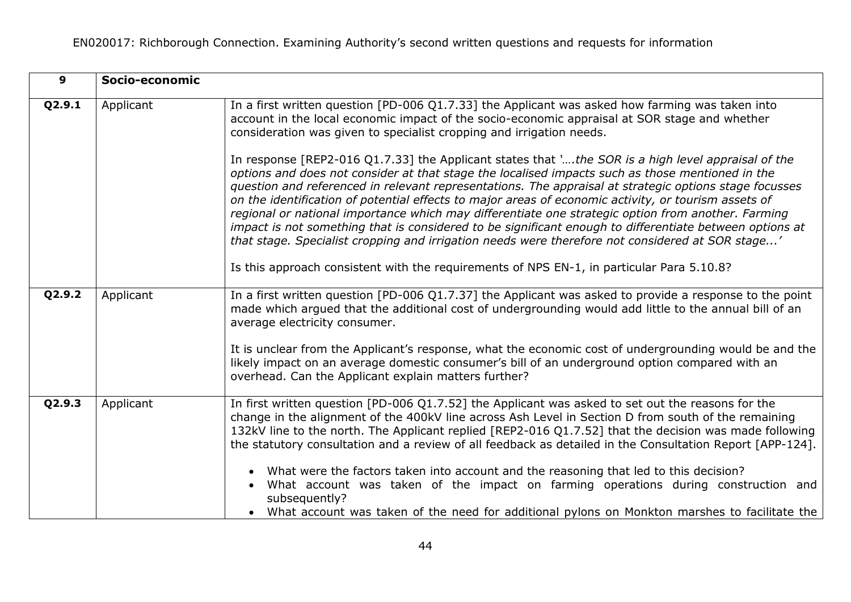| $\mathbf{9}$ | Socio-economic |                                                                                                                                                                                                                                                                                                                                                                                                                                                                                                                                                                                                                                                                                                                                                                                                                                                                                                                                                                                                                                                                                                                          |
|--------------|----------------|--------------------------------------------------------------------------------------------------------------------------------------------------------------------------------------------------------------------------------------------------------------------------------------------------------------------------------------------------------------------------------------------------------------------------------------------------------------------------------------------------------------------------------------------------------------------------------------------------------------------------------------------------------------------------------------------------------------------------------------------------------------------------------------------------------------------------------------------------------------------------------------------------------------------------------------------------------------------------------------------------------------------------------------------------------------------------------------------------------------------------|
| Q2.9.1       | Applicant      | In a first written question [PD-006 Q1.7.33] the Applicant was asked how farming was taken into<br>account in the local economic impact of the socio-economic appraisal at SOR stage and whether<br>consideration was given to specialist cropping and irrigation needs.<br>In response [REP2-016 Q1.7.33] the Applicant states that ', the SOR is a high level appraisal of the<br>options and does not consider at that stage the localised impacts such as those mentioned in the<br>question and referenced in relevant representations. The appraisal at strategic options stage focusses<br>on the identification of potential effects to major areas of economic activity, or tourism assets of<br>regional or national importance which may differentiate one strategic option from another. Farming<br>impact is not something that is considered to be significant enough to differentiate between options at<br>that stage. Specialist cropping and irrigation needs were therefore not considered at SOR stage'<br>Is this approach consistent with the requirements of NPS EN-1, in particular Para 5.10.8? |
| Q2.9.2       | Applicant      | In a first written question [PD-006 Q1.7.37] the Applicant was asked to provide a response to the point<br>made which argued that the additional cost of undergrounding would add little to the annual bill of an<br>average electricity consumer.<br>It is unclear from the Applicant's response, what the economic cost of undergrounding would be and the<br>likely impact on an average domestic consumer's bill of an underground option compared with an<br>overhead. Can the Applicant explain matters further?                                                                                                                                                                                                                                                                                                                                                                                                                                                                                                                                                                                                   |
| Q2.9.3       | Applicant      | In first written question [PD-006 Q1.7.52] the Applicant was asked to set out the reasons for the<br>change in the alignment of the 400kV line across Ash Level in Section D from south of the remaining<br>132kV line to the north. The Applicant replied [REP2-016 Q1.7.52] that the decision was made following<br>the statutory consultation and a review of all feedback as detailed in the Consultation Report [APP-124].<br>What were the factors taken into account and the reasoning that led to this decision?<br>What account was taken of the impact on farming operations during construction and<br>subsequently?<br>• What account was taken of the need for additional pylons on Monkton marshes to facilitate the                                                                                                                                                                                                                                                                                                                                                                                       |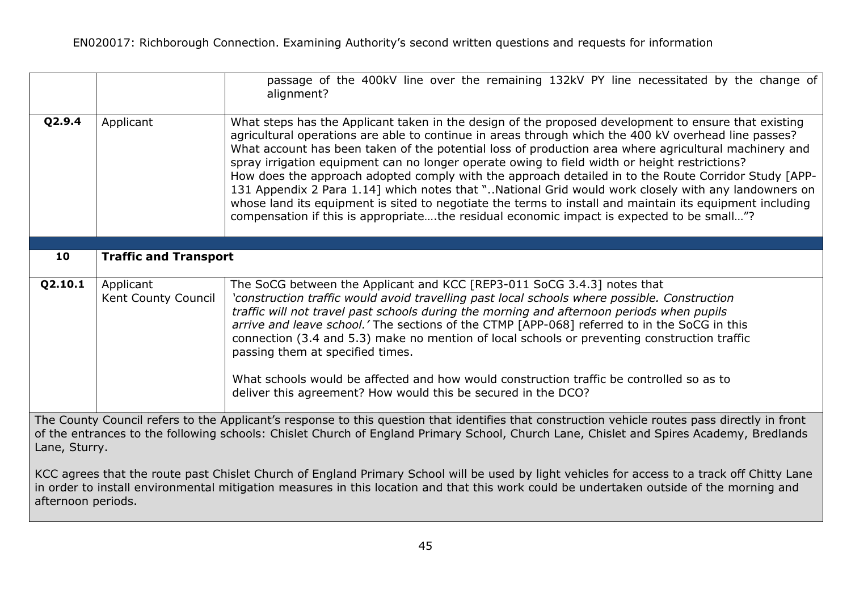|                                                                                                                                                                                                                                                                                                                |                                  | passage of the 400kV line over the remaining 132kV PY line necessitated by the change of<br>alignment?                                                                                                                                                                                                                                                                                                                                                                                                                                                                                                                                                                                                                                                                                                                                         |
|----------------------------------------------------------------------------------------------------------------------------------------------------------------------------------------------------------------------------------------------------------------------------------------------------------------|----------------------------------|------------------------------------------------------------------------------------------------------------------------------------------------------------------------------------------------------------------------------------------------------------------------------------------------------------------------------------------------------------------------------------------------------------------------------------------------------------------------------------------------------------------------------------------------------------------------------------------------------------------------------------------------------------------------------------------------------------------------------------------------------------------------------------------------------------------------------------------------|
| Q2.9.4                                                                                                                                                                                                                                                                                                         | Applicant                        | What steps has the Applicant taken in the design of the proposed development to ensure that existing<br>agricultural operations are able to continue in areas through which the 400 kV overhead line passes?<br>What account has been taken of the potential loss of production area where agricultural machinery and<br>spray irrigation equipment can no longer operate owing to field width or height restrictions?<br>How does the approach adopted comply with the approach detailed in to the Route Corridor Study [APP-<br>131 Appendix 2 Para 1.14] which notes that "National Grid would work closely with any landowners on<br>whose land its equipment is sited to negotiate the terms to install and maintain its equipment including<br>compensation if this is appropriatethe residual economic impact is expected to be small"? |
| 10                                                                                                                                                                                                                                                                                                             | <b>Traffic and Transport</b>     |                                                                                                                                                                                                                                                                                                                                                                                                                                                                                                                                                                                                                                                                                                                                                                                                                                                |
|                                                                                                                                                                                                                                                                                                                |                                  |                                                                                                                                                                                                                                                                                                                                                                                                                                                                                                                                                                                                                                                                                                                                                                                                                                                |
| Q2.10.1                                                                                                                                                                                                                                                                                                        | Applicant<br>Kent County Council | The SoCG between the Applicant and KCC [REP3-011 SoCG 3.4.3] notes that<br>'construction traffic would avoid travelling past local schools where possible. Construction<br>traffic will not travel past schools during the morning and afternoon periods when pupils<br>arrive and leave school.' The sections of the CTMP [APP-068] referred to in the SoCG in this<br>connection (3.4 and 5.3) make no mention of local schools or preventing construction traffic<br>passing them at specified times.<br>What schools would be affected and how would construction traffic be controlled so as to<br>deliver this agreement? How would this be secured in the DCO?                                                                                                                                                                          |
|                                                                                                                                                                                                                                                                                                                |                                  |                                                                                                                                                                                                                                                                                                                                                                                                                                                                                                                                                                                                                                                                                                                                                                                                                                                |
| The County Council refers to the Applicant's response to this question that identifies that construction vehicle routes pass directly in front<br>of the entrances to the following schools: Chislet Church of England Primary School, Church Lane, Chislet and Spires Academy, Bredlands<br>Lane, Sturry.     |                                  |                                                                                                                                                                                                                                                                                                                                                                                                                                                                                                                                                                                                                                                                                                                                                                                                                                                |
| KCC agrees that the route past Chislet Church of England Primary School will be used by light vehicles for access to a track off Chitty Lane<br>in order to install environmental mitigation measures in this location and that this work could be undertaken outside of the morning and<br>afternoon periods. |                                  |                                                                                                                                                                                                                                                                                                                                                                                                                                                                                                                                                                                                                                                                                                                                                                                                                                                |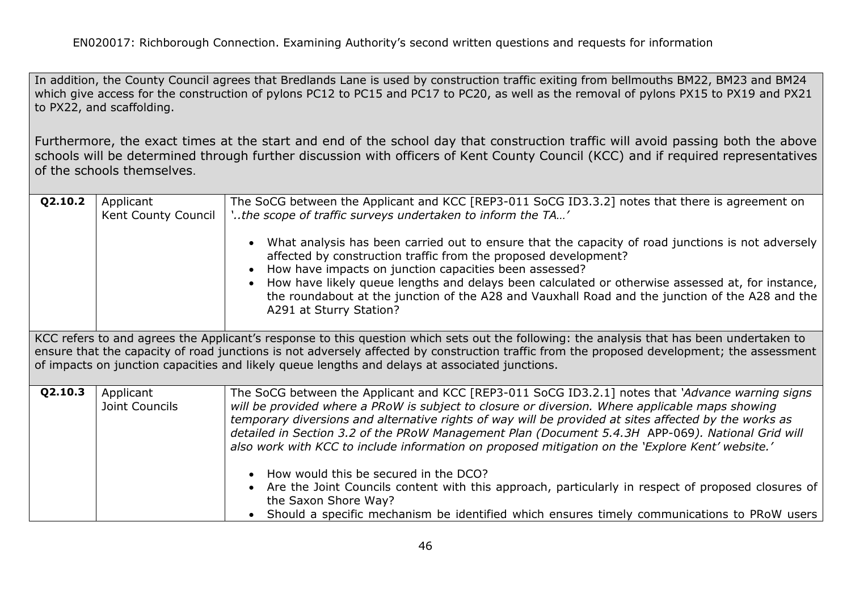In addition, the County Council agrees that Bredlands Lane is used by construction traffic exiting from bellmouths BM22, BM23 and BM24 which give access for the construction of pylons PC12 to PC15 and PC17 to PC20, as well as the removal of pylons PX15 to PX19 and PX21 to PX22, and scaffolding.

Furthermore, the exact times at the start and end of the school day that construction traffic will avoid passing both the above schools will be determined through further discussion with officers of Kent County Council (KCC) and if required representatives of the schools themselves.

| Q2.10.2                                                                                                                                                                                                                                                                                                                                                                                   | Applicant<br>Kent County Council | The SoCG between the Applicant and KCC [REP3-011 SoCG ID3.3.2] notes that there is agreement on<br>'the scope of traffic surveys undertaken to inform the TA'<br>What analysis has been carried out to ensure that the capacity of road junctions is not adversely<br>affected by construction traffic from the proposed development?<br>How have impacts on junction capacities been assessed?<br>How have likely queue lengths and delays been calculated or otherwise assessed at, for instance,<br>the roundabout at the junction of the A28 and Vauxhall Road and the junction of the A28 and the<br>A291 at Sturry Station?                                                              |  |
|-------------------------------------------------------------------------------------------------------------------------------------------------------------------------------------------------------------------------------------------------------------------------------------------------------------------------------------------------------------------------------------------|----------------------------------|------------------------------------------------------------------------------------------------------------------------------------------------------------------------------------------------------------------------------------------------------------------------------------------------------------------------------------------------------------------------------------------------------------------------------------------------------------------------------------------------------------------------------------------------------------------------------------------------------------------------------------------------------------------------------------------------|--|
| KCC refers to and agrees the Applicant's response to this question which sets out the following: the analysis that has been undertaken to<br>ensure that the capacity of road junctions is not adversely affected by construction traffic from the proposed development; the assessment<br>of impacts on junction capacities and likely queue lengths and delays at associated junctions. |                                  |                                                                                                                                                                                                                                                                                                                                                                                                                                                                                                                                                                                                                                                                                                |  |
| Q2.10.3                                                                                                                                                                                                                                                                                                                                                                                   | Applicant<br>Joint Councils      | The SoCG between the Applicant and KCC [REP3-011 SoCG ID3.2.1] notes that 'Advance warning signs<br>will be provided where a PRoW is subject to closure or diversion. Where applicable maps showing<br>temporary diversions and alternative rights of way will be provided at sites affected by the works as<br>detailed in Section 3.2 of the PRoW Management Plan (Document 5.4.3H APP-069). National Grid will<br>also work with KCC to include information on proposed mitigation on the 'Explore Kent' website.'<br>• How would this be secured in the DCO?<br>Are the Joint Councils content with this approach, particularly in respect of proposed closures of<br>the Saxon Shore Way? |  |
|                                                                                                                                                                                                                                                                                                                                                                                           |                                  | Should a specific mechanism be identified which ensures timely communications to PRoW users                                                                                                                                                                                                                                                                                                                                                                                                                                                                                                                                                                                                    |  |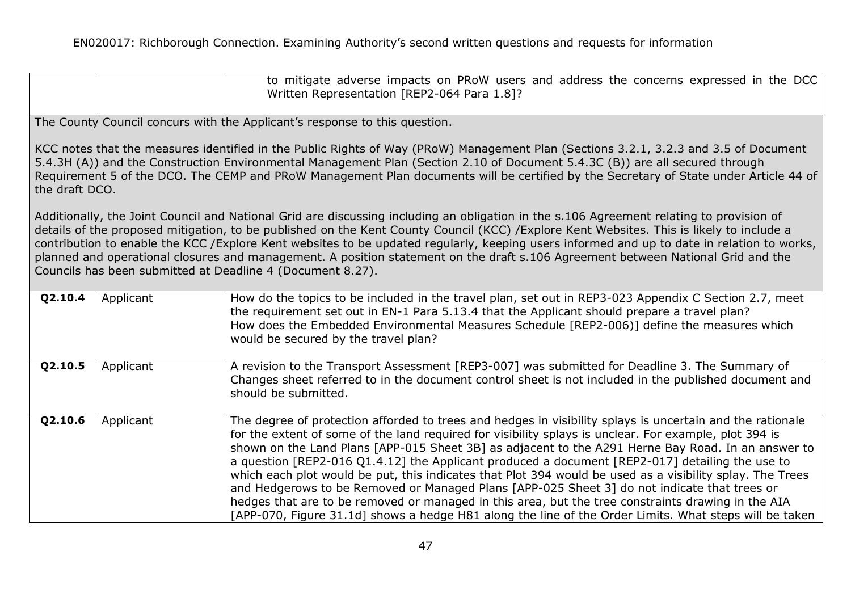|         |                                                                                                                                                                                                                                                                                                                                                                                                                                                                                                                                                                                                                                        | to mitigate adverse impacts on PRoW users and address the concerns expressed in the DCC<br>Written Representation [REP2-064 Para 1.8]?                                                                                                                                                                                                                                                                                                                                                                                                                                                                                                                                                                                                                                                                                                                    |  |  |  |
|---------|----------------------------------------------------------------------------------------------------------------------------------------------------------------------------------------------------------------------------------------------------------------------------------------------------------------------------------------------------------------------------------------------------------------------------------------------------------------------------------------------------------------------------------------------------------------------------------------------------------------------------------------|-----------------------------------------------------------------------------------------------------------------------------------------------------------------------------------------------------------------------------------------------------------------------------------------------------------------------------------------------------------------------------------------------------------------------------------------------------------------------------------------------------------------------------------------------------------------------------------------------------------------------------------------------------------------------------------------------------------------------------------------------------------------------------------------------------------------------------------------------------------|--|--|--|
|         |                                                                                                                                                                                                                                                                                                                                                                                                                                                                                                                                                                                                                                        | The County Council concurs with the Applicant's response to this question.                                                                                                                                                                                                                                                                                                                                                                                                                                                                                                                                                                                                                                                                                                                                                                                |  |  |  |
|         | KCC notes that the measures identified in the Public Rights of Way (PRoW) Management Plan (Sections 3.2.1, 3.2.3 and 3.5 of Document<br>5.4.3H (A)) and the Construction Environmental Management Plan (Section 2.10 of Document 5.4.3C (B)) are all secured through<br>Requirement 5 of the DCO. The CEMP and PRoW Management Plan documents will be certified by the Secretary of State under Article 44 of<br>the draft DCO.                                                                                                                                                                                                        |                                                                                                                                                                                                                                                                                                                                                                                                                                                                                                                                                                                                                                                                                                                                                                                                                                                           |  |  |  |
|         | Additionally, the Joint Council and National Grid are discussing including an obligation in the s.106 Agreement relating to provision of<br>details of the proposed mitigation, to be published on the Kent County Council (KCC) / Explore Kent Websites. This is likely to include a<br>contribution to enable the KCC / Explore Kent websites to be updated regularly, keeping users informed and up to date in relation to works,<br>planned and operational closures and management. A position statement on the draft s.106 Agreement between National Grid and the<br>Councils has been submitted at Deadline 4 (Document 8.27). |                                                                                                                                                                                                                                                                                                                                                                                                                                                                                                                                                                                                                                                                                                                                                                                                                                                           |  |  |  |
| Q2.10.4 | Applicant                                                                                                                                                                                                                                                                                                                                                                                                                                                                                                                                                                                                                              | How do the topics to be included in the travel plan, set out in REP3-023 Appendix C Section 2.7, meet<br>the requirement set out in EN-1 Para 5.13.4 that the Applicant should prepare a travel plan?<br>How does the Embedded Environmental Measures Schedule [REP2-006)] define the measures which<br>would be secured by the travel plan?                                                                                                                                                                                                                                                                                                                                                                                                                                                                                                              |  |  |  |
| Q2.10.5 | Applicant                                                                                                                                                                                                                                                                                                                                                                                                                                                                                                                                                                                                                              | A revision to the Transport Assessment [REP3-007] was submitted for Deadline 3. The Summary of<br>Changes sheet referred to in the document control sheet is not included in the published document and<br>should be submitted.                                                                                                                                                                                                                                                                                                                                                                                                                                                                                                                                                                                                                           |  |  |  |
| Q2.10.6 | Applicant                                                                                                                                                                                                                                                                                                                                                                                                                                                                                                                                                                                                                              | The degree of protection afforded to trees and hedges in visibility splays is uncertain and the rationale<br>for the extent of some of the land required for visibility splays is unclear. For example, plot 394 is<br>shown on the Land Plans [APP-015 Sheet 3B] as adjacent to the A291 Herne Bay Road. In an answer to<br>a question [REP2-016 Q1.4.12] the Applicant produced a document [REP2-017] detailing the use to<br>which each plot would be put, this indicates that Plot 394 would be used as a visibility splay. The Trees<br>and Hedgerows to be Removed or Managed Plans [APP-025 Sheet 3] do not indicate that trees or<br>hedges that are to be removed or managed in this area, but the tree constraints drawing in the AIA<br>[APP-070, Figure 31.1d] shows a hedge H81 along the line of the Order Limits. What steps will be taken |  |  |  |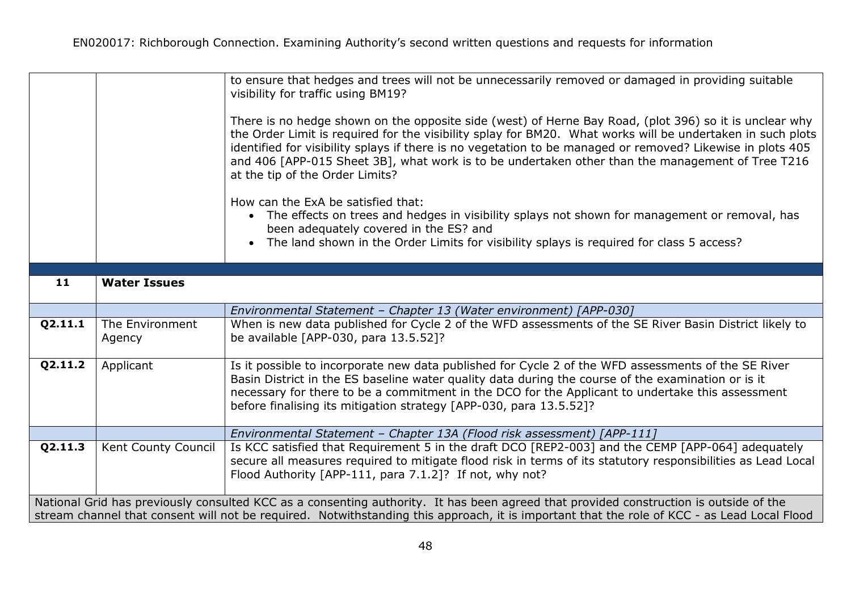|         |                                                                                                                                                                                                                                                                                      | to ensure that hedges and trees will not be unnecessarily removed or damaged in providing suitable<br>visibility for traffic using BM19?<br>There is no hedge shown on the opposite side (west) of Herne Bay Road, (plot 396) so it is unclear why<br>the Order Limit is required for the visibility splay for BM20. What works will be undertaken in such plots<br>identified for visibility splays if there is no vegetation to be managed or removed? Likewise in plots 405<br>and 406 [APP-015 Sheet 3B], what work is to be undertaken other than the management of Tree T216<br>at the tip of the Order Limits?<br>How can the ExA be satisfied that:<br>• The effects on trees and hedges in visibility splays not shown for management or removal, has<br>been adequately covered in the ES? and<br>• The land shown in the Order Limits for visibility splays is required for class 5 access? |  |  |
|---------|--------------------------------------------------------------------------------------------------------------------------------------------------------------------------------------------------------------------------------------------------------------------------------------|--------------------------------------------------------------------------------------------------------------------------------------------------------------------------------------------------------------------------------------------------------------------------------------------------------------------------------------------------------------------------------------------------------------------------------------------------------------------------------------------------------------------------------------------------------------------------------------------------------------------------------------------------------------------------------------------------------------------------------------------------------------------------------------------------------------------------------------------------------------------------------------------------------|--|--|
|         |                                                                                                                                                                                                                                                                                      |                                                                                                                                                                                                                                                                                                                                                                                                                                                                                                                                                                                                                                                                                                                                                                                                                                                                                                        |  |  |
| 11      | <b>Water Issues</b>                                                                                                                                                                                                                                                                  |                                                                                                                                                                                                                                                                                                                                                                                                                                                                                                                                                                                                                                                                                                                                                                                                                                                                                                        |  |  |
|         |                                                                                                                                                                                                                                                                                      | Environmental Statement - Chapter 13 (Water environment) [APP-030]                                                                                                                                                                                                                                                                                                                                                                                                                                                                                                                                                                                                                                                                                                                                                                                                                                     |  |  |
| Q2.11.1 | The Environment<br>Agency                                                                                                                                                                                                                                                            | When is new data published for Cycle 2 of the WFD assessments of the SE River Basin District likely to<br>be available [APP-030, para 13.5.52]?                                                                                                                                                                                                                                                                                                                                                                                                                                                                                                                                                                                                                                                                                                                                                        |  |  |
| Q2.11.2 | Applicant                                                                                                                                                                                                                                                                            | Is it possible to incorporate new data published for Cycle 2 of the WFD assessments of the SE River<br>Basin District in the ES baseline water quality data during the course of the examination or is it<br>necessary for there to be a commitment in the DCO for the Applicant to undertake this assessment<br>before finalising its mitigation strategy [APP-030, para 13.5.52]?                                                                                                                                                                                                                                                                                                                                                                                                                                                                                                                    |  |  |
|         |                                                                                                                                                                                                                                                                                      | Environmental Statement - Chapter 13A (Flood risk assessment) [APP-111]                                                                                                                                                                                                                                                                                                                                                                                                                                                                                                                                                                                                                                                                                                                                                                                                                                |  |  |
| Q2.11.3 | Kent County Council                                                                                                                                                                                                                                                                  | Is KCC satisfied that Requirement 5 in the draft DCO [REP2-003] and the CEMP [APP-064] adequately<br>secure all measures required to mitigate flood risk in terms of its statutory responsibilities as Lead Local<br>Flood Authority [APP-111, para 7.1.2]? If not, why not?                                                                                                                                                                                                                                                                                                                                                                                                                                                                                                                                                                                                                           |  |  |
|         | National Grid has previously consulted KCC as a consenting authority. It has been agreed that provided construction is outside of the<br>stream channel that consent will not be required. Notwithstanding this approach, it is important that the role of KCC - as Lead Local Flood |                                                                                                                                                                                                                                                                                                                                                                                                                                                                                                                                                                                                                                                                                                                                                                                                                                                                                                        |  |  |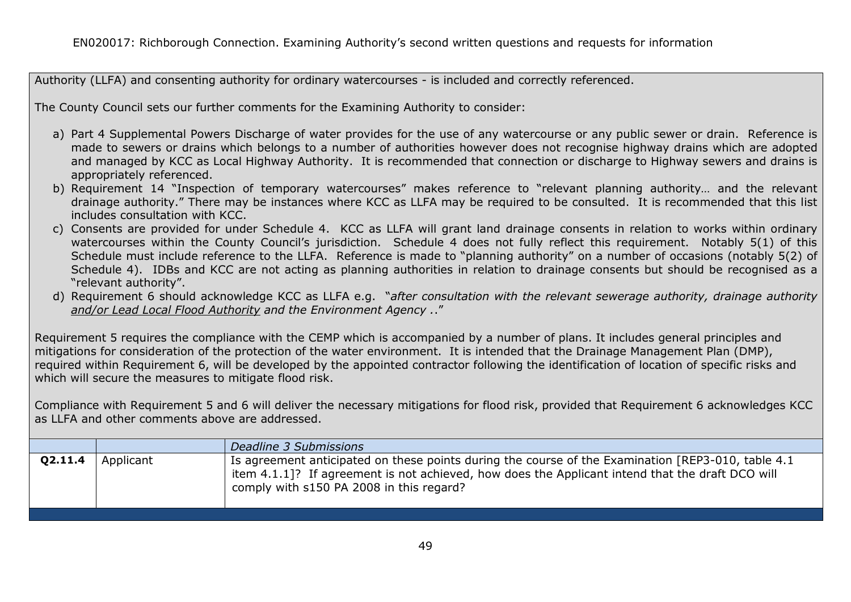Authority (LLFA) and consenting authority for ordinary watercourses - is included and correctly referenced.

The County Council sets our further comments for the Examining Authority to consider:

- a) Part 4 Supplemental Powers Discharge of water provides for the use of any watercourse or any public sewer or drain. Reference is made to sewers or drains which belongs to a number of authorities however does not recognise highway drains which are adopted and managed by KCC as Local Highway Authority. It is recommended that connection or discharge to Highway sewers and drains is appropriately referenced.
- b) Requirement 14 "Inspection of temporary watercourses" makes reference to "relevant planning authority… and the relevant drainage authority." There may be instances where KCC as LLFA may be required to be consulted. It is recommended that this list includes consultation with KCC.
- c) Consents are provided for under Schedule 4. KCC as LLFA will grant land drainage consents in relation to works within ordinary watercourses within the County Council's jurisdiction. Schedule 4 does not fully reflect this requirement. Notably 5(1) of this Schedule must include reference to the LLFA. Reference is made to "planning authority" on a number of occasions (notably 5(2) of Schedule 4). IDBs and KCC are not acting as planning authorities in relation to drainage consents but should be recognised as a "relevant authority".
- d) Requirement 6 should acknowledge KCC as LLFA e.g. "*after consultation with the relevant sewerage authority, drainage authority and/or Lead Local Flood Authority and the Environment Agency .*."

Requirement 5 requires the compliance with the CEMP which is accompanied by a number of plans. It includes general principles and mitigations for consideration of the protection of the water environment. It is intended that the Drainage Management Plan (DMP), required within Requirement 6, will be developed by the appointed contractor following the identification of location of specific risks and which will secure the measures to mitigate flood risk.

Compliance with Requirement 5 and 6 will deliver the necessary mitigations for flood risk, provided that Requirement 6 acknowledges KCC as LLFA and other comments above are addressed.

|         |           | Deadline 3 Submissions                                                                                                                                                                                                                              |
|---------|-----------|-----------------------------------------------------------------------------------------------------------------------------------------------------------------------------------------------------------------------------------------------------|
| Q2.11.4 | Applicant | Is agreement anticipated on these points during the course of the Examination [REP3-010, table 4.1]<br>item 4.1.1]? If agreement is not achieved, how does the Applicant intend that the draft DCO will<br>comply with s150 PA 2008 in this regard? |
|         |           |                                                                                                                                                                                                                                                     |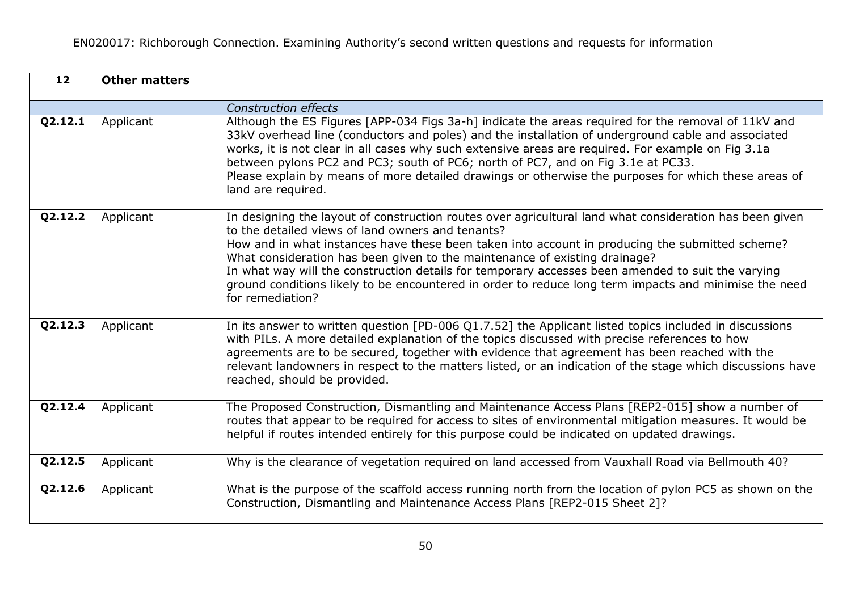| $\overline{12}$ | <b>Other matters</b> |                                                                                                                                                                                                                                                                                                                                                                                                                                                                                                                                                                                 |
|-----------------|----------------------|---------------------------------------------------------------------------------------------------------------------------------------------------------------------------------------------------------------------------------------------------------------------------------------------------------------------------------------------------------------------------------------------------------------------------------------------------------------------------------------------------------------------------------------------------------------------------------|
|                 |                      | <b>Construction effects</b>                                                                                                                                                                                                                                                                                                                                                                                                                                                                                                                                                     |
| Q2.12.1         | Applicant            | Although the ES Figures [APP-034 Figs 3a-h] indicate the areas required for the removal of 11kV and<br>33kV overhead line (conductors and poles) and the installation of underground cable and associated<br>works, it is not clear in all cases why such extensive areas are required. For example on Fig 3.1a<br>between pylons PC2 and PC3; south of PC6; north of PC7, and on Fig 3.1e at PC33.<br>Please explain by means of more detailed drawings or otherwise the purposes for which these areas of<br>land are required.                                               |
| Q2.12.2         | Applicant            | In designing the layout of construction routes over agricultural land what consideration has been given<br>to the detailed views of land owners and tenants?<br>How and in what instances have these been taken into account in producing the submitted scheme?<br>What consideration has been given to the maintenance of existing drainage?<br>In what way will the construction details for temporary accesses been amended to suit the varying<br>ground conditions likely to be encountered in order to reduce long term impacts and minimise the need<br>for remediation? |
| Q2.12.3         | Applicant            | In its answer to written question [PD-006 Q1.7.52] the Applicant listed topics included in discussions<br>with PILs. A more detailed explanation of the topics discussed with precise references to how<br>agreements are to be secured, together with evidence that agreement has been reached with the<br>relevant landowners in respect to the matters listed, or an indication of the stage which discussions have<br>reached, should be provided.                                                                                                                          |
| Q2.12.4         | Applicant            | The Proposed Construction, Dismantling and Maintenance Access Plans [REP2-015] show a number of<br>routes that appear to be required for access to sites of environmental mitigation measures. It would be<br>helpful if routes intended entirely for this purpose could be indicated on updated drawings.                                                                                                                                                                                                                                                                      |
| Q2.12.5         | Applicant            | Why is the clearance of vegetation required on land accessed from Vauxhall Road via Bellmouth 40?                                                                                                                                                                                                                                                                                                                                                                                                                                                                               |
| Q2.12.6         | Applicant            | What is the purpose of the scaffold access running north from the location of pylon PC5 as shown on the<br>Construction, Dismantling and Maintenance Access Plans [REP2-015 Sheet 2]?                                                                                                                                                                                                                                                                                                                                                                                           |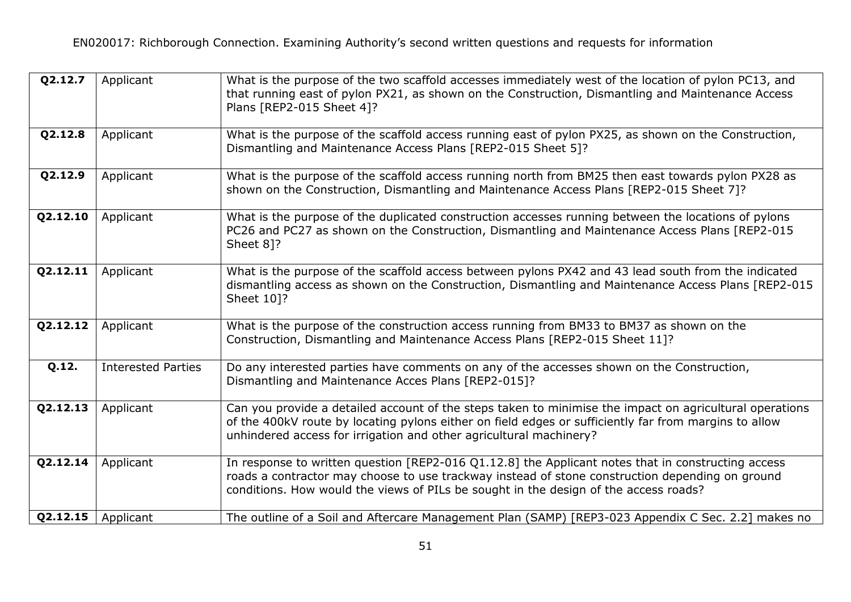| Q2.12.7  | Applicant                 | What is the purpose of the two scaffold accesses immediately west of the location of pylon PC13, and<br>that running east of pylon PX21, as shown on the Construction, Dismantling and Maintenance Access<br>Plans [REP2-015 Sheet 4]?                                                        |
|----------|---------------------------|-----------------------------------------------------------------------------------------------------------------------------------------------------------------------------------------------------------------------------------------------------------------------------------------------|
| Q2.12.8  | Applicant                 | What is the purpose of the scaffold access running east of pylon PX25, as shown on the Construction,<br>Dismantling and Maintenance Access Plans [REP2-015 Sheet 5]?                                                                                                                          |
| Q2.12.9  | Applicant                 | What is the purpose of the scaffold access running north from BM25 then east towards pylon PX28 as<br>shown on the Construction, Dismantling and Maintenance Access Plans [REP2-015 Sheet 7]?                                                                                                 |
| Q2.12.10 | Applicant                 | What is the purpose of the duplicated construction accesses running between the locations of pylons<br>PC26 and PC27 as shown on the Construction, Dismantling and Maintenance Access Plans [REP2-015<br>Sheet 81?                                                                            |
| Q2.12.11 | Applicant                 | What is the purpose of the scaffold access between pylons PX42 and 43 lead south from the indicated<br>dismantling access as shown on the Construction, Dismantling and Maintenance Access Plans [REP2-015<br>Sheet 10]?                                                                      |
| Q2.12.12 | Applicant                 | What is the purpose of the construction access running from BM33 to BM37 as shown on the<br>Construction, Dismantling and Maintenance Access Plans [REP2-015 Sheet 11]?                                                                                                                       |
| Q.12.    | <b>Interested Parties</b> | Do any interested parties have comments on any of the accesses shown on the Construction,<br>Dismantling and Maintenance Acces Plans [REP2-015]?                                                                                                                                              |
| Q2.12.13 | Applicant                 | Can you provide a detailed account of the steps taken to minimise the impact on agricultural operations<br>of the 400kV route by locating pylons either on field edges or sufficiently far from margins to allow<br>unhindered access for irrigation and other agricultural machinery?        |
| Q2.12.14 | Applicant                 | In response to written question [REP2-016 Q1.12.8] the Applicant notes that in constructing access<br>roads a contractor may choose to use trackway instead of stone construction depending on ground<br>conditions. How would the views of PILs be sought in the design of the access roads? |
| Q2.12.15 | Applicant                 | The outline of a Soil and Aftercare Management Plan (SAMP) [REP3-023 Appendix C Sec. 2.2] makes no                                                                                                                                                                                            |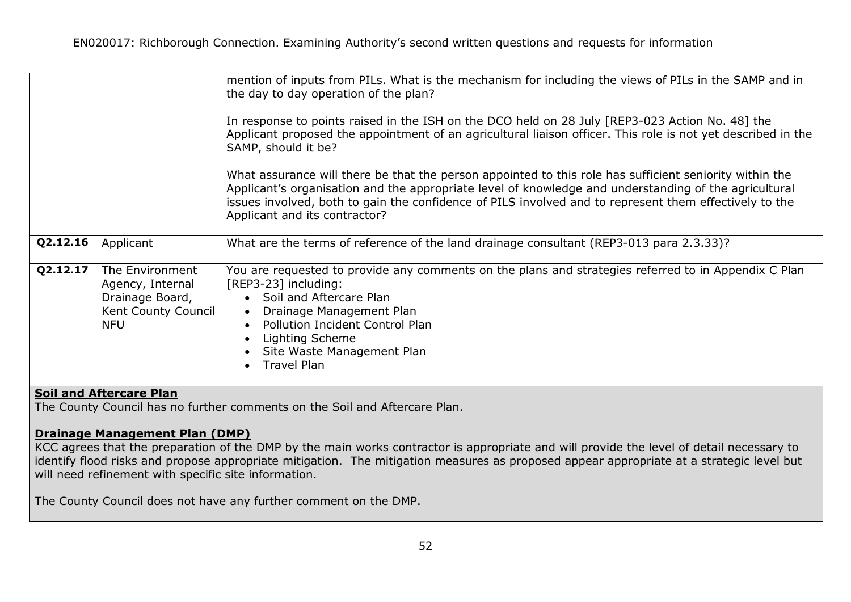|          |                                                                                             | mention of inputs from PILs. What is the mechanism for including the views of PILs in the SAMP and in<br>the day to day operation of the plan?<br>In response to points raised in the ISH on the DCO held on 28 July [REP3-023 Action No. 48] the<br>Applicant proposed the appointment of an agricultural liaison officer. This role is not yet described in the<br>SAMP, should it be?<br>What assurance will there be that the person appointed to this role has sufficient seniority within the<br>Applicant's organisation and the appropriate level of knowledge and understanding of the agricultural |
|----------|---------------------------------------------------------------------------------------------|--------------------------------------------------------------------------------------------------------------------------------------------------------------------------------------------------------------------------------------------------------------------------------------------------------------------------------------------------------------------------------------------------------------------------------------------------------------------------------------------------------------------------------------------------------------------------------------------------------------|
|          |                                                                                             | issues involved, both to gain the confidence of PILS involved and to represent them effectively to the<br>Applicant and its contractor?                                                                                                                                                                                                                                                                                                                                                                                                                                                                      |
| Q2.12.16 | Applicant                                                                                   | What are the terms of reference of the land drainage consultant (REP3-013 para 2.3.33)?                                                                                                                                                                                                                                                                                                                                                                                                                                                                                                                      |
| Q2.12.17 | The Environment<br>Agency, Internal<br>Drainage Board,<br>Kent County Council<br><b>NFU</b> | You are requested to provide any comments on the plans and strategies referred to in Appendix C Plan<br>[REP3-23] including:<br>Soil and Aftercare Plan<br>$\bullet$<br>Drainage Management Plan<br>$\bullet$<br><b>Pollution Incident Control Plan</b><br>$\bullet$<br>Lighting Scheme<br>Site Waste Management Plan<br><b>Travel Plan</b>                                                                                                                                                                                                                                                                  |

# **Soil and Aftercare Plan**

The County Council has no further comments on the Soil and Aftercare Plan.

## **Drainage Management Plan (DMP)**

KCC agrees that the preparation of the DMP by the main works contractor is appropriate and will provide the level of detail necessary to identify flood risks and propose appropriate mitigation. The mitigation measures as proposed appear appropriate at a strategic level but will need refinement with specific site information.

The County Council does not have any further comment on the DMP.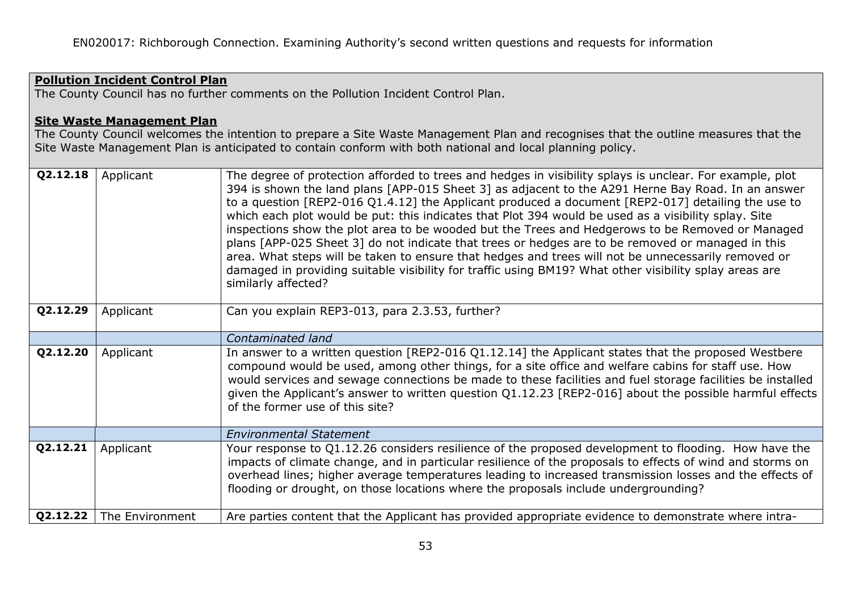# **Pollution Incident Control Plan**

The County Council has no further comments on the Pollution Incident Control Plan.

#### **Site Waste Management Plan**

The County Council welcomes the intention to prepare a Site Waste Management Plan and recognises that the outline measures that the Site Waste Management Plan is anticipated to contain conform with both national and local planning policy.

| Q2.12.18 | Applicant       | The degree of protection afforded to trees and hedges in visibility splays is unclear. For example, plot<br>394 is shown the land plans [APP-015 Sheet 3] as adjacent to the A291 Herne Bay Road. In an answer<br>to a question [REP2-016 Q1.4.12] the Applicant produced a document [REP2-017] detailing the use to<br>which each plot would be put: this indicates that Plot 394 would be used as a visibility splay. Site<br>inspections show the plot area to be wooded but the Trees and Hedgerows to be Removed or Managed<br>plans [APP-025 Sheet 3] do not indicate that trees or hedges are to be removed or managed in this<br>area. What steps will be taken to ensure that hedges and trees will not be unnecessarily removed or<br>damaged in providing suitable visibility for traffic using BM19? What other visibility splay areas are<br>similarly affected? |
|----------|-----------------|-------------------------------------------------------------------------------------------------------------------------------------------------------------------------------------------------------------------------------------------------------------------------------------------------------------------------------------------------------------------------------------------------------------------------------------------------------------------------------------------------------------------------------------------------------------------------------------------------------------------------------------------------------------------------------------------------------------------------------------------------------------------------------------------------------------------------------------------------------------------------------|
| Q2.12.29 | Applicant       | Can you explain REP3-013, para 2.3.53, further?                                                                                                                                                                                                                                                                                                                                                                                                                                                                                                                                                                                                                                                                                                                                                                                                                               |
|          |                 | Contaminated land                                                                                                                                                                                                                                                                                                                                                                                                                                                                                                                                                                                                                                                                                                                                                                                                                                                             |
| Q2.12.20 | Applicant       | In answer to a written question [REP2-016 Q1.12.14] the Applicant states that the proposed Westbere<br>compound would be used, among other things, for a site office and welfare cabins for staff use. How<br>would services and sewage connections be made to these facilities and fuel storage facilities be installed<br>given the Applicant's answer to written question Q1.12.23 [REP2-016] about the possible harmful effects<br>of the former use of this site?                                                                                                                                                                                                                                                                                                                                                                                                        |
|          |                 | <b>Environmental Statement</b>                                                                                                                                                                                                                                                                                                                                                                                                                                                                                                                                                                                                                                                                                                                                                                                                                                                |
| Q2.12.21 | Applicant       | Your response to Q1.12.26 considers resilience of the proposed development to flooding. How have the<br>impacts of climate change, and in particular resilience of the proposals to effects of wind and storms on<br>overhead lines; higher average temperatures leading to increased transmission losses and the effects of<br>flooding or drought, on those locations where the proposals include undergrounding?                                                                                                                                                                                                                                                                                                                                                                                                                                                           |
| Q2.12.22 | The Environment | Are parties content that the Applicant has provided appropriate evidence to demonstrate where intra-                                                                                                                                                                                                                                                                                                                                                                                                                                                                                                                                                                                                                                                                                                                                                                          |